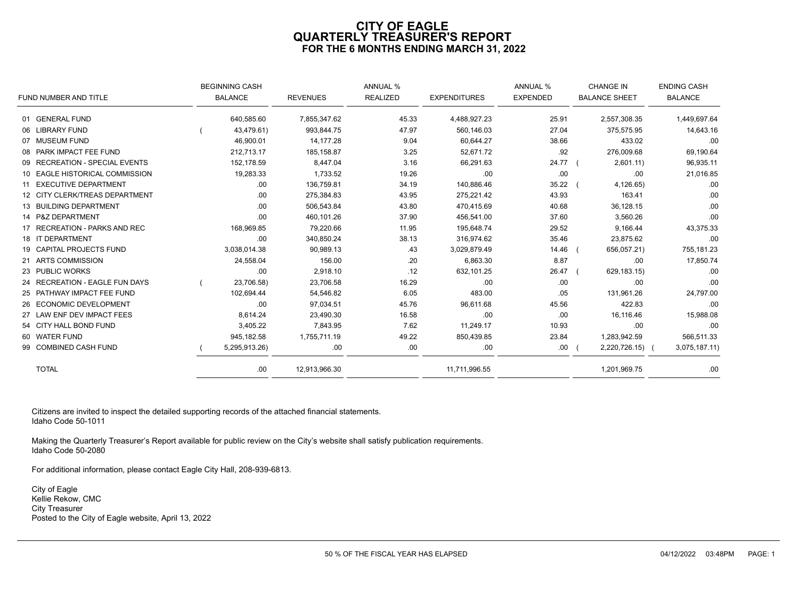# **CITY OF EAGLE QUARTERLY TREASURER'S REPORT FOR THE 6 MONTHS ENDING MARCH 31, 2022**

|                                | <b>BEGINNING CASH</b> |                 | <b>ANNUAL %</b> |                     | <b>ANNUAL %</b> | <b>CHANGE IN</b>     | <b>ENDING CASH</b> |
|--------------------------------|-----------------------|-----------------|-----------------|---------------------|-----------------|----------------------|--------------------|
| FUND NUMBER AND TITLE          | <b>BALANCE</b>        | <b>REVENUES</b> | <b>REALIZED</b> | <b>EXPENDITURES</b> | <b>EXPENDED</b> | <b>BALANCE SHEET</b> | <b>BALANCE</b>     |
| 01 GENERAL FUND                | 640,585.60            | 7,855,347.62    | 45.33           | 4,488,927.23        | 25.91           | 2,557,308.35         | 1,449,697.64       |
| 06 LIBRARY FUND                | 43,479.61)            | 993,844.75      | 47.97           | 560,146.03          | 27.04           | 375,575.95           | 14,643.16          |
| 07 MUSEUM FUND                 | 46,900.01             | 14,177.28       | 9.04            | 60,644.27           | 38.66           | 433.02               | .00                |
| 08 PARK IMPACT FEE FUND        | 212,713.17            | 185, 158.87     | 3.25            | 52,671.72           | .92             | 276,009.68           | 69,190.64          |
| 09 RECREATION - SPECIAL EVENTS | 152.178.59            | 8.447.04        | 3.16            | 66,291.63           | 24.77 (         | 2,601.11)            | 96,935.11          |
| 10 EAGLE HISTORICAL COMMISSION | 19,283.33             | 1,733.52        | 19.26           | .00                 | .00             | .00                  | 21,016.85          |
| 11 EXECUTIVE DEPARTMENT        | .00                   | 136,759.81      | 34.19           | 140,886.46          | 35.22           | 4,126.65             | .00                |
| 12 CITY CLERK/TREAS DEPARTMENT | .00                   | 275,384.83      | 43.95           | 275,221.42          | 43.93           | 163.41               | .00                |
| 13 BUILDING DEPARTMENT         | .00                   | 506,543.84      | 43.80           | 470,415.69          | 40.68           | 36,128.15            | .00                |
| 14 P&Z DEPARTMENT              | .00                   | 460,101.26      | 37.90           | 456,541.00          | 37.60           | 3,560.26             | .00                |
| 17 RECREATION - PARKS AND REC  | 168,969.85            | 79,220.66       | 11.95           | 195,648.74          | 29.52           | 9,166.44             | 43,375.33          |
| 18 IT DEPARTMENT               | .00                   | 340,850.24      | 38.13           | 316,974.62          | 35.46           | 23,875.62            | .00                |
| 19 CAPITAL PROJECTS FUND       | 3,038,014.38          | 90,989.13       | .43             | 3,029,879.49        | 14.46           | 656,057.21)          | 755,181.23         |
| 21 ARTS COMMISSION             | 24,558.04             | 156.00          | .20             | 6,863.30            | 8.87            | .00                  | 17,850.74          |
| 23 PUBLIC WORKS                | .00                   | 2,918.10        | .12             | 632,101.25          | 26.47           | 629, 183. 15)        | .00                |
| 24 RECREATION - EAGLE FUN DAYS | 23,706.58)            | 23,706.58       | 16.29           | .00                 | .00             | .00                  | .00                |
| 25 PATHWAY IMPACT FEE FUND     | 102,694.44            | 54,546.82       | 6.05            | 483.00              | .05             | 131,961.26           | 24,797.00          |
| 26 ECONOMIC DEVELOPMENT        | .00                   | 97,034.51       | 45.76           | 96,611.68           | 45.56           | 422.83               | .00                |
| 27 LAW ENF DEV IMPACT FEES     | 8,614.24              | 23,490.30       | 16.58           | .00                 | .00             | 16,116.46            | 15,988.08          |
| 54 CITY HALL BOND FUND         | 3,405.22              | 7,843.95        | 7.62            | 11,249.17           | 10.93           | .00                  | .00                |
| 60 WATER FUND                  | 945,182.58            | 1,755,711.19    | 49.22           | 850,439.85          | 23.84           | 1,283,942.59         | 566,511.33         |
| 99 COMBINED CASH FUND          | 5,295,913.26)         | .00             | .00             | .00                 | .00.            | 2,220,726.15) (      | 3,075,187.11)      |
| <b>TOTAL</b>                   | .00.                  | 12,913,966.30   |                 | 11,711,996.55       |                 | 1,201,969.75         | .00                |

Citizens are invited to inspect the detailed supporting records of the attached financial statements. Idaho Code 50-1011

Making the Quarterly Treasurer's Report available for public review on the City's website shall satisfy publication requirements. Idaho Code 50-2080

For additional information, please contact Eagle City Hall, 208-939-6813.

City of Eagle Kellie Rekow, CMC City Treasurer Posted to the City of Eagle website, April 13, 2022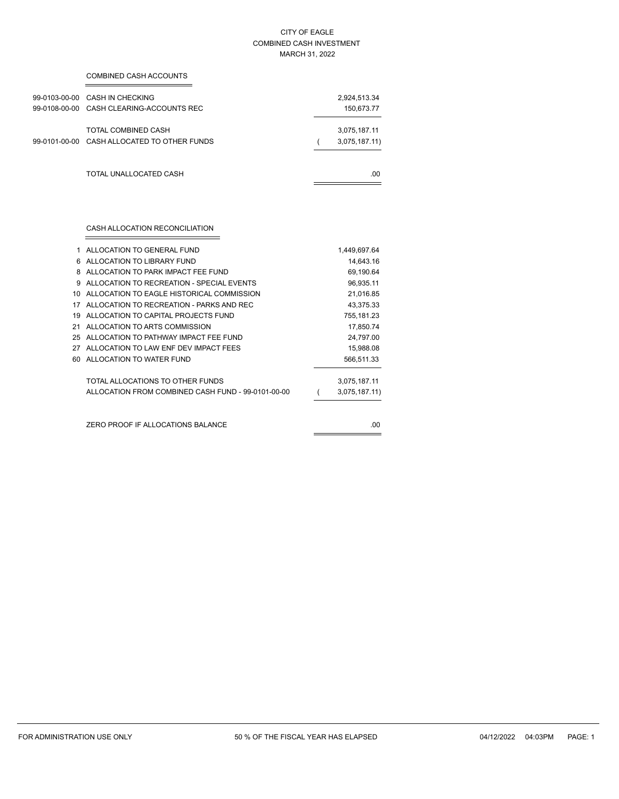### CITY OF EAGLE COMBINED CASH INVESTMENT MARCH 31, 2022

| COMBINED CASH ACCOUNTS                                                     |  |                               |
|----------------------------------------------------------------------------|--|-------------------------------|
| 99-0103-00-00 CASH IN CHECKING<br>99-0108-00-00 CASH CLEARING-ACCOUNTS REC |  | 2,924,513.34<br>150,673.77    |
| TOTAL COMBINED CASH<br>99-0101-00-00 CASH ALLOCATED TO OTHER FUNDS         |  | 3,075,187.11<br>3,075,187.11) |
| TOTAL UNALLOCATED CASH                                                     |  | .00.                          |

CASH ALLOCATION RECONCILIATION

|    | ALLOCATION TO GENERAL FUND                         | 1,449,697.64  |
|----|----------------------------------------------------|---------------|
| 6  | ALLOCATION TO LIBRARY FUND                         | 14,643.16     |
| 8  | ALLOCATION TO PARK IMPACT FFF FUND                 | 69,190.64     |
| q  | ALLOCATION TO RECREATION - SPECIAL EVENTS          | 96,935.11     |
| 10 | ALLOCATION TO EAGLE HISTORICAL COMMISSION          | 21,016.85     |
| 17 | ALLOCATION TO RECREATION - PARKS AND REC           | 43,375.33     |
| 19 | ALLOCATION TO CAPITAL PROJECTS FUND                | 755,181.23    |
| 21 | ALLOCATION TO ARTS COMMISSION                      | 17,850.74     |
| 25 | ALLOCATION TO PATHWAY IMPACT FEE FUND              | 24,797.00     |
| 27 | ALLOCATION TO LAW ENF DEV IMPACT FEES              | 15,988.08     |
| 60 | ALLOCATION TO WATER FUND                           | 566,511.33    |
|    | TOTAL ALLOCATIONS TO OTHER FUNDS                   | 3,075,187.11  |
|    | ALLOCATION FROM COMBINED CASH FUND - 99-0101-00-00 | 3,075,187.11) |
|    |                                                    |               |
|    | ZERO PROOF IF ALLOCATIONS BALANCE                  | .00           |
|    |                                                    |               |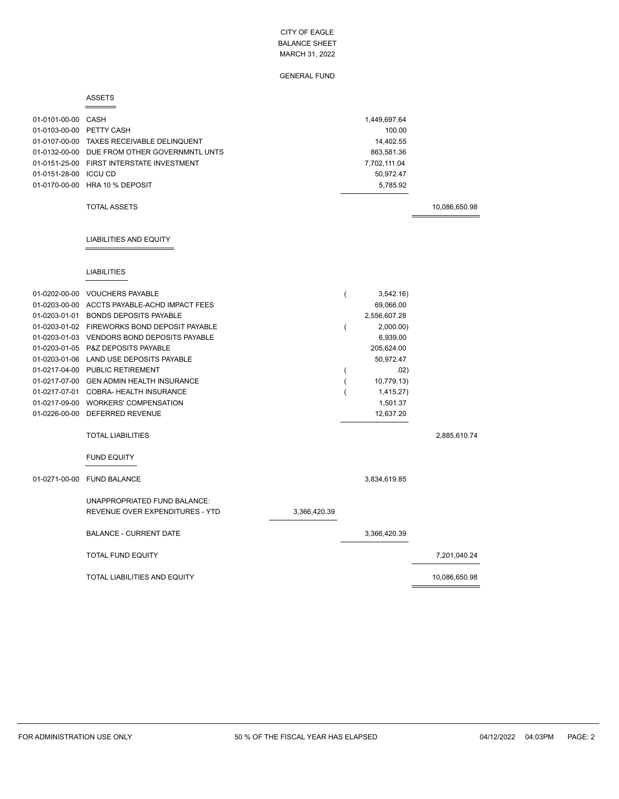GENERAL FUND

#### ASSETS

| 01-0101-00-00 CASH       |                                              |              |                | 1,449,697.64 |               |
|--------------------------|----------------------------------------------|--------------|----------------|--------------|---------------|
| 01-0103-00-00 PETTY CASH |                                              |              |                | 100.00       |               |
|                          | 01-0107-00-00 TAXES RECEIVABLE DELINQUENT    |              |                | 14,402.55    |               |
|                          | 01-0132-00-00 DUE FROM OTHER GOVERNMNTL UNTS |              |                | 863,581.36   |               |
|                          | 01-0151-25-00 FIRST INTERSTATE INVESTMENT    |              |                | 7,702,111.04 |               |
| 01-0151-28-00 ICCU CD    |                                              |              |                | 50,972.47    |               |
|                          | 01-0170-00-00 HRA 10 % DEPOSIT               |              |                | 5,785.92     |               |
|                          |                                              |              |                |              |               |
|                          | <b>TOTAL ASSETS</b>                          |              |                |              | 10,086,650.98 |
|                          |                                              |              |                |              |               |
|                          | <b>LIABILITIES AND EQUITY</b>                |              |                |              |               |
|                          |                                              |              |                |              |               |
|                          | <b>LIABILITIES</b>                           |              |                |              |               |
| 01-0202-00-00            | <b>VOUCHERS PAYABLE</b>                      |              | $\overline{(}$ | 3,542.16)    |               |
|                          | 01-0203-00-00 ACCTS PAYABLE-ACHD IMPACT FEES |              |                | 69,066.00    |               |
|                          | 01-0203-01-01 BONDS DEPOSITS PAYABLE         |              |                | 2,556,607.28 |               |
|                          | 01-0203-01-02 FIREWORKS BOND DEPOSIT PAYABLE |              | (              | 2,000.00)    |               |
|                          | 01-0203-01-03 VENDORS BOND DEPOSITS PAYABLE  |              |                | 6,939.00     |               |
|                          | 01-0203-01-05 P&Z DEPOSITS PAYABLE           |              |                | 205,624.00   |               |
|                          | 01-0203-01-06 LAND USE DEPOSITS PAYABLE      |              |                | 50,972.47    |               |
|                          | 01-0217-04-00 PUBLIC RETIREMENT              |              | (              | .02)         |               |
|                          | 01-0217-07-00 GEN ADMIN HEALTH INSURANCE     |              |                | 10,779.13)   |               |
|                          | 01-0217-07-01 COBRA- HEALTH INSURANCE        |              |                | 1,415.27)    |               |
|                          | 01-0217-09-00 WORKERS' COMPENSATION          |              |                | 1,501.37     |               |
|                          | 01-0226-00-00 DEFERRED REVENUE               |              |                | 12,637.20    |               |
|                          | <b>TOTAL LIABILITIES</b>                     |              |                |              | 2,885,610.74  |
|                          |                                              |              |                |              |               |
|                          | <b>FUND EQUITY</b>                           |              |                |              |               |
|                          | 01-0271-00-00 FUND BALANCE                   |              |                | 3,834,619.85 |               |
|                          | UNAPPROPRIATED FUND BALANCE:                 |              |                |              |               |
|                          | REVENUE OVER EXPENDITURES - YTD              | 3,366,420.39 |                |              |               |
|                          | <b>BALANCE - CURRENT DATE</b>                |              |                | 3,366,420.39 |               |
|                          | <b>TOTAL FUND EQUITY</b>                     |              |                |              | 7,201,040.24  |
|                          | TOTAL LIABILITIES AND EQUITY                 |              |                |              | 10,086,650.98 |
|                          |                                              |              |                |              |               |

 $\equiv$ 

L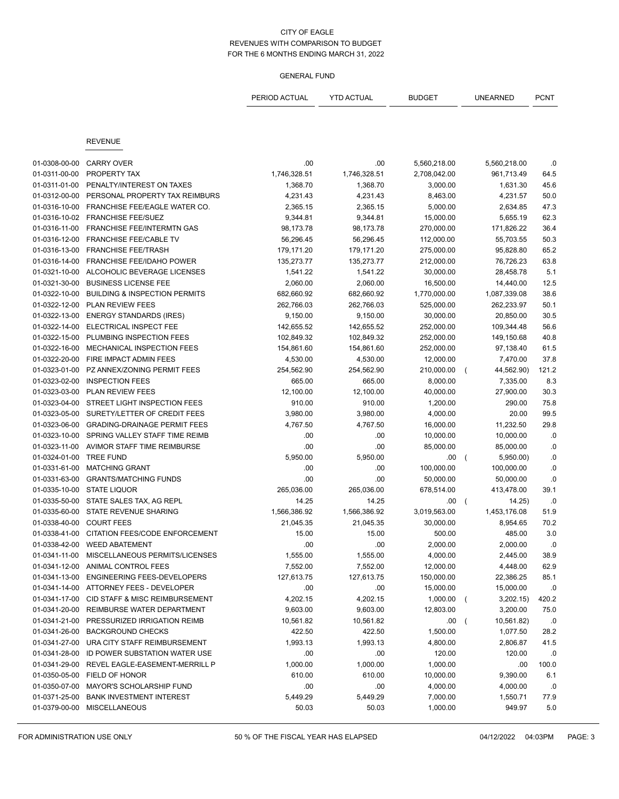|               |                                          | PERIOD ACTUAL | <b>YTD ACTUAL</b> | <b>BUDGET</b> | <b>UNEARNED</b>             | <b>PCNT</b> |
|---------------|------------------------------------------|---------------|-------------------|---------------|-----------------------------|-------------|
|               |                                          |               |                   |               |                             |             |
|               | <b>REVENUE</b>                           |               |                   |               |                             |             |
| 01-0308-00-00 | <b>CARRY OVER</b>                        | .00           | .00               | 5,560,218.00  | 5,560,218.00                | .0          |
| 01-0311-00-00 | PROPERTY TAX                             | 1,746,328.51  | 1,746,328.51      | 2,708,042.00  | 961,713.49                  | 64.5        |
| 01-0311-01-00 | PENALTY/INTEREST ON TAXES                | 1,368.70      | 1,368.70          | 3,000.00      | 1,631.30                    | 45.6        |
| 01-0312-00-00 | PERSONAL PROPERTY TAX REIMBURS           | 4,231.43      | 4,231.43          | 8,463.00      | 4,231.57                    | 50.0        |
| 01-0316-10-00 | FRANCHISE FEE/EAGLE WATER CO.            | 2,365.15      | 2,365.15          | 5,000.00      | 2,634.85                    | 47.3        |
| 01-0316-10-02 | <b>FRANCHISE FEE/SUEZ</b>                | 9,344.81      | 9,344.81          | 15,000.00     | 5,655.19                    | 62.3        |
| 01-0316-11-00 | FRANCHISE FEE/INTERMTN GAS               | 98,173.78     | 98,173.78         | 270,000.00    | 171,826.22                  | 36.4        |
| 01-0316-12-00 | FRANCHISE FEE/CABLE TV                   | 56,296.45     | 56,296.45         | 112,000.00    | 55,703.55                   | 50.3        |
| 01-0316-13-00 | <b>FRANCHISE FEE/TRASH</b>               | 179,171.20    | 179,171.20        | 275,000.00    | 95,828.80                   | 65.2        |
| 01-0316-14-00 | FRANCHISE FEE/IDAHO POWER                | 135,273.77    | 135,273.77        | 212,000.00    | 76,726.23                   | 63.8        |
| 01-0321-10-00 | ALCOHOLIC BEVERAGE LICENSES              | 1,541.22      | 1,541.22          | 30,000.00     | 28,458.78                   | 5.1         |
| 01-0321-30-00 | <b>BUSINESS LICENSE FEE</b>              | 2,060.00      | 2,060.00          | 16,500.00     | 14,440.00                   | 12.5        |
| 01-0322-10-00 | <b>BUILDING &amp; INSPECTION PERMITS</b> | 682,660.92    | 682,660.92        | 1,770,000.00  | 1,087,339.08                | 38.6        |
| 01-0322-12-00 | PLAN REVIEW FEES                         | 262,766.03    | 262,766.03        | 525,000.00    | 262,233.97                  | 50.1        |
| 01-0322-13-00 | <b>ENERGY STANDARDS (IRES)</b>           | 9,150.00      | 9,150.00          | 30,000.00     | 20,850.00                   | 30.5        |
| 01-0322-14-00 | ELECTRICAL INSPECT FEE                   | 142,655.52    | 142,655.52        | 252,000.00    | 109,344.48                  | 56.6        |
| 01-0322-15-00 | PLUMBING INSPECTION FEES                 | 102,849.32    | 102,849.32        | 252,000.00    | 149,150.68                  | 40.8        |
| 01-0322-16-00 | MECHANICAL INSPECTION FEES               | 154,861.60    | 154,861.60        | 252,000.00    | 97,138.40                   | 61.5        |
| 01-0322-20-00 | FIRE IMPACT ADMIN FEES                   | 4,530.00      | 4,530.00          | 12,000.00     | 7,470.00                    | 37.8        |
| 01-0323-01-00 | PZ ANNEX/ZONING PERMIT FEES              | 254,562.90    | 254,562.90        | 210,000.00    | 44,562.90)                  | 121.2       |
| 01-0323-02-00 | <b>INSPECTION FEES</b>                   | 665.00        | 665.00            | 8,000.00      | 7,335.00                    | 8.3         |
| 01-0323-03-00 | PLAN REVIEW FEES                         | 12,100.00     | 12,100.00         | 40,000.00     | 27,900.00                   | 30.3        |
| 01-0323-04-00 | STREET LIGHT INSPECTION FEES             | 910.00        | 910.00            | 1,200.00      | 290.00                      | 75.8        |
| 01-0323-05-00 | SURETY/LETTER OF CREDIT FEES             | 3,980.00      | 3,980.00          | 4,000.00      | 20.00                       | 99.5        |
| 01-0323-06-00 | <b>GRADING-DRAINAGE PERMIT FEES</b>      | 4,767.50      | 4,767.50          | 16,000.00     | 11,232.50                   | 29.8        |
| 01-0323-10-00 | SPRING VALLEY STAFF TIME REIMB           | .00           | .00               | 10,000.00     | 10,000.00                   | .0          |
| 01-0323-11-00 | AVIMOR STAFF TIME REIMBURSE              | .00           | .00               | 85,000.00     | 85,000.00                   | .0          |
| 01-0324-01-00 | <b>TREE FUND</b>                         | 5,950.00      | 5,950.00          | .00           | 5,950.00)<br>$\overline{ }$ | .0          |
| 01-0331-61-00 | <b>MATCHING GRANT</b>                    | .00           | .00               | 100,000.00    | 100,000.00                  | .0          |
| 01-0331-63-00 | <b>GRANTS/MATCHING FUNDS</b>             | .00           | .00               | 50,000.00     | 50,000.00                   | .0          |
| 01-0335-10-00 | <b>STATE LIQUOR</b>                      | 265,036.00    | 265,036.00        | 678,514.00    | 413,478.00                  | 39.1        |
| 01-0335-50-00 | STATE SALES TAX, AG REPL                 | 14.25         | 14.25             | .00           | 14.25)                      | .0          |
| 01-0335-60-00 | STATE REVENUE SHARING                    | 1,566,386.92  | 1,566,386.92      | 3,019,563.00  | 1,453,176.08                | 51.9        |
| 01-0338-40-00 | <b>COURT FEES</b>                        | 21,045.35     | 21,045.35         | 30,000.00     | 8,954.65                    | 70.2        |
| 01-0338-41-00 | CITATION FEES/CODE ENFORCEMENT           | 15.00         | 15.00             | 500.00        | 485.00                      | 3.0         |
| 01-0338-42-00 | <b>WEED ABATEMENT</b>                    | .00           | .00               | 2,000.00      | 2,000.00                    | .0          |
| 01-0341-11-00 | MISCELLANEOUS PERMITS/LICENSES           | 1,555.00      | 1,555.00          | 4,000.00      | 2,445.00                    | 38.9        |
| 01-0341-12-00 | ANIMAL CONTROL FEES                      | 7,552.00      | 7,552.00          | 12,000.00     | 4,448.00                    | 62.9        |
| 01-0341-13-00 | ENGINEERING FEES-DEVELOPERS              | 127,613.75    | 127,613.75        | 150,000.00    | 22,386.25                   | 85.1        |
| 01-0341-14-00 | ATTORNEY FEES - DEVELOPER                | .00           | .00               | 15,000.00     | 15,000.00                   | .0          |
| 01-0341-17-00 | CID STAFF & MISC REIMBURSEMENT           | 4,202.15      | 4,202.15          | 1,000.00      | 3,202.15)<br>$\overline{ }$ | 420.2       |
| 01-0341-20-00 | REIMBURSE WATER DEPARTMENT               | 9,603.00      | 9,603.00          | 12,803.00     | 3,200.00                    | 75.0        |
| 01-0341-21-00 | PRESSURIZED IRRIGATION REIMB             | 10,561.82     | 10,561.82         | .00           | 10,561.82)<br>$\left($      | .0          |
| 01-0341-26-00 | <b>BACKGROUND CHECKS</b>                 | 422.50        | 422.50            | 1,500.00      | 1,077.50                    | 28.2        |
| 01-0341-27-00 | URA CITY STAFF REIMBURSEMENT             | 1,993.13      | 1,993.13          | 4,800.00      | 2,806.87                    | 41.5        |
| 01-0341-28-00 | ID POWER SUBSTATION WATER USE            | .00           | .00               | 120.00        | 120.00                      | .0          |
| 01-0341-29-00 | REVEL EAGLE-EASEMENT-MERRILL P           | 1,000.00      | 1,000.00          | 1,000.00      | .00                         | 100.0       |
| 01-0350-05-00 | FIELD OF HONOR                           | 610.00        | 610.00            | 10,000.00     | 9,390.00                    | 6.1         |
| 01-0350-07-00 | MAYOR'S SCHOLARSHIP FUND                 | .00           | .00               | 4,000.00      | 4,000.00                    | .0          |
| 01-0371-25-00 | <b>BANK INVESTMENT INTEREST</b>          | 5,449.29      | 5,449.29          | 7,000.00      | 1,550.71                    | 77.9        |
| 01-0379-00-00 | <b>MISCELLANEOUS</b>                     | 50.03         | 50.03             | 1,000.00      | 949.97                      | $5.0\,$     |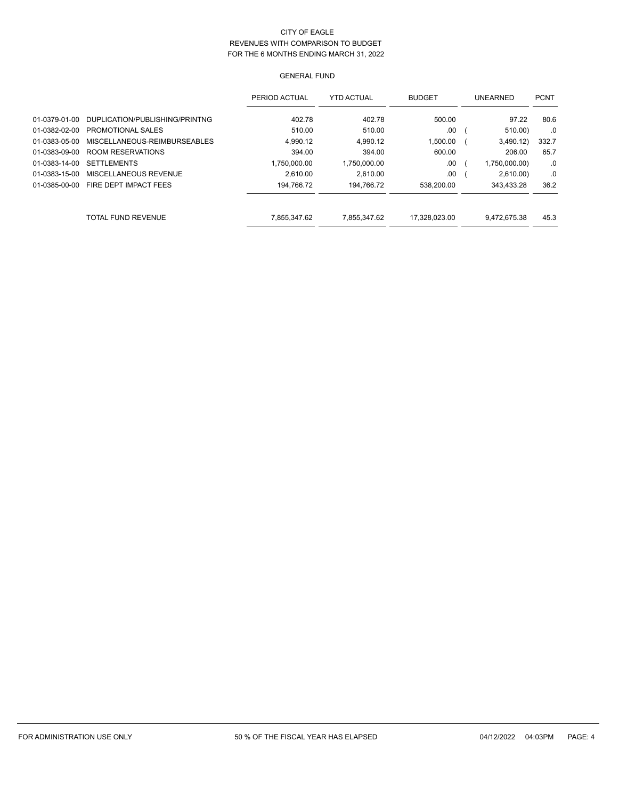|               |                                | PERIOD ACTUAL | <b>YTD ACTUAL</b> | <b>BUDGET</b> | <b>UNEARNED</b> | <b>PCNT</b> |
|---------------|--------------------------------|---------------|-------------------|---------------|-----------------|-------------|
| 01-0379-01-00 | DUPLICATION/PUBLISHING/PRINTNG | 402.78        | 402.78            | 500.00        | 97.22           | 80.6        |
| 01-0382-02-00 | PROMOTIONAL SALES              | 510.00        | 510.00            | .00           | 510.00)         | .0          |
| 01-0383-05-00 | MISCELLANEOUS-REIMBURSEABLES   | 4.990.12      | 4.990.12          | 1.500.00      | 3,490.12)       | 332.7       |
| 01-0383-09-00 | ROOM RESERVATIONS              | 394.00        | 394.00            | 600.00        | 206.00          | 65.7        |
| 01-0383-14-00 | <b>SETTLEMENTS</b>             | 1.750.000.00  | 1.750.000.00      | .00           | 1,750,000.00)   | .0          |
| 01-0383-15-00 | MISCELLANEOUS REVENUE          | 2.610.00      | 2.610.00          | .00           | 2,610.00        | .0          |
| 01-0385-00-00 | FIRE DEPT IMPACT FEES          | 194.766.72    | 194.766.72        | 538.200.00    | 343.433.28      | 36.2        |
|               | <b>TOTAL FUND REVENUE</b>      | 7.855.347.62  | 7.855.347.62      | 17.328.023.00 | 9.472.675.38    | 45.3        |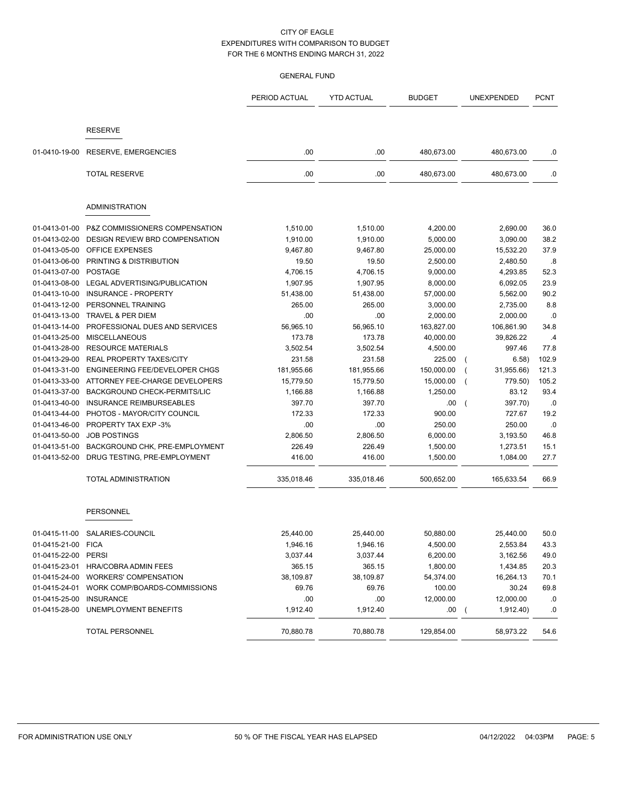|                         |                                            | PERIOD ACTUAL | <b>YTD ACTUAL</b> | <b>BUDGET</b> | <b>UNEXPENDED</b>    | <b>PCNT</b> |
|-------------------------|--------------------------------------------|---------------|-------------------|---------------|----------------------|-------------|
|                         |                                            |               |                   |               |                      |             |
|                         | <b>RESERVE</b>                             |               |                   |               |                      |             |
| 01-0410-19-00           | <b>RESERVE, EMERGENCIES</b>                | .00           | .00               | 480,673.00    | 480,673.00           | .0          |
|                         | <b>TOTAL RESERVE</b>                       | .00           | .00               | 480,673.00    | 480,673.00           | .0          |
|                         | <b>ADMINISTRATION</b>                      |               |                   |               |                      |             |
| 01-0413-01-00           | P&Z COMMISSIONERS COMPENSATION             | 1,510.00      | 1,510.00          | 4,200.00      | 2,690.00             | 36.0        |
| 01-0413-02-00           | DESIGN REVIEW BRD COMPENSATION             | 1,910.00      | 1,910.00          | 5,000.00      | 3,090.00             | 38.2        |
| 01-0413-05-00           | OFFICE EXPENSES                            | 9,467.80      | 9,467.80          | 25,000.00     | 15,532.20            | 37.9        |
| 01-0413-06-00           | PRINTING & DISTRIBUTION                    | 19.50         | 19.50             | 2,500.00      | 2,480.50             | .8          |
| 01-0413-07-00           | <b>POSTAGE</b>                             | 4,706.15      | 4,706.15          | 9,000.00      | 4,293.85             | 52.3        |
| 01-0413-08-00           | LEGAL ADVERTISING/PUBLICATION              | 1,907.95      | 1,907.95          | 8,000.00      | 6,092.05             | 23.9        |
| 01-0413-10-00           | INSURANCE - PROPERTY                       | 51,438.00     | 51,438.00         | 57,000.00     | 5,562.00             | 90.2        |
| 01-0413-12-00           | PERSONNEL TRAINING                         | 265.00        | 265.00            | 3,000.00      | 2,735.00             | 8.8         |
| 01-0413-13-00           | <b>TRAVEL &amp; PER DIEM</b>               | .00           | .00               | 2,000.00      | 2,000.00             | .0          |
| 01-0413-14-00           | PROFESSIONAL DUES AND SERVICES             | 56,965.10     | 56,965.10         | 163,827.00    | 106,861.90           | 34.8        |
| 01-0413-25-00           | <b>MISCELLANEOUS</b>                       | 173.78        | 173.78            | 40,000.00     | 39,826.22            | .4          |
| 01-0413-28-00           | <b>RESOURCE MATERIALS</b>                  | 3,502.54      | 3,502.54          | 4,500.00      | 997.46               | 77.8        |
| 01-0413-29-00           | <b>REAL PROPERTY TAXES/CITY</b>            | 231.58        | 231.58            | 225.00        | 6.58)                | 102.9       |
| 01-0413-31-00           | <b>ENGINEERING FEE/DEVELOPER CHGS</b>      | 181,955.66    | 181,955.66        | 150,000.00    | 31,955.66)           | 121.3       |
| 01-0413-33-00           | ATTORNEY FEE-CHARGE DEVELOPERS             | 15,779.50     | 15,779.50         | 15,000.00     | 779.50)              | 105.2       |
| 01-0413-37-00           | BACKGROUND CHECK-PERMITS/LIC               | 1,166.88      | 1,166.88          | 1,250.00      | 83.12                | 93.4        |
| 01-0413-40-00           | <b>INSURANCE REIMBURSEABLES</b>            | 397.70        | 397.70            | .00           | 397.70)              | .0          |
| 01-0413-44-00           | PHOTOS - MAYOR/CITY COUNCIL                | 172.33        | 172.33            | 900.00        | 727.67               | 19.2        |
| 01-0413-46-00           | PROPERTY TAX EXP -3%                       | .00           | .00               | 250.00        | 250.00               | .0          |
| 01-0413-50-00           | <b>JOB POSTINGS</b>                        | 2,806.50      | 2,806.50          | 6,000.00      | 3,193.50             | 46.8        |
| 01-0413-51-00           | BACKGROUND CHK, PRE-EMPLOYMENT             | 226.49        | 226.49            | 1,500.00      | 1,273.51             | 15.1        |
| 01-0413-52-00           | DRUG TESTING, PRE-EMPLOYMENT               | 416.00        | 416.00            | 1,500.00      | 1,084.00             | 27.7        |
|                         | TOTAL ADMINISTRATION                       | 335,018.46    | 335,018.46        | 500,652.00    | 165,633.54           | 66.9        |
|                         | <b>PERSONNEL</b>                           |               |                   |               |                      |             |
|                         | 01-0415-11-00 SALARIES-COUNCIL             | 25,440.00     | 25,440.00         | 50,880.00     | 25,440.00            | 50.0        |
| 01-0415-21-00 FICA      |                                            | 1,946.16      | 1,946.16          | 4,500.00      | 2,553.84             | 43.3        |
| 01-0415-22-00 PERSI     |                                            | 3,037.44      | 3,037.44          | 6,200.00      | 3,162.56             | 49.0        |
|                         | 01-0415-23-01 HRA/COBRA ADMIN FEES         | 365.15        | 365.15            | 1,800.00      | 1,434.85             | 20.3        |
|                         | 01-0415-24-00 WORKERS' COMPENSATION        | 38,109.87     | 38,109.87         | 54,374.00     | 16,264.13            | 70.1        |
|                         | 01-0415-24-01 WORK COMP/BOARDS-COMMISSIONS | 69.76         | 69.76             | 100.00        | 30.24                | 69.8        |
| 01-0415-25-00 INSURANCE |                                            | .00.          | .00               | 12,000.00     | 12,000.00            | .0          |
|                         | 01-0415-28-00 UNEMPLOYMENT BENEFITS        | 1,912.40      | 1,912.40          | .00.          | 1,912.40<br>$\left($ | .0          |
|                         | TOTAL PERSONNEL                            | 70,880.78     | 70,880.78         | 129,854.00    | 58,973.22            | 54.6        |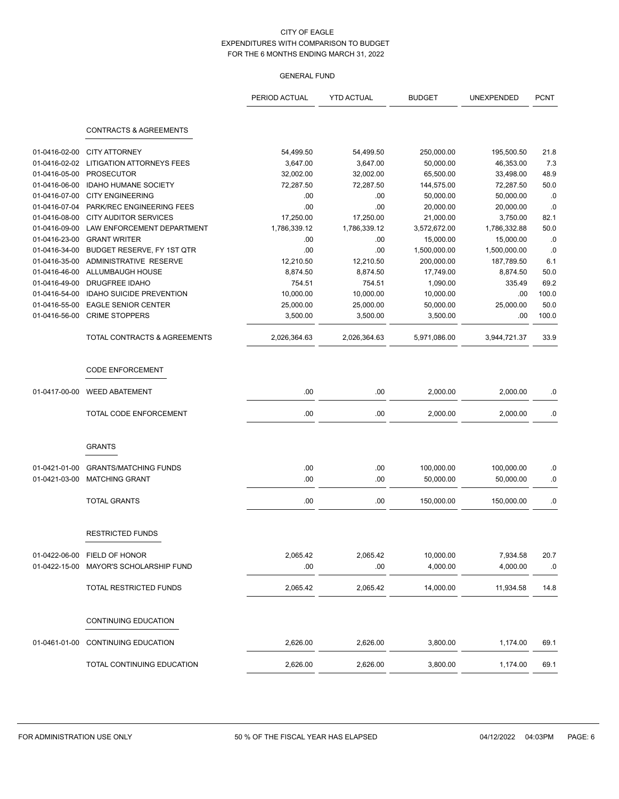| <b>CONTRACTS &amp; AGREEMENTS</b><br><b>CITY ATTORNEY</b><br>21.8<br>01-0416-02-00<br>54,499.50<br>54,499.50<br>250,000.00<br>195,500.50<br>7.3<br>01-0416-02-02<br><b>LITIGATION ATTORNEYS FEES</b><br>3,647.00<br>50,000.00<br>3,647.00<br>46,353.00<br>48.9<br>01-0416-05-00<br><b>PROSECUTOR</b><br>32,002.00<br>33,498.00<br>32,002.00<br>65,500.00<br><b>IDAHO HUMANE SOCIETY</b><br>50.0<br>01-0416-06-00<br>72,287.50<br>72,287.50<br>144,575.00<br>72,287.50<br><b>CITY ENGINEERING</b><br>01-0416-07-00<br>.00<br>.00<br>50,000.00<br>50,000.00<br>01-0416-07-04<br>PARK/REC ENGINEERING FEES<br>.00<br>.00<br>20,000.00<br>20,000.00<br>01-0416-08-00<br><b>CITY AUDITOR SERVICES</b><br>17,250.00<br>17,250.00<br>82.1<br>21,000.00<br>3,750.00<br>01-0416-09-00<br>LAW ENFORCEMENT DEPARTMENT<br>1,786,339.12<br>1,786,339.12<br>50.0<br>3,572,672.00<br>1,786,332.88<br>01-0416-23-00<br><b>GRANT WRITER</b><br>.00<br>15,000.00<br>.00<br>15,000.00<br>BUDGET RESERVE, FY 1ST QTR<br>.00<br>01-0416-34-00<br>.00<br>1,500,000.00<br>1,500,000.00<br>12,210.50<br>01-0416-35-00<br>ADMINISTRATIVE RESERVE<br>12,210.50<br>200,000.00<br>187,789.50<br>ALLUMBAUGH HOUSE<br>50.0<br>01-0416-46-00<br>8,874.50<br>8,874.50<br>17,749.00<br>8,874.50<br>69.2<br>01-0416-49-00<br><b>DRUGFREE IDAHO</b><br>754.51<br>754.51<br>1,090.00<br>335.49<br><b>IDAHO SUICIDE PREVENTION</b><br>10,000.00<br>10,000.00<br>100.0<br>01-0416-54-00<br>10,000.00<br>.00<br><b>EAGLE SENIOR CENTER</b><br>25,000.00<br>50.0<br>01-0416-55-00<br>25,000.00<br>25,000.00<br>50,000.00<br><b>CRIME STOPPERS</b><br>100.0<br>01-0416-56-00<br>3,500.00<br>3,500.00<br>3,500.00<br>.00 |  | PERIOD ACTUAL | <b>YTD ACTUAL</b> | <b>BUDGET</b> | UNEXPENDED | <b>PCNT</b> |
|--------------------------------------------------------------------------------------------------------------------------------------------------------------------------------------------------------------------------------------------------------------------------------------------------------------------------------------------------------------------------------------------------------------------------------------------------------------------------------------------------------------------------------------------------------------------------------------------------------------------------------------------------------------------------------------------------------------------------------------------------------------------------------------------------------------------------------------------------------------------------------------------------------------------------------------------------------------------------------------------------------------------------------------------------------------------------------------------------------------------------------------------------------------------------------------------------------------------------------------------------------------------------------------------------------------------------------------------------------------------------------------------------------------------------------------------------------------------------------------------------------------------------------------------------------------------------------------------------------------------------------------------------------------------------------|--|---------------|-------------------|---------------|------------|-------------|
|                                                                                                                                                                                                                                                                                                                                                                                                                                                                                                                                                                                                                                                                                                                                                                                                                                                                                                                                                                                                                                                                                                                                                                                                                                                                                                                                                                                                                                                                                                                                                                                                                                                                                |  |               |                   |               |            |             |
|                                                                                                                                                                                                                                                                                                                                                                                                                                                                                                                                                                                                                                                                                                                                                                                                                                                                                                                                                                                                                                                                                                                                                                                                                                                                                                                                                                                                                                                                                                                                                                                                                                                                                |  |               |                   |               |            |             |
|                                                                                                                                                                                                                                                                                                                                                                                                                                                                                                                                                                                                                                                                                                                                                                                                                                                                                                                                                                                                                                                                                                                                                                                                                                                                                                                                                                                                                                                                                                                                                                                                                                                                                |  |               |                   |               |            |             |
|                                                                                                                                                                                                                                                                                                                                                                                                                                                                                                                                                                                                                                                                                                                                                                                                                                                                                                                                                                                                                                                                                                                                                                                                                                                                                                                                                                                                                                                                                                                                                                                                                                                                                |  |               |                   |               |            |             |
|                                                                                                                                                                                                                                                                                                                                                                                                                                                                                                                                                                                                                                                                                                                                                                                                                                                                                                                                                                                                                                                                                                                                                                                                                                                                                                                                                                                                                                                                                                                                                                                                                                                                                |  |               |                   |               |            |             |
|                                                                                                                                                                                                                                                                                                                                                                                                                                                                                                                                                                                                                                                                                                                                                                                                                                                                                                                                                                                                                                                                                                                                                                                                                                                                                                                                                                                                                                                                                                                                                                                                                                                                                |  |               |                   |               |            | .0          |
|                                                                                                                                                                                                                                                                                                                                                                                                                                                                                                                                                                                                                                                                                                                                                                                                                                                                                                                                                                                                                                                                                                                                                                                                                                                                                                                                                                                                                                                                                                                                                                                                                                                                                |  |               |                   |               |            | .0          |
|                                                                                                                                                                                                                                                                                                                                                                                                                                                                                                                                                                                                                                                                                                                                                                                                                                                                                                                                                                                                                                                                                                                                                                                                                                                                                                                                                                                                                                                                                                                                                                                                                                                                                |  |               |                   |               |            |             |
|                                                                                                                                                                                                                                                                                                                                                                                                                                                                                                                                                                                                                                                                                                                                                                                                                                                                                                                                                                                                                                                                                                                                                                                                                                                                                                                                                                                                                                                                                                                                                                                                                                                                                |  |               |                   |               |            |             |
|                                                                                                                                                                                                                                                                                                                                                                                                                                                                                                                                                                                                                                                                                                                                                                                                                                                                                                                                                                                                                                                                                                                                                                                                                                                                                                                                                                                                                                                                                                                                                                                                                                                                                |  |               |                   |               |            | .0          |
|                                                                                                                                                                                                                                                                                                                                                                                                                                                                                                                                                                                                                                                                                                                                                                                                                                                                                                                                                                                                                                                                                                                                                                                                                                                                                                                                                                                                                                                                                                                                                                                                                                                                                |  |               |                   |               |            | .0          |
|                                                                                                                                                                                                                                                                                                                                                                                                                                                                                                                                                                                                                                                                                                                                                                                                                                                                                                                                                                                                                                                                                                                                                                                                                                                                                                                                                                                                                                                                                                                                                                                                                                                                                |  |               |                   |               |            | 6.1         |
|                                                                                                                                                                                                                                                                                                                                                                                                                                                                                                                                                                                                                                                                                                                                                                                                                                                                                                                                                                                                                                                                                                                                                                                                                                                                                                                                                                                                                                                                                                                                                                                                                                                                                |  |               |                   |               |            |             |
|                                                                                                                                                                                                                                                                                                                                                                                                                                                                                                                                                                                                                                                                                                                                                                                                                                                                                                                                                                                                                                                                                                                                                                                                                                                                                                                                                                                                                                                                                                                                                                                                                                                                                |  |               |                   |               |            |             |
|                                                                                                                                                                                                                                                                                                                                                                                                                                                                                                                                                                                                                                                                                                                                                                                                                                                                                                                                                                                                                                                                                                                                                                                                                                                                                                                                                                                                                                                                                                                                                                                                                                                                                |  |               |                   |               |            |             |
|                                                                                                                                                                                                                                                                                                                                                                                                                                                                                                                                                                                                                                                                                                                                                                                                                                                                                                                                                                                                                                                                                                                                                                                                                                                                                                                                                                                                                                                                                                                                                                                                                                                                                |  |               |                   |               |            |             |
|                                                                                                                                                                                                                                                                                                                                                                                                                                                                                                                                                                                                                                                                                                                                                                                                                                                                                                                                                                                                                                                                                                                                                                                                                                                                                                                                                                                                                                                                                                                                                                                                                                                                                |  |               |                   |               |            |             |
|                                                                                                                                                                                                                                                                                                                                                                                                                                                                                                                                                                                                                                                                                                                                                                                                                                                                                                                                                                                                                                                                                                                                                                                                                                                                                                                                                                                                                                                                                                                                                                                                                                                                                |  |               |                   |               |            |             |
| TOTAL CONTRACTS & AGREEMENTS<br>2,026,364.63<br>2.026.364.63<br>5,971,086.00<br>3,944,721.37                                                                                                                                                                                                                                                                                                                                                                                                                                                                                                                                                                                                                                                                                                                                                                                                                                                                                                                                                                                                                                                                                                                                                                                                                                                                                                                                                                                                                                                                                                                                                                                   |  |               |                   |               |            | 33.9        |
| <b>CODE ENFORCEMENT</b>                                                                                                                                                                                                                                                                                                                                                                                                                                                                                                                                                                                                                                                                                                                                                                                                                                                                                                                                                                                                                                                                                                                                                                                                                                                                                                                                                                                                                                                                                                                                                                                                                                                        |  |               |                   |               |            |             |
| 01-0417-00-00<br><b>WEED ABATEMENT</b><br>.00<br>.00<br>2,000.00<br>2,000.00                                                                                                                                                                                                                                                                                                                                                                                                                                                                                                                                                                                                                                                                                                                                                                                                                                                                                                                                                                                                                                                                                                                                                                                                                                                                                                                                                                                                                                                                                                                                                                                                   |  |               |                   |               |            | .0          |
| TOTAL CODE ENFORCEMENT<br>.00<br>.00<br>2,000.00<br>2,000.00                                                                                                                                                                                                                                                                                                                                                                                                                                                                                                                                                                                                                                                                                                                                                                                                                                                                                                                                                                                                                                                                                                                                                                                                                                                                                                                                                                                                                                                                                                                                                                                                                   |  |               |                   |               |            | .0          |
|                                                                                                                                                                                                                                                                                                                                                                                                                                                                                                                                                                                                                                                                                                                                                                                                                                                                                                                                                                                                                                                                                                                                                                                                                                                                                                                                                                                                                                                                                                                                                                                                                                                                                |  |               |                   |               |            |             |
| <b>GRANTS</b>                                                                                                                                                                                                                                                                                                                                                                                                                                                                                                                                                                                                                                                                                                                                                                                                                                                                                                                                                                                                                                                                                                                                                                                                                                                                                                                                                                                                                                                                                                                                                                                                                                                                  |  |               |                   |               |            |             |
| .00<br>.00<br>01-0421-01-00<br><b>GRANTS/MATCHING FUNDS</b><br>100,000.00<br>100,000.00                                                                                                                                                                                                                                                                                                                                                                                                                                                                                                                                                                                                                                                                                                                                                                                                                                                                                                                                                                                                                                                                                                                                                                                                                                                                                                                                                                                                                                                                                                                                                                                        |  |               |                   |               |            | .0          |
| .00<br>.00<br>01-0421-03-00<br><b>MATCHING GRANT</b><br>50,000.00<br>50,000.00                                                                                                                                                                                                                                                                                                                                                                                                                                                                                                                                                                                                                                                                                                                                                                                                                                                                                                                                                                                                                                                                                                                                                                                                                                                                                                                                                                                                                                                                                                                                                                                                 |  |               |                   |               |            | .0          |
|                                                                                                                                                                                                                                                                                                                                                                                                                                                                                                                                                                                                                                                                                                                                                                                                                                                                                                                                                                                                                                                                                                                                                                                                                                                                                                                                                                                                                                                                                                                                                                                                                                                                                |  |               |                   |               |            |             |
| <b>TOTAL GRANTS</b><br>.00<br>.00<br>150,000.00<br>150,000.00                                                                                                                                                                                                                                                                                                                                                                                                                                                                                                                                                                                                                                                                                                                                                                                                                                                                                                                                                                                                                                                                                                                                                                                                                                                                                                                                                                                                                                                                                                                                                                                                                  |  |               |                   |               |            | .0          |
| <b>RESTRICTED FUNDS</b>                                                                                                                                                                                                                                                                                                                                                                                                                                                                                                                                                                                                                                                                                                                                                                                                                                                                                                                                                                                                                                                                                                                                                                                                                                                                                                                                                                                                                                                                                                                                                                                                                                                        |  |               |                   |               |            |             |
| 01-0422-06-00 FIELD OF HONOR<br>2,065.42<br>2,065.42<br>10,000.00<br>7,934.58                                                                                                                                                                                                                                                                                                                                                                                                                                                                                                                                                                                                                                                                                                                                                                                                                                                                                                                                                                                                                                                                                                                                                                                                                                                                                                                                                                                                                                                                                                                                                                                                  |  |               |                   |               |            | 20.7        |
| 4,000.00<br>MAYOR'S SCHOLARSHIP FUND<br>.00.<br>.00<br>4,000.00<br>01-0422-15-00                                                                                                                                                                                                                                                                                                                                                                                                                                                                                                                                                                                                                                                                                                                                                                                                                                                                                                                                                                                                                                                                                                                                                                                                                                                                                                                                                                                                                                                                                                                                                                                               |  |               |                   |               |            | .0          |
|                                                                                                                                                                                                                                                                                                                                                                                                                                                                                                                                                                                                                                                                                                                                                                                                                                                                                                                                                                                                                                                                                                                                                                                                                                                                                                                                                                                                                                                                                                                                                                                                                                                                                |  |               |                   |               |            |             |
| TOTAL RESTRICTED FUNDS<br>2,065.42<br>2,065.42<br>14,000.00<br>11,934.58                                                                                                                                                                                                                                                                                                                                                                                                                                                                                                                                                                                                                                                                                                                                                                                                                                                                                                                                                                                                                                                                                                                                                                                                                                                                                                                                                                                                                                                                                                                                                                                                       |  |               |                   |               |            | 14.8        |
| CONTINUING EDUCATION                                                                                                                                                                                                                                                                                                                                                                                                                                                                                                                                                                                                                                                                                                                                                                                                                                                                                                                                                                                                                                                                                                                                                                                                                                                                                                                                                                                                                                                                                                                                                                                                                                                           |  |               |                   |               |            |             |
| <b>CONTINUING EDUCATION</b><br>2,626.00<br>01-0461-01-00<br>2,626.00<br>3,800.00<br>1,174.00                                                                                                                                                                                                                                                                                                                                                                                                                                                                                                                                                                                                                                                                                                                                                                                                                                                                                                                                                                                                                                                                                                                                                                                                                                                                                                                                                                                                                                                                                                                                                                                   |  |               |                   |               |            | 69.1        |
| 2,626.00<br>2,626.00<br>3,800.00<br>1,174.00<br>TOTAL CONTINUING EDUCATION                                                                                                                                                                                                                                                                                                                                                                                                                                                                                                                                                                                                                                                                                                                                                                                                                                                                                                                                                                                                                                                                                                                                                                                                                                                                                                                                                                                                                                                                                                                                                                                                     |  |               |                   |               |            | 69.1        |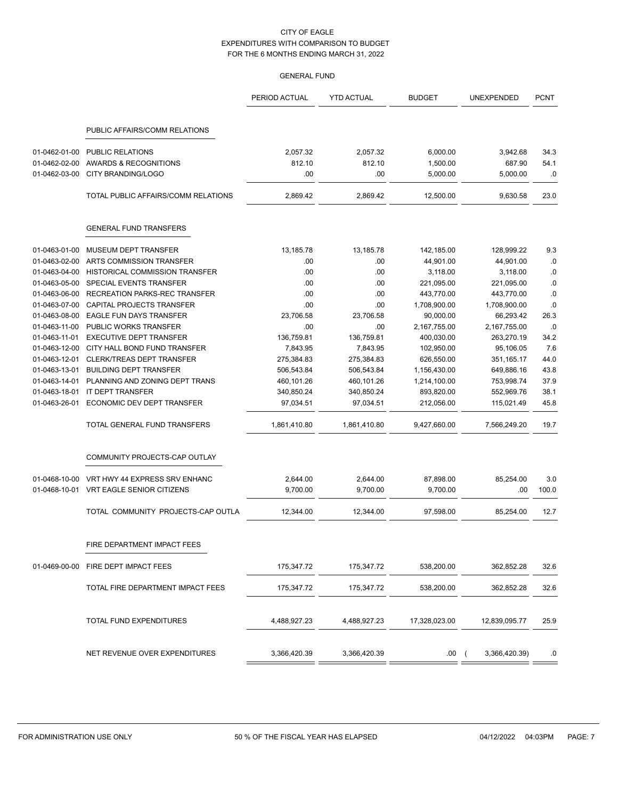|                                |                                                  | PERIOD ACTUAL      | <b>YTD ACTUAL</b>  | <b>BUDGET</b>        | UNEXPENDED         | <b>PCNT</b>  |
|--------------------------------|--------------------------------------------------|--------------------|--------------------|----------------------|--------------------|--------------|
|                                | PUBLIC AFFAIRS/COMM RELATIONS                    |                    |                    |                      |                    |              |
|                                |                                                  |                    |                    |                      |                    |              |
| 01-0462-01-00<br>01-0462-02-00 | <b>PUBLIC RELATIONS</b><br>AWARDS & RECOGNITIONS | 2,057.32<br>812.10 | 2,057.32<br>812.10 | 6,000.00<br>1,500.00 | 3,942.68<br>687.90 | 34.3<br>54.1 |
| 01-0462-03-00                  | CITY BRANDING/LOGO                               | .00                | .00                | 5,000.00             | 5,000.00           | .0           |
|                                |                                                  |                    |                    |                      |                    |              |
|                                | TOTAL PUBLIC AFFAIRS/COMM RELATIONS              | 2,869.42           | 2,869.42           | 12,500.00            | 9,630.58           | 23.0         |
|                                | <b>GENERAL FUND TRANSFERS</b>                    |                    |                    |                      |                    |              |
| 01-0463-01-00                  | MUSEUM DEPT TRANSFER                             | 13,185.78          | 13,185.78          | 142,185.00           | 128,999.22         | 9.3          |
| 01-0463-02-00                  | ARTS COMMISSION TRANSFER                         | .00                | .00                | 44,901.00            | 44,901.00          | .0           |
| 01-0463-04-00                  | HISTORICAL COMMISSION TRANSFER                   | .00                | .00                | 3,118.00             | 3,118.00           | .0           |
| 01-0463-05-00                  | SPECIAL EVENTS TRANSFER                          | .00                | .00                | 221,095.00           | 221,095.00         | .0           |
| 01-0463-06-00                  | RECREATION PARKS-REC TRANSFER                    | .00                | .00                | 443,770.00           | 443,770.00         | .0           |
| 01-0463-07-00                  | CAPITAL PROJECTS TRANSFER                        | .00                | .00                | 1,708,900.00         | 1,708,900.00       | $.0\,$       |
| 01-0463-08-00                  | <b>EAGLE FUN DAYS TRANSFER</b>                   | 23,706.58          | 23,706.58          | 90,000.00            | 66,293.42          | 26.3         |
| 01-0463-11-00                  | PUBLIC WORKS TRANSFER                            | .00                | .00                | 2,167,755.00         | 2,167,755.00       | .0           |
| 01-0463-11-01                  | <b>EXECUTIVE DEPT TRANSFER</b>                   | 136,759.81         | 136,759.81         | 400,030.00           | 263,270.19         | 34.2         |
| 01-0463-12-00                  | CITY HALL BOND FUND TRANSFER                     | 7,843.95           | 7,843.95           | 102,950.00           | 95,106.05          | 7.6          |
| 01-0463-12-01                  | CLERK/TREAS DEPT TRANSFER                        | 275,384.83         | 275,384.83         | 626,550.00           | 351,165.17         | 44.0         |
| 01-0463-13-01                  | <b>BUILDING DEPT TRANSFER</b>                    | 506,543.84         | 506,543.84         | 1,156,430.00         | 649,886.16         | 43.8         |
| 01-0463-14-01                  | PLANNING AND ZONING DEPT TRANS                   | 460,101.26         | 460,101.26         | 1,214,100.00         | 753,998.74         | 37.9         |
| 01-0463-18-01                  | IT DEPT TRANSFER                                 | 340,850.24         | 340,850.24         | 893,820.00           | 552,969.76         | 38.1         |
| 01-0463-26-01                  | ECONOMIC DEV DEPT TRANSFER                       | 97,034.51          | 97,034.51          | 212,056.00           | 115,021.49         | 45.8         |
|                                | TOTAL GENERAL FUND TRANSFERS                     | 1,861,410.80       | 1,861,410.80       | 9,427,660.00         | 7,566,249.20       | 19.7         |
|                                | COMMUNITY PROJECTS-CAP OUTLAY                    |                    |                    |                      |                    |              |
| 01-0468-10-00                  | VRT HWY 44 EXPRESS SRV ENHANC                    | 2,644.00           | 2,644.00           | 87,898.00            | 85,254.00          | 3.0          |
| 01-0468-10-01                  | VRT EAGLE SENIOR CITIZENS                        | 9,700.00           | 9,700.00           | 9,700.00             | .00                | 100.0        |
|                                | TOTAL COMMUNITY PROJECTS-CAP OUTLA               | 12,344.00          | 12.344.00          | 97,598.00            | 85,254.00          | 12.7         |
|                                | FIRE DEPARTMENT IMPACT FEES                      |                    |                    |                      |                    |              |
| 01-0469-00-00                  | FIRE DEPT IMPACT FEES                            | 175,347.72         | 175,347.72         | 538,200.00           | 362,852.28         | 32.6         |
|                                | TOTAL FIRE DEPARTMENT IMPACT FEES                | 175,347.72         | 175,347.72         | 538,200.00           | 362,852.28         | 32.6         |
|                                |                                                  |                    |                    |                      |                    |              |
|                                | TOTAL FUND EXPENDITURES                          | 4,488,927.23       | 4,488,927.23       | 17,328,023.00        | 12,839,095.77      | 25.9         |
|                                | NET REVENUE OVER EXPENDITURES                    | 3,366,420.39       | 3,366,420.39       | .00                  | 3,366,420.39)      | .0           |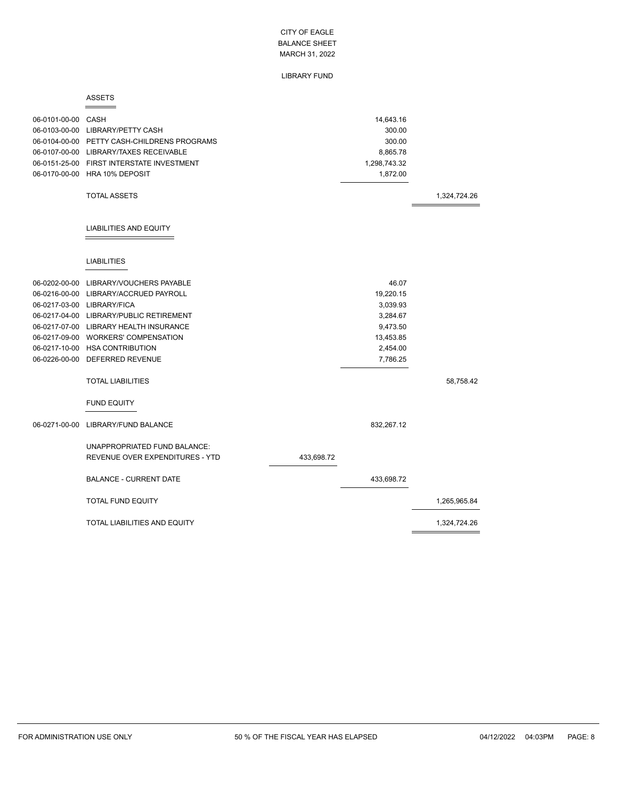#### LIBRARY FUND

#### ASSETS

| 06-0101-00-00 CASH | 06-0103-00-00 LIBRARY/PETTY CASH<br>06-0104-00-00 PETTY CASH-CHILDRENS PROGRAMS<br>06-0107-00-00 LIBRARY/TAXES RECEIVABLE<br>06-0151-25-00 FIRST INTERSTATE INVESTMENT<br>06-0170-00-00 HRA 10% DEPOSIT<br><b>TOTAL ASSETS</b> |            | 14,643.16<br>300.00<br>300.00<br>8,865.78<br>1,298,743.32<br>1,872.00 | 1,324,724.26 |
|--------------------|--------------------------------------------------------------------------------------------------------------------------------------------------------------------------------------------------------------------------------|------------|-----------------------------------------------------------------------|--------------|
|                    | <b>LIABILITIES AND EQUITY</b>                                                                                                                                                                                                  |            |                                                                       |              |
|                    | <b>LIABILITIES</b>                                                                                                                                                                                                             |            |                                                                       |              |
|                    | 06-0202-00-00 LIBRARY/VOUCHERS PAYABLE                                                                                                                                                                                         |            | 46.07                                                                 |              |
|                    | 06-0216-00-00 LIBRARY/ACCRUED PAYROLL                                                                                                                                                                                          |            | 19,220.15                                                             |              |
|                    | 06-0217-03-00 LIBRARY/FICA                                                                                                                                                                                                     |            | 3,039.93                                                              |              |
|                    | 06-0217-04-00 LIBRARY/PUBLIC RETIREMENT                                                                                                                                                                                        |            | 3,284.67                                                              |              |
|                    | 06-0217-07-00 LIBRARY HEALTH INSURANCE                                                                                                                                                                                         |            | 9,473.50                                                              |              |
|                    | 06-0217-09-00 WORKERS' COMPENSATION                                                                                                                                                                                            |            | 13,453.85                                                             |              |
|                    | 06-0217-10-00 HSA CONTRIBUTION                                                                                                                                                                                                 |            | 2,454.00                                                              |              |
|                    | 06-0226-00-00 DEFERRED REVENUE                                                                                                                                                                                                 |            | 7,786.25                                                              |              |
|                    | <b>TOTAL LIABILITIES</b>                                                                                                                                                                                                       |            |                                                                       | 58,758.42    |
|                    | <b>FUND EQUITY</b>                                                                                                                                                                                                             |            |                                                                       |              |
| 06-0271-00-00      | LIBRARY/FUND BALANCE                                                                                                                                                                                                           |            | 832,267.12                                                            |              |
|                    | UNAPPROPRIATED FUND BALANCE:                                                                                                                                                                                                   |            |                                                                       |              |
|                    | REVENUE OVER EXPENDITURES - YTD                                                                                                                                                                                                | 433,698.72 |                                                                       |              |
|                    | <b>BALANCE - CURRENT DATE</b>                                                                                                                                                                                                  |            | 433,698.72                                                            |              |
|                    | <b>TOTAL FUND EQUITY</b>                                                                                                                                                                                                       |            |                                                                       | 1,265,965.84 |
|                    | TOTAL LIABILITIES AND EQUITY                                                                                                                                                                                                   |            |                                                                       | 1,324,724.26 |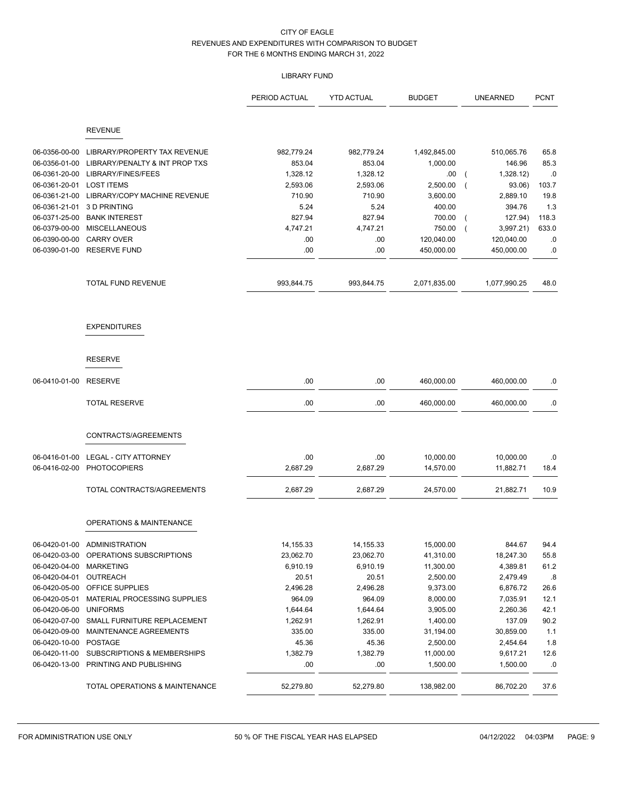# LIBRARY FUND

|               |                                        | PERIOD ACTUAL | <b>YTD ACTUAL</b> | <b>BUDGET</b> | <b>UNEARNED</b>                     | <b>PCNT</b> |
|---------------|----------------------------------------|---------------|-------------------|---------------|-------------------------------------|-------------|
|               | <b>REVENUE</b>                         |               |                   |               |                                     |             |
|               |                                        |               |                   |               |                                     |             |
| 06-0356-00-00 | LIBRARY/PROPERTY TAX REVENUE           | 982,779.24    | 982,779.24        | 1,492,845.00  | 510,065.76                          | 65.8        |
| 06-0356-01-00 | LIBRARY/PENALTY & INT PROP TXS         | 853.04        | 853.04            | 1,000.00      | 146.96                              | 85.3        |
| 06-0361-20-00 | LIBRARY/FINES/FEES                     | 1,328.12      | 1,328.12          | .00           | 1,328.12)<br>$\overline{ }$         | .0          |
| 06-0361-20-01 | <b>LOST ITEMS</b>                      | 2,593.06      | 2,593.06          | 2,500.00      | 93.06)<br>$\overline{\mathcal{L}}$  | 103.7       |
| 06-0361-21-00 | LIBRARY/COPY MACHINE REVENUE           | 710.90        | 710.90            | 3,600.00      | 2,889.10                            | 19.8        |
| 06-0361-21-01 | 3 D PRINTING                           | 5.24          | 5.24              | 400.00        | 394.76                              | 1.3         |
| 06-0371-25-00 | <b>BANK INTEREST</b>                   | 827.94        | 827.94            | 700.00        | 127.94)<br>$\overline{\mathcal{L}}$ | 118.3       |
| 06-0379-00-00 | <b>MISCELLANEOUS</b>                   | 4,747.21      | 4,747.21          | 750.00        | 3,997.21<br>$\overline{ }$          | 633.0       |
| 06-0390-00-00 | <b>CARRY OVER</b>                      | .00           | .00               | 120,040.00    | 120,040.00                          | .0          |
| 06-0390-01-00 | <b>RESERVE FUND</b>                    | .00           | .00               | 450,000.00    | 450,000.00                          | .0          |
|               | TOTAL FUND REVENUE                     | 993,844.75    | 993,844.75        | 2,071,835.00  | 1,077,990.25                        | 48.0        |
|               | <b>EXPENDITURES</b>                    |               |                   |               |                                     |             |
|               | <b>RESERVE</b>                         |               |                   |               |                                     |             |
| 06-0410-01-00 | <b>RESERVE</b>                         | .00           | .00               | 460,000.00    | 460,000.00                          | .0          |
|               | <b>TOTAL RESERVE</b>                   | .00           | .00               | 460,000.00    | 460,000.00                          | .0          |
|               | CONTRACTS/AGREEMENTS                   |               |                   |               |                                     |             |
| 06-0416-01-00 | <b>LEGAL - CITY ATTORNEY</b>           | .00           | .00               | 10,000.00     | 10,000.00                           | .0          |
| 06-0416-02-00 | <b>PHOTOCOPIERS</b>                    | 2,687.29      | 2,687.29          | 14,570.00     | 11,882.71                           | 18.4        |
|               | TOTAL CONTRACTS/AGREEMENTS             | 2,687.29      | 2,687.29          | 24,570.00     | 21,882.71                           | 10.9        |
|               | <b>OPERATIONS &amp; MAINTENANCE</b>    |               |                   |               |                                     |             |
|               | 06-0420-01-00 ADMINISTRATION           | 14,155.33     | 14,155.33         | 15,000.00     | 844.67                              | 94.4        |
| 06-0420-03-00 | OPERATIONS SUBSCRIPTIONS               | 23,062.70     | 23,062.70         | 41,310.00     | 18,247.30                           | 55.8        |
| 06-0420-04-00 | <b>MARKETING</b>                       | 6,910.19      | 6,910.19          | 11,300.00     | 4,389.81                            | 61.2        |
| 06-0420-04-01 | OUTREACH                               | 20.51         | 20.51             | 2,500.00      | 2,479.49                            | .8          |
| 06-0420-05-00 | OFFICE SUPPLIES                        | 2,496.28      | 2,496.28          | 9,373.00      | 6,876.72                            | 26.6        |
| 06-0420-05-01 | MATERIAL PROCESSING SUPPLIES           | 964.09        | 964.09            | 8,000.00      | 7,035.91                            | 12.1        |
| 06-0420-06-00 | <b>UNIFORMS</b>                        | 1,644.64      | 1,644.64          | 3,905.00      | 2,260.36                            | 42.1        |
| 06-0420-07-00 | SMALL FURNITURE REPLACEMENT            | 1,262.91      | 1,262.91          | 1,400.00      | 137.09                              | 90.2        |
| 06-0420-09-00 | MAINTENANCE AGREEMENTS                 | 335.00        | 335.00            | 31,194.00     | 30,859.00                           | 1.1         |
| 06-0420-10-00 | <b>POSTAGE</b>                         | 45.36         | 45.36             | 2,500.00      | 2,454.64                            | 1.8         |
| 06-0420-11-00 | <b>SUBSCRIPTIONS &amp; MEMBERSHIPS</b> | 1,382.79      | 1,382.79          | 11,000.00     | 9,617.21                            | 12.6        |
| 06-0420-13-00 | PRINTING AND PUBLISHING                | .00           | .00               | 1,500.00      | 1,500.00                            | .0          |
|               | TOTAL OPERATIONS & MAINTENANCE         | 52,279.80     | 52,279.80         | 138,982.00    | 86,702.20                           | 37.6        |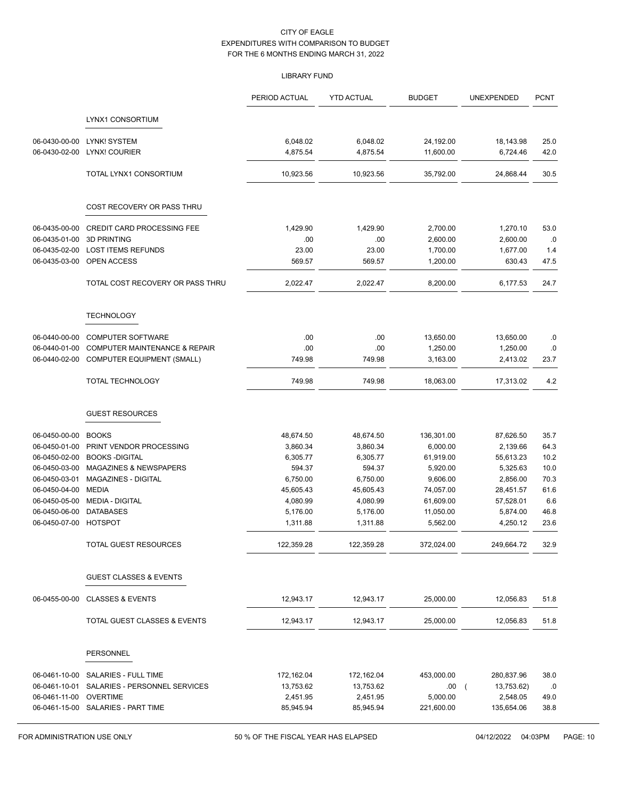# LIBRARY FUND

|                                |                                                             | PERIOD ACTUAL        | <b>YTD ACTUAL</b>    | <b>BUDGET</b>         | UNEXPENDED               | <b>PCNT</b>  |
|--------------------------------|-------------------------------------------------------------|----------------------|----------------------|-----------------------|--------------------------|--------------|
|                                | LYNX1 CONSORTIUM                                            |                      |                      |                       |                          |              |
| 06-0430-00-00                  | LYNK! SYSTEM                                                | 6,048.02             | 6,048.02             | 24,192.00             | 18,143.98                | 25.0         |
| 06-0430-02-00                  | LYNX! COURIER                                               | 4,875.54             | 4,875.54             | 11,600.00             | 6,724.46                 | 42.0         |
|                                | TOTAL LYNX1 CONSORTIUM                                      | 10,923.56            | 10,923.56            | 35,792.00             | 24,868.44                | 30.5         |
|                                | COST RECOVERY OR PASS THRU                                  |                      |                      |                       |                          |              |
|                                |                                                             |                      |                      | 2,700.00              |                          |              |
| 06-0435-00-00<br>06-0435-01-00 | CREDIT CARD PROCESSING FEE<br><b>3D PRINTING</b>            | 1,429.90<br>.00      | 1,429.90<br>.00      | 2,600.00              | 1,270.10<br>2,600.00     | 53.0<br>.0   |
| 06-0435-02-00                  | <b>LOST ITEMS REFUNDS</b>                                   | 23.00                | 23.00                | 1,700.00              | 1,677.00                 | 1.4          |
| 06-0435-03-00                  | OPEN ACCESS                                                 | 569.57               | 569.57               | 1,200.00              | 630.43                   | 47.5         |
|                                | TOTAL COST RECOVERY OR PASS THRU                            | 2,022.47             | 2,022.47             | 8,200.00              | 6,177.53                 | 24.7         |
|                                | <b>TECHNOLOGY</b>                                           |                      |                      |                       |                          |              |
|                                |                                                             |                      |                      |                       |                          |              |
| 06-0440-00-00                  | <b>COMPUTER SOFTWARE</b>                                    | .00                  | .00                  | 13,650.00             | 13,650.00                | .0           |
| 06-0440-01-00<br>06-0440-02-00 | COMPUTER MAINTENANCE & REPAIR<br>COMPUTER EQUIPMENT (SMALL) | .00<br>749.98        | .00<br>749.98        | 1,250.00<br>3,163.00  | 1,250.00<br>2,413.02     | .0<br>23.7   |
|                                | <b>TOTAL TECHNOLOGY</b>                                     | 749.98               | 749.98               | 18,063.00             | 17,313.02                | 4.2          |
|                                | <b>GUEST RESOURCES</b>                                      |                      |                      |                       |                          |              |
| 06-0450-00-00                  | <b>BOOKS</b>                                                | 48,674.50            | 48,674.50            | 136,301.00            | 87,626.50                | 35.7         |
| 06-0450-01-00                  | PRINT VENDOR PROCESSING                                     | 3,860.34             | 3,860.34             | 6,000.00              | 2,139.66                 | 64.3         |
| 06-0450-02-00                  | <b>BOOKS-DIGITAL</b>                                        | 6,305.77             | 6,305.77             | 61,919.00             | 55,613.23                | 10.2         |
| 06-0450-03-00                  | <b>MAGAZINES &amp; NEWSPAPERS</b>                           | 594.37               | 594.37               | 5,920.00              | 5,325.63                 | 10.0         |
| 06-0450-03-01                  | MAGAZINES - DIGITAL                                         | 6,750.00             | 6,750.00             | 9,606.00              | 2,856.00                 | 70.3         |
| 06-0450-04-00                  | <b>MEDIA</b>                                                | 45,605.43            | 45,605.43            | 74,057.00             | 28,451.57                | 61.6         |
| 06-0450-05-00                  | <b>MEDIA - DIGITAL</b>                                      | 4,080.99             | 4,080.99             | 61,609.00             | 57,528.01                | 6.6          |
| 06-0450-06-00<br>06-0450-07-00 | <b>DATABASES</b><br><b>HOTSPOT</b>                          | 5,176.00<br>1,311.88 | 5,176.00<br>1,311.88 | 11,050.00<br>5,562.00 | 5,874.00<br>4,250.12     | 46.8<br>23.6 |
|                                | TOTAL GUEST RESOURCES                                       | 122,359.28           | 122,359.28           | 372,024.00            | 249,664.72               | 32.9         |
|                                | <b>GUEST CLASSES &amp; EVENTS</b>                           |                      |                      |                       |                          |              |
| 06-0455-00-00                  | <b>CLASSES &amp; EVENTS</b>                                 | 12,943.17            | 12,943.17            | 25,000.00             | 12,056.83                | 51.8         |
|                                | TOTAL GUEST CLASSES & EVENTS                                | 12,943.17            | 12,943.17            | 25,000.00             | 12,056.83                | 51.8         |
|                                | PERSONNEL                                                   |                      |                      |                       |                          |              |
| 06-0461-10-00                  | SALARIES - FULL TIME                                        | 172,162.04           | 172,162.04           | 453,000.00            | 280,837.96               | 38.0         |
| 06-0461-10-01                  | SALARIES - PERSONNEL SERVICES                               | 13,753.62            | 13,753.62            | .00.                  | 13,753.62)<br>$\sqrt{2}$ | .0           |
| 06-0461-11-00                  | <b>OVERTIME</b>                                             | 2,451.95             | 2,451.95             | 5,000.00              | 2,548.05                 | 49.0         |
|                                | 06-0461-15-00 SALARIES - PART TIME                          | 85,945.94            | 85,945.94            | 221,600.00            | 135,654.06               | 38.8         |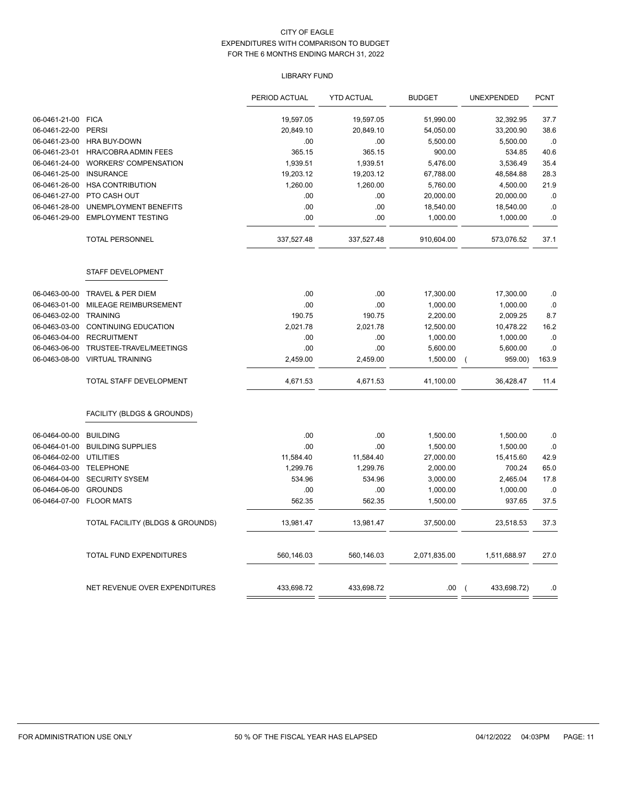# LIBRARY FUND

|               |                                  | PERIOD ACTUAL | <b>YTD ACTUAL</b> | <b>BUDGET</b> | <b>UNEXPENDED</b>             | <b>PCNT</b> |
|---------------|----------------------------------|---------------|-------------------|---------------|-------------------------------|-------------|
| 06-0461-21-00 | <b>FICA</b>                      | 19,597.05     | 19,597.05         | 51,990.00     | 32,392.95                     | 37.7        |
| 06-0461-22-00 | <b>PERSI</b>                     | 20,849.10     | 20,849.10         | 54,050.00     | 33,200.90                     | 38.6        |
| 06-0461-23-00 | <b>HRA BUY-DOWN</b>              | .00           | .00               | 5,500.00      | 5,500.00                      | $.0\,$      |
| 06-0461-23-01 | HRA/COBRA ADMIN FEES             | 365.15        | 365.15            | 900.00        | 534.85                        | 40.6        |
| 06-0461-24-00 | <b>WORKERS' COMPENSATION</b>     | 1,939.51      | 1,939.51          | 5,476.00      | 3,536.49                      | 35.4        |
| 06-0461-25-00 | <b>INSURANCE</b>                 | 19,203.12     | 19,203.12         | 67,788.00     | 48,584.88                     | 28.3        |
| 06-0461-26-00 | <b>HSA CONTRIBUTION</b>          | 1,260.00      | 1,260.00          | 5,760.00      | 4,500.00                      | 21.9        |
| 06-0461-27-00 | PTO CASH OUT                     | .00           | .00               | 20,000.00     | 20,000.00                     | .0          |
| 06-0461-28-00 | UNEMPLOYMENT BENEFITS            | .00           | .00               | 18,540.00     | 18,540.00                     | .0          |
| 06-0461-29-00 | <b>EMPLOYMENT TESTING</b>        | .00           | .00               | 1,000.00      | 1,000.00                      | $\cdot$ 0   |
|               | <b>TOTAL PERSONNEL</b>           | 337,527.48    | 337,527.48        | 910,604.00    | 573,076.52                    | 37.1        |
|               | STAFF DEVELOPMENT                |               |                   |               |                               |             |
| 06-0463-00-00 | <b>TRAVEL &amp; PER DIEM</b>     | .00           | .00               | 17,300.00     | 17,300.00                     | .0          |
| 06-0463-01-00 | MILEAGE REIMBURSEMENT            | .00           | .00               | 1,000.00      | 1,000.00                      | .0          |
| 06-0463-02-00 | <b>TRAINING</b>                  | 190.75        | 190.75            | 2,200.00      | 2,009.25                      | 8.7         |
| 06-0463-03-00 | CONTINUING EDUCATION             | 2,021.78      | 2,021.78          | 12,500.00     | 10,478.22                     | 16.2        |
| 06-0463-04-00 | <b>RECRUITMENT</b>               | .00           | .00               | 1,000.00      | 1,000.00                      | .0          |
| 06-0463-06-00 | TRUSTEE-TRAVEL/MEETINGS          | .00           | .00               | 5,600.00      | 5,600.00                      | $.0$        |
| 06-0463-08-00 | <b>VIRTUAL TRAINING</b>          | 2,459.00      | 2,459.00          | 1,500.00      | 959.00)<br>$\overline{ }$     | 163.9       |
|               | TOTAL STAFF DEVELOPMENT          | 4,671.53      | 4,671.53          | 41,100.00     | 36,428.47                     | 11.4        |
|               | FACILITY (BLDGS & GROUNDS)       |               |                   |               |                               |             |
| 06-0464-00-00 | <b>BUILDING</b>                  | .00           | .00               | 1,500.00      | 1,500.00                      | .0          |
| 06-0464-01-00 | <b>BUILDING SUPPLIES</b>         | .00           | .00               | 1,500.00      | 1,500.00                      | $.0$        |
| 06-0464-02-00 | <b>UTILITIES</b>                 | 11,584.40     | 11,584.40         | 27,000.00     | 15,415.60                     | 42.9        |
| 06-0464-03-00 | <b>TELEPHONE</b>                 | 1,299.76      | 1,299.76          | 2,000.00      | 700.24                        | 65.0        |
| 06-0464-04-00 | <b>SECURITY SYSEM</b>            | 534.96        | 534.96            | 3,000.00      | 2,465.04                      | 17.8        |
| 06-0464-06-00 | <b>GROUNDS</b>                   | .00           | .00               | 1,000.00      | 1,000.00                      | .0          |
| 06-0464-07-00 | <b>FLOOR MATS</b>                | 562.35        | 562.35            | 1,500.00      | 937.65                        | 37.5        |
|               | TOTAL FACILITY (BLDGS & GROUNDS) | 13,981.47     | 13,981.47         | 37,500.00     | 23,518.53                     | 37.3        |
|               | TOTAL FUND EXPENDITURES          | 560,146.03    | 560,146.03        | 2,071,835.00  | 1,511,688.97                  | 27.0        |
|               | NET REVENUE OVER EXPENDITURES    | 433,698.72    | 433,698.72        | .00           | 433,698.72)<br>$\overline{ }$ | .0          |
|               |                                  |               |                   |               |                               |             |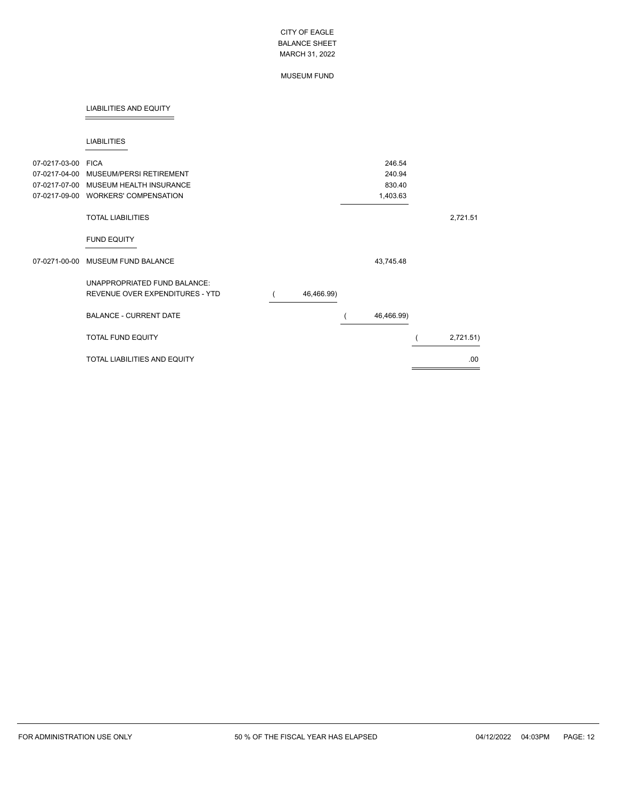## MUSEUM FUND

## LIABILITIES AND EQUITY

#### LIABILITIES

| 07-0217-03-00 FICA<br>07-0217-04-00<br>07-0217-07-00<br>07-0217-09-00 | MUSEUM/PERSI RETIREMENT<br>MUSEUM HEALTH INSURANCE<br><b>WORKERS' COMPENSATION</b> |            | 246.54<br>240.94<br>830.40<br>1,403.63 |           |
|-----------------------------------------------------------------------|------------------------------------------------------------------------------------|------------|----------------------------------------|-----------|
|                                                                       | <b>TOTAL LIABILITIES</b>                                                           |            |                                        | 2,721.51  |
|                                                                       | <b>FUND EQUITY</b>                                                                 |            |                                        |           |
|                                                                       | 07-0271-00-00 MUSEUM FUND BALANCE                                                  |            | 43,745.48                              |           |
|                                                                       | UNAPPROPRIATED FUND BALANCE:<br>REVENUE OVER EXPENDITURES - YTD                    | 46,466.99) |                                        |           |
|                                                                       | <b>BALANCE - CURRENT DATE</b>                                                      |            | 46,466.99)                             |           |
|                                                                       | <b>TOTAL FUND EQUITY</b>                                                           |            |                                        | 2,721.51) |
|                                                                       | <b>TOTAL LIABILITIES AND EQUITY</b>                                                |            |                                        | .00.      |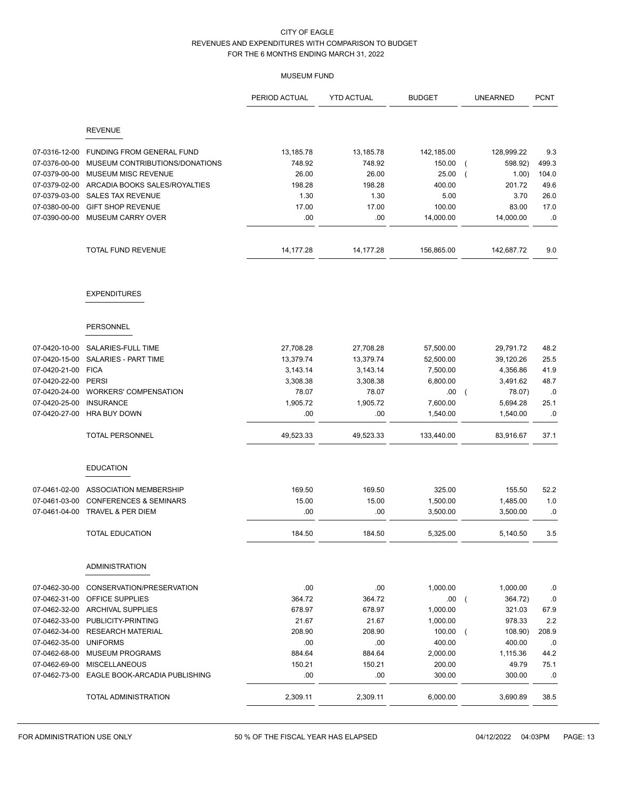# MUSEUM FUND

|                                |                                                      | PERIOD ACTUAL | <b>YTD ACTUAL</b> | <b>BUDGET</b>       | <b>UNEARNED</b>           | <b>PCNT</b> |
|--------------------------------|------------------------------------------------------|---------------|-------------------|---------------------|---------------------------|-------------|
|                                | <b>REVENUE</b>                                       |               |                   |                     |                           |             |
|                                |                                                      |               |                   |                     |                           |             |
| 07-0316-12-00                  | <b>FUNDING FROM GENERAL FUND</b>                     | 13,185.78     | 13,185.78         | 142,185.00          | 128,999.22                | 9.3         |
| 07-0376-00-00                  | MUSEUM CONTRIBUTIONS/DONATIONS                       | 748.92        | 748.92            | 150.00              | 598.92)                   | 499.3       |
| 07-0379-00-00                  | MUSEUM MISC REVENUE                                  | 26.00         | 26.00             | 25.00               | 1.00)                     | 104.0       |
| 07-0379-02-00<br>07-0379-03-00 | ARCADIA BOOKS SALES/ROYALTIES                        | 198.28        | 198.28            | 400.00              | 201.72                    | 49.6        |
| 07-0380-00-00                  | <b>SALES TAX REVENUE</b>                             | 1.30          | 1.30              | 5.00                | 3.70                      | 26.0        |
|                                | <b>GIFT SHOP REVENUE</b><br><b>MUSEUM CARRY OVER</b> | 17.00         | 17.00             | 100.00<br>14,000.00 | 83.00                     | 17.0        |
| 07-0390-00-00                  |                                                      | .00           | .00.              |                     | 14,000.00                 | .0          |
|                                | TOTAL FUND REVENUE                                   | 14, 177. 28   | 14,177.28         | 156,865.00          | 142,687.72                | 9.0         |
|                                | <b>EXPENDITURES</b>                                  |               |                   |                     |                           |             |
|                                | <b>PERSONNEL</b>                                     |               |                   |                     |                           |             |
|                                |                                                      |               |                   |                     |                           |             |
| 07-0420-10-00                  | SALARIES-FULL TIME                                   | 27,708.28     | 27,708.28         | 57,500.00           | 29,791.72                 | 48.2        |
| 07-0420-15-00                  | <b>SALARIES - PART TIME</b>                          | 13,379.74     | 13,379.74         | 52,500.00           | 39,120.26                 | 25.5        |
| 07-0420-21-00                  | <b>FICA</b>                                          | 3,143.14      | 3,143.14          | 7,500.00            | 4,356.86                  | 41.9        |
| 07-0420-22-00                  | <b>PERSI</b>                                         | 3,308.38      | 3,308.38          | 6,800.00            | 3,491.62                  | 48.7        |
| 07-0420-24-00                  | <b>WORKERS' COMPENSATION</b>                         | 78.07         | 78.07             | .00.                | 78.07)<br>$\overline{ }$  | .0          |
| 07-0420-25-00                  | <b>INSURANCE</b>                                     | 1,905.72      | 1,905.72          | 7,600.00            | 5,694.28                  | 25.1        |
| 07-0420-27-00                  | <b>HRA BUY DOWN</b>                                  | .00           | .00               | 1,540.00            | 1,540.00                  | .0          |
|                                | <b>TOTAL PERSONNEL</b>                               | 49,523.33     | 49,523.33         | 133,440.00          | 83,916.67                 | 37.1        |
|                                | <b>EDUCATION</b>                                     |               |                   |                     |                           |             |
| 07-0461-02-00                  | ASSOCIATION MEMBERSHIP                               | 169.50        | 169.50            | 325.00              | 155.50                    | 52.2        |
| 07-0461-03-00                  | <b>CONFERENCES &amp; SEMINARS</b>                    | 15.00         | 15.00             | 1,500.00            | 1,485.00                  | 1.0         |
| 07-0461-04-00                  | TRAVEL & PER DIEM                                    | .00           | .00.              | 3,500.00            | 3,500.00                  | .0          |
|                                | <b>TOTAL EDUCATION</b>                               | 184.50        | 184.50            | 5,325.00            | 5,140.50                  | 3.5         |
|                                | <b>ADMINISTRATION</b>                                |               |                   |                     |                           |             |
| 07-0462-30-00                  | CONSERVATION/PRESERVATION                            | .00.          | .00               | 1,000.00            | 1,000.00                  | .0          |
| 07-0462-31-00                  | <b>OFFICE SUPPLIES</b>                               | 364.72        | 364.72            | .00                 | 364.72)<br>$\sqrt{ }$     | .0          |
|                                | 07-0462-32-00 ARCHIVAL SUPPLIES                      | 678.97        | 678.97            | 1,000.00            | 321.03                    | 67.9        |
|                                | 07-0462-33-00 PUBLICITY-PRINTING                     | 21.67         | 21.67             | 1,000.00            | 978.33                    | 2.2         |
|                                | 07-0462-34-00 RESEARCH MATERIAL                      | 208.90        | 208.90            | 100.00              | 108.90)<br>$\overline{ }$ | 208.9       |
| 07-0462-35-00                  | <b>UNIFORMS</b>                                      | .00           | .00               | 400.00              | 400.00                    | .0          |
| 07-0462-68-00                  | <b>MUSEUM PROGRAMS</b>                               | 884.64        | 884.64            | 2,000.00            | 1,115.36                  | 44.2        |
| 07-0462-69-00                  | <b>MISCELLANEOUS</b>                                 | 150.21        | 150.21            | 200.00              | 49.79                     | 75.1        |
|                                | 07-0462-73-00 EAGLE BOOK-ARCADIA PUBLISHING          | .00.          | .00.              | 300.00              | 300.00                    | .0          |
|                                | TOTAL ADMINISTRATION                                 | 2,309.11      | 2,309.11          | 6,000.00            | 3,690.89                  | 38.5        |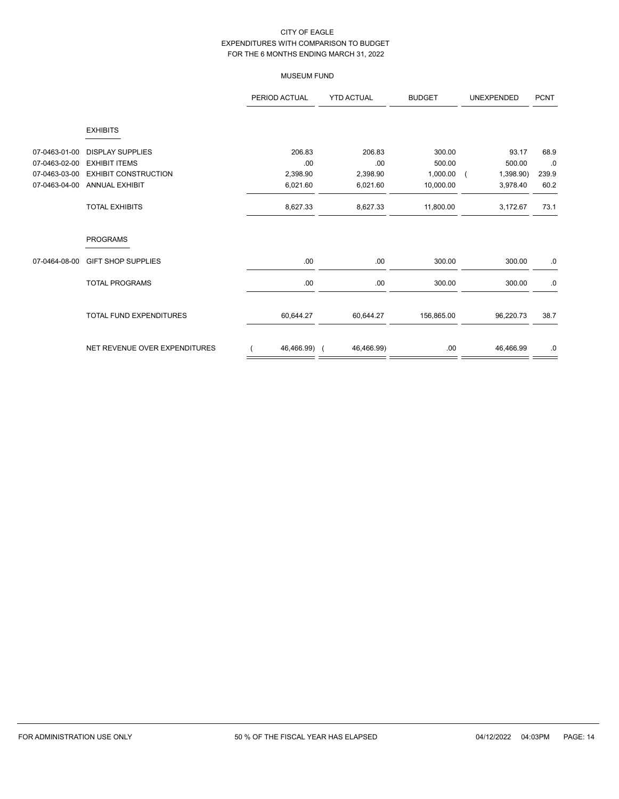# MUSEUM FUND

|               |                                | PERIOD ACTUAL | <b>YTD ACTUAL</b> | <b>BUDGET</b> | UNEXPENDED |       |
|---------------|--------------------------------|---------------|-------------------|---------------|------------|-------|
|               | <b>EXHIBITS</b>                |               |                   |               |            |       |
| 07-0463-01-00 | <b>DISPLAY SUPPLIES</b>        | 206.83        | 206.83            | 300.00        | 93.17      | 68.9  |
| 07-0463-02-00 | <b>EXHIBIT ITEMS</b>           | .00           | .00               | 500.00        | 500.00     | .0    |
| 07-0463-03-00 | <b>EXHIBIT CONSTRUCTION</b>    | 2,398.90      | 2,398.90          | 1,000.00      | 1,398.90)  | 239.9 |
| 07-0463-04-00 | <b>ANNUAL EXHIBIT</b>          | 6,021.60      | 6,021.60          | 10,000.00     | 3,978.40   | 60.2  |
|               | <b>TOTAL EXHIBITS</b>          | 8,627.33      | 8,627.33          | 11,800.00     | 3,172.67   | 73.1  |
|               | <b>PROGRAMS</b>                |               |                   |               |            |       |
| 07-0464-08-00 | <b>GIFT SHOP SUPPLIES</b>      | .00           | .00               | 300.00        | 300.00     | .0    |
|               | <b>TOTAL PROGRAMS</b>          | .00           | .00               | 300.00        | 300.00     | .0    |
|               | <b>TOTAL FUND EXPENDITURES</b> | 60,644.27     | 60,644.27         | 156,865.00    | 96,220.73  | 38.7  |
|               | NET REVENUE OVER EXPENDITURES  | 46,466.99) (  | 46,466.99)        | .00           | 46,466.99  | .0    |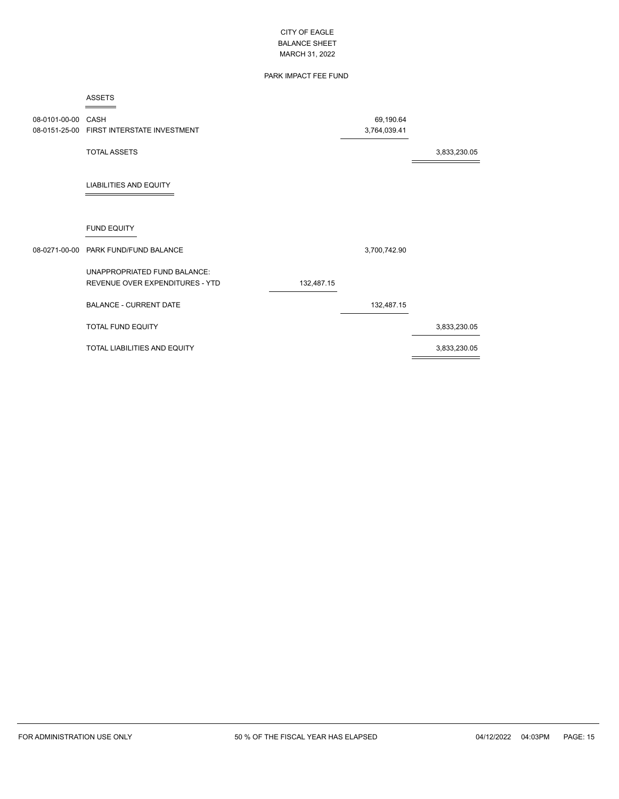# PARK IMPACT FEE FUND

#### ASSETS

| 08-0101-00-00 CASH | 08-0151-25-00 FIRST INTERSTATE INVESTMENT                       |            | 69,190.64<br>3,764,039.41 |              |
|--------------------|-----------------------------------------------------------------|------------|---------------------------|--------------|
|                    | <b>TOTAL ASSETS</b>                                             |            |                           | 3,833,230.05 |
|                    | <b>LIABILITIES AND EQUITY</b>                                   |            |                           |              |
|                    | <b>FUND EQUITY</b>                                              |            |                           |              |
|                    | 08-0271-00-00 PARK FUND/FUND BALANCE                            |            | 3,700,742.90              |              |
|                    | UNAPPROPRIATED FUND BALANCE:<br>REVENUE OVER EXPENDITURES - YTD | 132,487.15 |                           |              |
|                    | <b>BALANCE - CURRENT DATE</b>                                   |            | 132,487.15                |              |
|                    | TOTAL FUND EQUITY                                               |            |                           | 3,833,230.05 |
|                    | <b>TOTAL LIABILITIES AND EQUITY</b>                             |            |                           | 3,833,230.05 |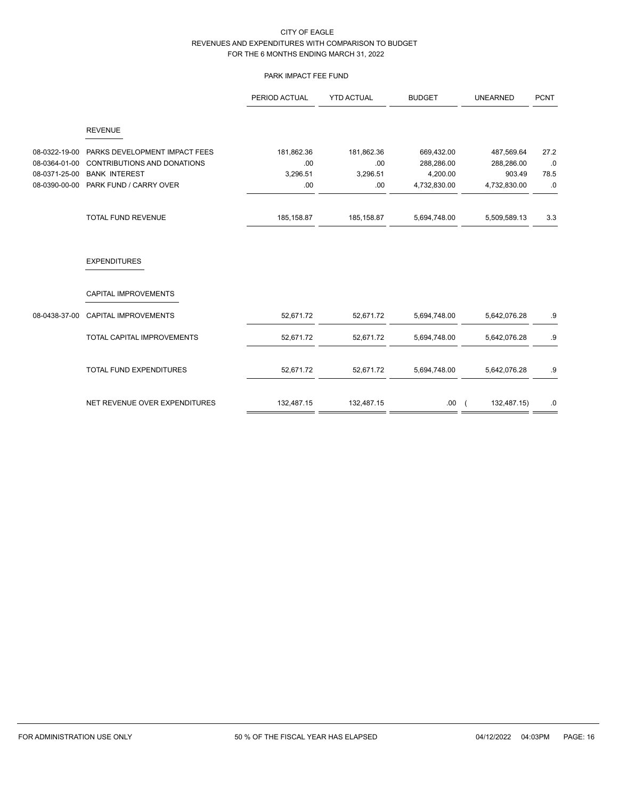# PARK IMPACT FEE FUND

|               |                                    | PERIOD ACTUAL | <b>YTD ACTUAL</b> | <b>BUDGET</b> | <b>UNEARNED</b>               | <b>PCNT</b> |
|---------------|------------------------------------|---------------|-------------------|---------------|-------------------------------|-------------|
|               | <b>REVENUE</b>                     |               |                   |               |                               |             |
| 08-0322-19-00 | PARKS DEVELOPMENT IMPACT FEES      | 181,862.36    | 181,862.36        | 669,432.00    | 487,569.64                    | 27.2        |
| 08-0364-01-00 | <b>CONTRIBUTIONS AND DONATIONS</b> | .00           | .00               | 288,286.00    | 288,286.00                    | .0          |
| 08-0371-25-00 | <b>BANK INTEREST</b>               | 3,296.51      | 3,296.51          | 4,200.00      | 903.49                        | 78.5        |
| 08-0390-00-00 | PARK FUND / CARRY OVER             | .00.          | .00.              | 4,732,830.00  | 4,732,830.00                  | .0          |
|               | <b>TOTAL FUND REVENUE</b>          | 185,158.87    | 185,158.87        | 5,694,748.00  | 5,509,589.13                  | 3.3         |
|               | <b>EXPENDITURES</b>                |               |                   |               |                               |             |
|               | <b>CAPITAL IMPROVEMENTS</b>        |               |                   |               |                               |             |
| 08-0438-37-00 | CAPITAL IMPROVEMENTS               | 52,671.72     | 52,671.72         | 5,694,748.00  | 5,642,076.28                  | .9          |
|               | <b>TOTAL CAPITAL IMPROVEMENTS</b>  | 52,671.72     | 52,671.72         | 5,694,748.00  | 5,642,076.28                  | .9          |
|               | TOTAL FUND EXPENDITURES            | 52,671.72     | 52,671.72         | 5,694,748.00  | 5,642,076.28                  | .9          |
|               | NET REVENUE OVER EXPENDITURES      | 132,487.15    | 132,487.15        | .00.          | 132,487.15)<br>$\overline{ }$ | .0          |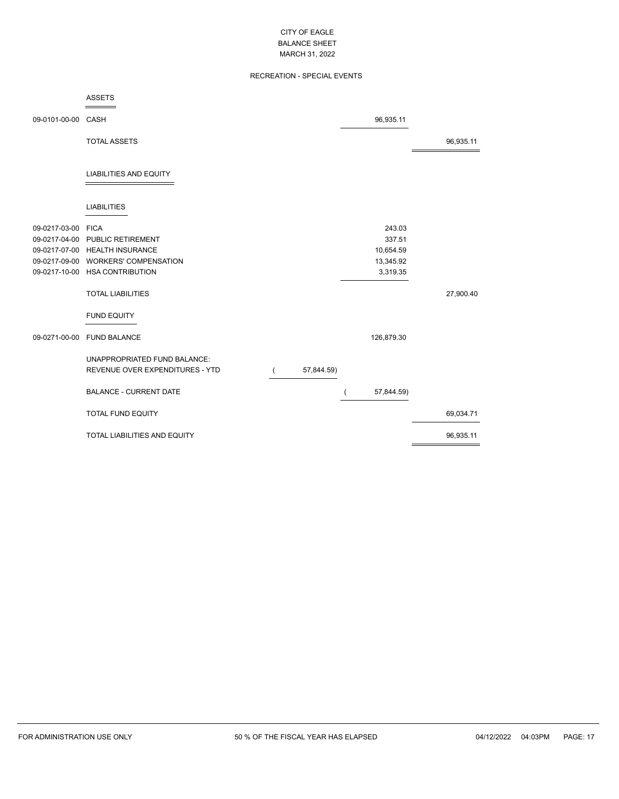# RECREATION - SPECIAL EVENTS

|                    | <b>ASSETS</b>                       |            |            |           |
|--------------------|-------------------------------------|------------|------------|-----------|
| 09-0101-00-00      | CASH                                |            | 96,935.11  |           |
|                    | <b>TOTAL ASSETS</b>                 |            |            | 96,935.11 |
|                    | <b>LIABILITIES AND EQUITY</b>       |            |            |           |
|                    | <b>LIABILITIES</b>                  |            |            |           |
| 09-0217-03-00 FICA |                                     |            | 243.03     |           |
|                    | 09-0217-04-00 PUBLIC RETIREMENT     |            | 337.51     |           |
|                    | 09-0217-07-00 HEALTH INSURANCE      |            | 10,654.59  |           |
|                    | 09-0217-09-00 WORKERS' COMPENSATION |            | 13,345.92  |           |
|                    | 09-0217-10-00 HSA CONTRIBUTION      |            | 3,319.35   |           |
|                    | <b>TOTAL LIABILITIES</b>            |            |            | 27,900.40 |
|                    | <b>FUND EQUITY</b>                  |            |            |           |
| 09-0271-00-00      | <b>FUND BALANCE</b>                 |            | 126,879.30 |           |
|                    | UNAPPROPRIATED FUND BALANCE:        |            |            |           |
|                    | REVENUE OVER EXPENDITURES - YTD     | 57,844.59) |            |           |
|                    | <b>BALANCE - CURRENT DATE</b>       |            | 57,844.59) |           |
|                    | <b>TOTAL FUND EQUITY</b>            |            |            | 69,034.71 |
|                    | TOTAL LIABILITIES AND EQUITY        |            |            | 96,935.11 |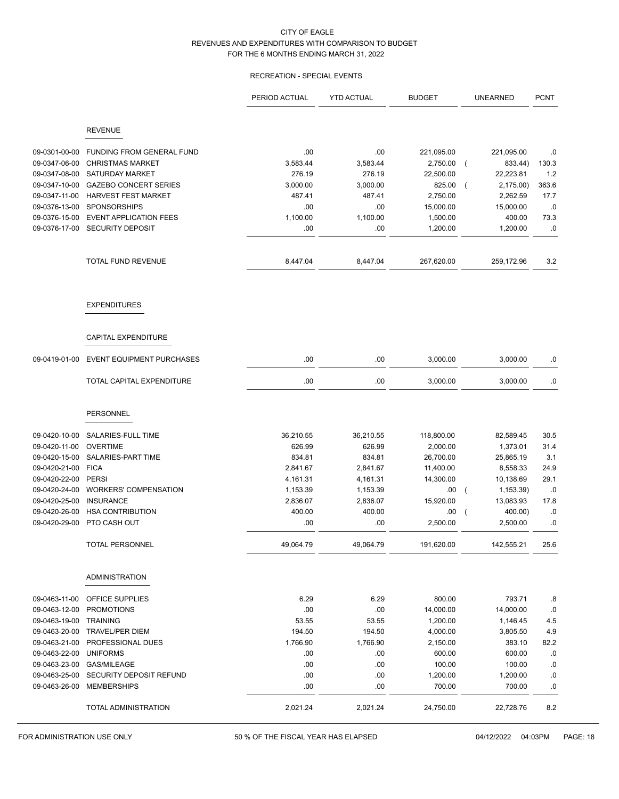## RECREATION - SPECIAL EVENTS

|               |                                                                 | PERIOD ACTUAL | <b>YTD ACTUAL</b> | <b>BUDGET</b> | <b>UNEARNED</b>             | <b>PCNT</b> |
|---------------|-----------------------------------------------------------------|---------------|-------------------|---------------|-----------------------------|-------------|
|               | <b>REVENUE</b>                                                  |               |                   |               |                             |             |
|               |                                                                 |               |                   |               |                             |             |
| 09-0301-00-00 | FUNDING FROM GENERAL FUND                                       | .00           | .00               | 221,095.00    | 221,095.00                  | .0          |
| 09-0347-06-00 | <b>CHRISTMAS MARKET</b>                                         | 3,583.44      | 3,583.44          | 2,750.00      | 833.44)<br>$\overline{ }$   | 130.3       |
| 09-0347-08-00 | <b>SATURDAY MARKET</b>                                          | 276.19        | 276.19            | 22,500.00     | 22,223.81                   | 1.2         |
| 09-0347-10-00 | <b>GAZEBO CONCERT SERIES</b>                                    | 3,000.00      | 3,000.00          | 825.00        | 2,175.00)<br>$\overline{ }$ | 363.6       |
| 09-0347-11-00 | <b>HARVEST FEST MARKET</b>                                      | 487.41        | 487.41            | 2,750.00      | 2,262.59                    | 17.7        |
| 09-0376-13-00 | <b>SPONSORSHIPS</b>                                             | .00           | .00               | 15,000.00     | 15,000.00                   | .0          |
| 09-0376-15-00 | <b>EVENT APPLICATION FEES</b><br>09-0376-17-00 SECURITY DEPOSIT | 1,100.00      | 1,100.00          | 1,500.00      | 400.00                      | 73.3        |
|               |                                                                 | .00           | .00               | 1,200.00      | 1,200.00                    | .0          |
|               | TOTAL FUND REVENUE                                              | 8,447.04      | 8,447.04          | 267,620.00    | 259,172.96                  | 3.2         |
|               | <b>EXPENDITURES</b>                                             |               |                   |               |                             |             |
|               | CAPITAL EXPENDITURE                                             |               |                   |               |                             |             |
| 09-0419-01-00 | <b>EVENT EQUIPMENT PURCHASES</b>                                | .00           | .00               | 3,000.00      | 3,000.00                    | .0          |
|               | TOTAL CAPITAL EXPENDITURE                                       | .00           | .00               | 3,000.00      | 3,000.00                    | .0          |
|               | PERSONNEL                                                       |               |                   |               |                             |             |
| 09-0420-10-00 | SALARIES-FULL TIME                                              | 36,210.55     | 36,210.55         | 118,800.00    | 82,589.45                   | 30.5        |
| 09-0420-11-00 | <b>OVERTIME</b>                                                 | 626.99        | 626.99            | 2,000.00      | 1,373.01                    | 31.4        |
| 09-0420-15-00 | SALARIES-PART TIME                                              | 834.81        | 834.81            | 26,700.00     | 25,865.19                   | 3.1         |
| 09-0420-21-00 | <b>FICA</b>                                                     | 2,841.67      | 2,841.67          | 11,400.00     | 8,558.33                    | 24.9        |
| 09-0420-22-00 | <b>PERSI</b>                                                    | 4,161.31      | 4,161.31          | 14,300.00     | 10,138.69                   | 29.1        |
| 09-0420-24-00 | <b>WORKERS' COMPENSATION</b>                                    | 1,153.39      | 1,153.39          | .00           | 1,153.39)<br>$\overline{ }$ | .0          |
| 09-0420-25-00 | <b>INSURANCE</b>                                                | 2,836.07      | 2,836.07          | 15,920.00     | 13,083.93                   | 17.8        |
| 09-0420-26-00 | <b>HSA CONTRIBUTION</b>                                         | 400.00        | 400.00            | .00           | 400.00)<br>$\overline{ }$   | .0          |
| 09-0420-29-00 | PTO CASH OUT                                                    | .00           | .00               | 2,500.00      | 2,500.00                    | .0          |
|               | TOTAL PERSONNEL                                                 | 49,064.79     | 49,064.79         | 191,620.00    | 142,555.21                  | 25.6        |
|               | <b>ADMINISTRATION</b>                                           |               |                   |               |                             |             |
| 09-0463-11-00 | OFFICE SUPPLIES                                                 | 6.29          | 6.29              | 800.00        | 793.71                      | .8          |
| 09-0463-12-00 | <b>PROMOTIONS</b>                                               | .00           | .00               | 14,000.00     | 14,000.00                   | .0          |
| 09-0463-19-00 | <b>TRAINING</b>                                                 | 53.55         | 53.55             | 1,200.00      | 1,146.45                    | 4.5         |
| 09-0463-20-00 | <b>TRAVEL/PER DIEM</b>                                          | 194.50        | 194.50            | 4,000.00      | 3,805.50                    | 4.9         |
| 09-0463-21-00 | PROFESSIONAL DUES                                               | 1,766.90      | 1,766.90          | 2,150.00      | 383.10                      | 82.2        |
| 09-0463-22-00 | <b>UNIFORMS</b>                                                 | .00           | .00               | 600.00        | 600.00                      | .0          |
| 09-0463-23-00 | <b>GAS/MILEAGE</b>                                              | .00           | .00               | 100.00        | 100.00                      | $.0\,$      |
| 09-0463-25-00 | SECURITY DEPOSIT REFUND                                         | .00           | .00               | 1,200.00      | 1,200.00                    | .0          |
| 09-0463-26-00 | <b>MEMBERSHIPS</b>                                              | .00           | .00               | 700.00        | 700.00                      | $.0\,$      |
|               | TOTAL ADMINISTRATION                                            | 2,021.24      | 2,021.24          | 24,750.00     | 22,728.76                   | 8.2         |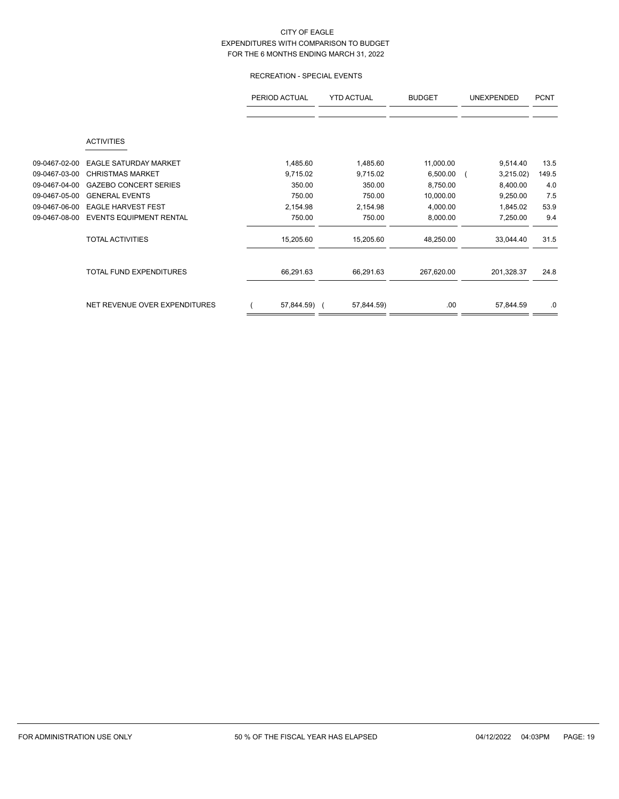# RECREATION - SPECIAL EVENTS

|               |                                | PERIOD ACTUAL | <b>YTD ACTUAL</b> |            | <b>UNEXPENDED</b> | <b>PCNT</b> |  |
|---------------|--------------------------------|---------------|-------------------|------------|-------------------|-------------|--|
|               | <b>ACTIVITIES</b>              |               |                   |            |                   |             |  |
| 09-0467-02-00 | <b>EAGLE SATURDAY MARKET</b>   | 1,485.60      | 1,485.60          | 11,000.00  | 9,514.40          | 13.5        |  |
| 09-0467-03-00 | <b>CHRISTMAS MARKET</b>        | 9,715.02      | 9,715.02          | 6,500.00   | 3,215.02)         | 149.5       |  |
| 09-0467-04-00 | <b>GAZEBO CONCERT SERIES</b>   | 350.00        | 350.00            | 8,750.00   | 8,400.00          | 4.0         |  |
| 09-0467-05-00 | <b>GENERAL EVENTS</b>          | 750.00        | 750.00            | 10,000.00  | 9,250.00          | 7.5         |  |
| 09-0467-06-00 | <b>EAGLE HARVEST FEST</b>      | 2,154.98      | 2,154.98          | 4,000.00   | 1,845.02          | 53.9        |  |
| 09-0467-08-00 | <b>EVENTS EQUIPMENT RENTAL</b> | 750.00        | 750.00            | 8,000.00   | 7,250.00          | 9.4         |  |
|               | <b>TOTAL ACTIVITIES</b>        | 15,205.60     | 15,205.60         | 48,250.00  | 33,044.40         | 31.5        |  |
|               | <b>TOTAL FUND EXPENDITURES</b> | 66,291.63     | 66,291.63         | 267,620.00 | 201,328.37        | 24.8        |  |
|               | NET REVENUE OVER EXPENDITURES  | 57,844.59) (  | 57,844.59)        | .00        | 57,844.59         | .0          |  |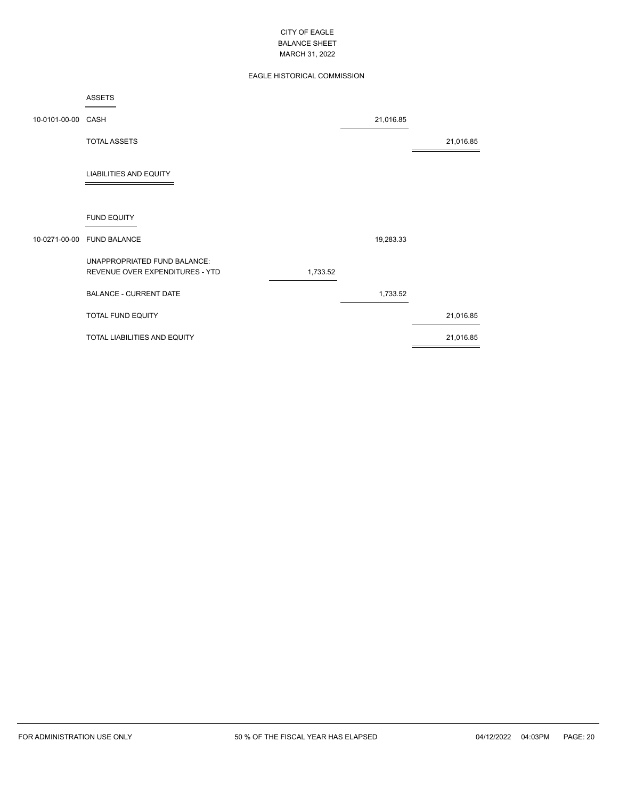# EAGLE HISTORICAL COMMISSION

|                    | <b>ASSETS</b>                                                   |          |           |           |
|--------------------|-----------------------------------------------------------------|----------|-----------|-----------|
| 10-0101-00-00 CASH |                                                                 |          | 21,016.85 |           |
|                    | <b>TOTAL ASSETS</b>                                             |          |           | 21,016.85 |
|                    | <b>LIABILITIES AND EQUITY</b>                                   |          |           |           |
|                    | <b>FUND EQUITY</b>                                              |          |           |           |
| 10-0271-00-00      | <b>FUND BALANCE</b>                                             |          | 19,283.33 |           |
|                    | UNAPPROPRIATED FUND BALANCE:<br>REVENUE OVER EXPENDITURES - YTD | 1,733.52 |           |           |
|                    | <b>BALANCE - CURRENT DATE</b>                                   |          | 1,733.52  |           |
|                    | TOTAL FUND EQUITY                                               |          |           | 21,016.85 |
|                    | TOTAL LIABILITIES AND EQUITY                                    |          |           | 21,016.85 |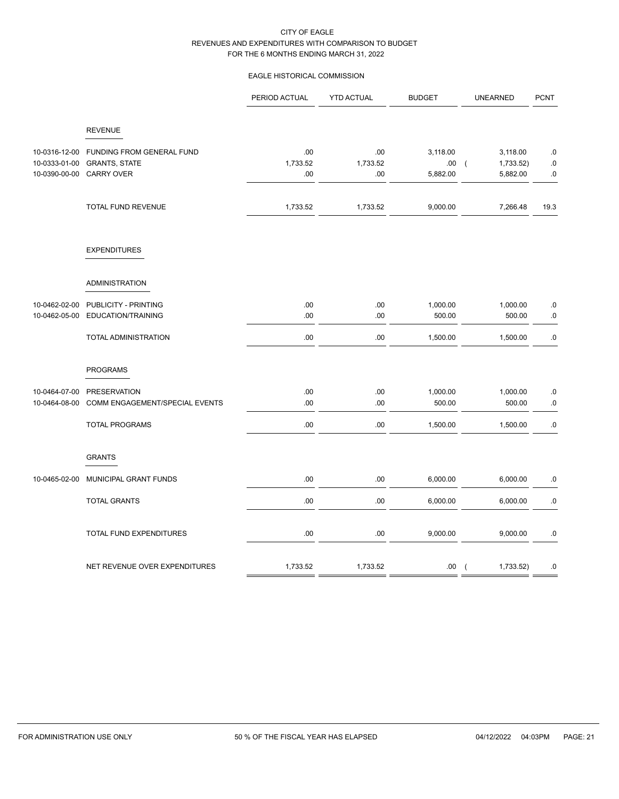# EAGLE HISTORICAL COMMISSION

|                                |                                                                               | PERIOD ACTUAL          | <b>YTD ACTUAL</b>      | <b>BUDGET</b>               | <b>UNEARNED</b>                                     | <b>PCNT</b>                   |
|--------------------------------|-------------------------------------------------------------------------------|------------------------|------------------------|-----------------------------|-----------------------------------------------------|-------------------------------|
|                                | <b>REVENUE</b>                                                                |                        |                        |                             |                                                     |                               |
| 10-0316-12-00<br>10-0333-01-00 | FUNDING FROM GENERAL FUND<br><b>GRANTS, STATE</b><br>10-0390-00-00 CARRY OVER | .00<br>1,733.52<br>.00 | .00<br>1,733.52<br>.00 | 3,118.00<br>.00<br>5,882.00 | 3,118.00<br>1,733.52)<br>$\overline{ }$<br>5,882.00 | $.0\,$<br>$\cdot 0$<br>$.0\,$ |
|                                | TOTAL FUND REVENUE                                                            | 1,733.52               | 1,733.52               | 9,000.00                    | 7,266.48                                            | 19.3                          |
|                                | <b>EXPENDITURES</b>                                                           |                        |                        |                             |                                                     |                               |
|                                | <b>ADMINISTRATION</b>                                                         |                        |                        |                             |                                                     |                               |
| 10-0462-02-00<br>10-0462-05-00 | PUBLICITY - PRINTING<br>EDUCATION/TRAINING                                    | .00<br>.00             | .00<br>.00             | 1,000.00<br>500.00          | 1,000.00<br>500.00                                  | $.0$<br>$.0\,$                |
|                                | TOTAL ADMINISTRATION                                                          | .00                    | .00                    | 1,500.00                    | 1,500.00                                            | $.0\,$                        |
|                                | <b>PROGRAMS</b>                                                               |                        |                        |                             |                                                     |                               |
| 10-0464-07-00<br>10-0464-08-00 | PRESERVATION<br>COMM ENGAGEMENT/SPECIAL EVENTS                                | .00<br>.00             | .00<br>.00             | 1,000.00<br>500.00          | 1,000.00<br>500.00                                  | .0<br>.0                      |
|                                | <b>TOTAL PROGRAMS</b>                                                         | .00                    | .00                    | 1,500.00                    | 1,500.00                                            | $.0\,$                        |
|                                | <b>GRANTS</b>                                                                 |                        |                        |                             |                                                     |                               |
| 10-0465-02-00                  | MUNICIPAL GRANT FUNDS                                                         | .00                    | .00                    | 6,000.00                    | 6,000.00                                            | .0                            |
|                                | <b>TOTAL GRANTS</b>                                                           | .00                    | .00                    | 6,000.00                    | 6,000.00                                            | .0                            |
|                                | TOTAL FUND EXPENDITURES                                                       | .00                    | .00                    | 9,000.00                    | 9,000.00                                            | .0                            |
|                                | NET REVENUE OVER EXPENDITURES                                                 | 1,733.52               | 1,733.52               | .00.                        | 1,733.52)<br>$\overline{ }$                         | .0                            |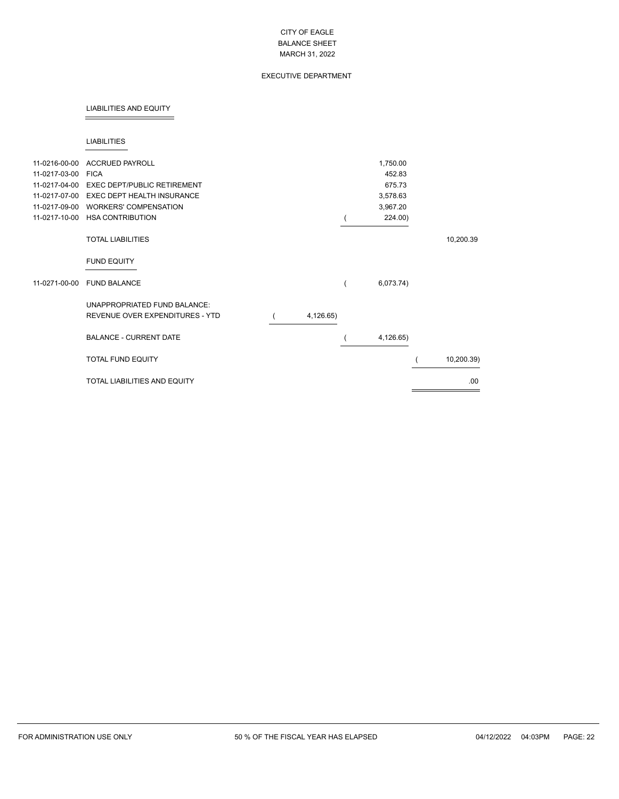## EXECUTIVE DEPARTMENT

#### LIABILITIES AND EQUITY

#### LIABILITIES

| 11-0216-00-00 | <b>ACCRUED PAYROLL</b>                                          |           | 1,750.00  |            |
|---------------|-----------------------------------------------------------------|-----------|-----------|------------|
| 11-0217-03-00 | <b>FICA</b>                                                     |           | 452.83    |            |
| 11-0217-04-00 | <b>EXEC DEPT/PUBLIC RETIREMENT</b>                              |           | 675.73    |            |
| 11-0217-07-00 | <b>EXEC DEPT HEALTH INSURANCE</b>                               |           | 3,578.63  |            |
| 11-0217-09-00 | <b>WORKERS' COMPENSATION</b>                                    |           | 3,967.20  |            |
| 11-0217-10-00 | <b>HSA CONTRIBUTION</b>                                         |           | 224.00)   |            |
|               | <b>TOTAL LIABILITIES</b>                                        |           |           | 10,200.39  |
|               | <b>FUND EQUITY</b>                                              |           |           |            |
| 11-0271-00-00 | <b>FUND BALANCE</b>                                             |           | 6,073.74) |            |
|               | UNAPPROPRIATED FUND BALANCE:<br>REVENUE OVER EXPENDITURES - YTD | 4,126.65) |           |            |
|               | <b>BALANCE - CURRENT DATE</b>                                   |           | 4,126.65) |            |
|               | <b>TOTAL FUND EQUITY</b>                                        |           |           | 10,200.39) |
|               | <b>TOTAL LIABILITIES AND EQUITY</b>                             |           |           | .00        |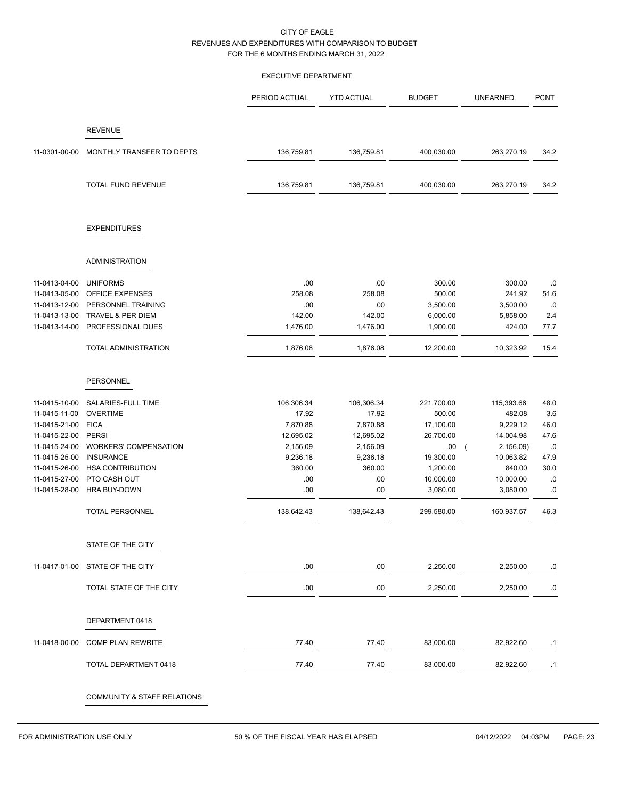#### EXECUTIVE DEPARTMENT

|               |                              | PERIOD ACTUAL | <b>YTD ACTUAL</b> | <b>BUDGET</b> | <b>UNEARNED</b>         | <b>PCNT</b> |
|---------------|------------------------------|---------------|-------------------|---------------|-------------------------|-------------|
|               | <b>REVENUE</b>               |               |                   |               |                         |             |
| 11-0301-00-00 | MONTHLY TRANSFER TO DEPTS    | 136,759.81    | 136,759.81        | 400,030.00    | 263,270.19              | 34.2        |
|               | TOTAL FUND REVENUE           | 136,759.81    | 136,759.81        | 400,030.00    | 263,270.19              | 34.2        |
|               | <b>EXPENDITURES</b>          |               |                   |               |                         |             |
|               | <b>ADMINISTRATION</b>        |               |                   |               |                         |             |
| 11-0413-04-00 | <b>UNIFORMS</b>              | .00           | .00               | 300.00        | 300.00                  | .0          |
| 11-0413-05-00 | OFFICE EXPENSES              | 258.08        | 258.08            | 500.00        | 241.92                  | 51.6        |
| 11-0413-12-00 | PERSONNEL TRAINING           | .00           | .00               | 3,500.00      | 3,500.00                | .0          |
| 11-0413-13-00 | TRAVEL & PER DIEM            | 142.00        | 142.00            | 6,000.00      | 5,858.00                | 2.4         |
| 11-0413-14-00 | PROFESSIONAL DUES            | 1,476.00      | 1,476.00          | 1,900.00      | 424.00                  | 77.7        |
|               | TOTAL ADMINISTRATION         | 1,876.08      | 1,876.08          | 12,200.00     | 10,323.92               | 15.4        |
|               |                              |               |                   |               |                         |             |
|               | PERSONNEL                    |               |                   |               |                         |             |
| 11-0415-10-00 | SALARIES-FULL TIME           | 106,306.34    | 106,306.34        | 221,700.00    | 115,393.66              | 48.0        |
| 11-0415-11-00 | <b>OVERTIME</b>              | 17.92         | 17.92             | 500.00        | 482.08                  | 3.6         |
| 11-0415-21-00 | <b>FICA</b>                  | 7,870.88      | 7,870.88          | 17,100.00     | 9,229.12                | 46.0        |
| 11-0415-22-00 | <b>PERSI</b>                 | 12,695.02     | 12,695.02         | 26,700.00     | 14,004.98               | 47.6        |
| 11-0415-24-00 | <b>WORKERS' COMPENSATION</b> | 2,156.09      | 2,156.09          | .00.          | 2,156.09)<br>$\sqrt{ }$ | .0          |
| 11-0415-25-00 | <b>INSURANCE</b>             | 9,236.18      | 9,236.18          | 19,300.00     | 10,063.82               | 47.9        |
| 11-0415-26-00 | <b>HSA CONTRIBUTION</b>      | 360.00        | 360.00            | 1,200.00      | 840.00                  | 30.0        |
| 11-0415-27-00 | PTO CASH OUT                 | .00           | .00               | 10,000.00     | 10,000.00               | .0          |
| 11-0415-28-00 | HRA BUY-DOWN                 | .00           | .00               | 3,080.00      | 3,080.00                | .0          |
|               | <b>TOTAL PERSONNEL</b>       | 138,642.43    | 138,642.43        | 299,580.00    | 160,937.57              | 46.3        |
|               | STATE OF THE CITY            |               |                   |               |                         |             |
|               |                              |               |                   |               |                         |             |
| 11-0417-01-00 | STATE OF THE CITY            | .00           | .00               | 2,250.00      | 2,250.00                | .0          |
|               | TOTAL STATE OF THE CITY      | .00.          | .00.              | 2,250.00      | 2,250.00                | .0          |
|               | DEPARTMENT 0418              |               |                   |               |                         |             |
| 11-0418-00-00 | <b>COMP PLAN REWRITE</b>     | 77.40         | 77.40             | 83,000.00     | 82,922.60               | $\cdot$ 1   |
|               | TOTAL DEPARTMENT 0418        | 77.40         | 77.40             | 83,000.00     | 82,922.60               | .1          |
|               | COMMUNITY & STAFF RELATIONS  |               |                   |               |                         |             |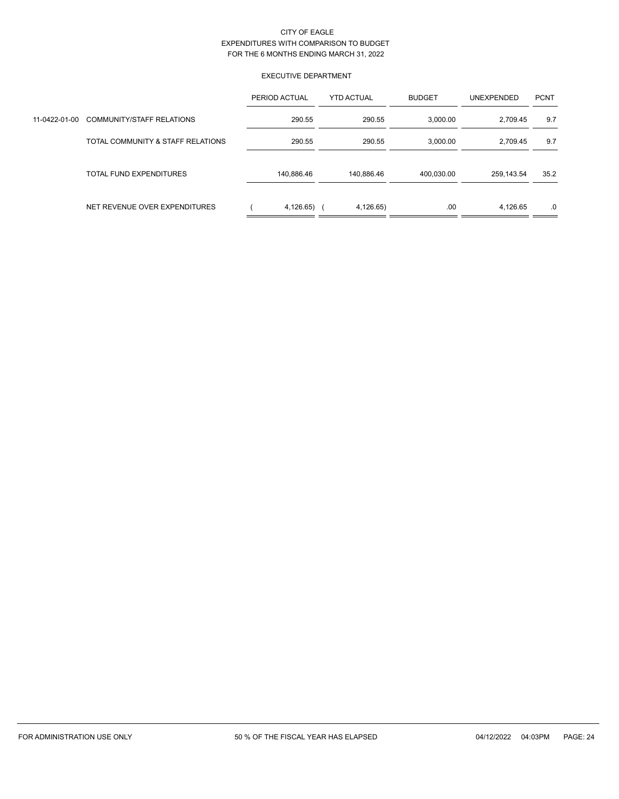## EXECUTIVE DEPARTMENT

|               |                                   | PERIOD ACTUAL | <b>YTD ACTUAL</b> | <b>BUDGET</b> | UNEXPENDED | <b>PCNT</b> |
|---------------|-----------------------------------|---------------|-------------------|---------------|------------|-------------|
| 11-0422-01-00 | <b>COMMUNITY/STAFF RELATIONS</b>  | 290.55        | 290.55            | 3,000.00      | 2.709.45   | 9.7         |
|               | TOTAL COMMUNITY & STAFF RELATIONS | 290.55        | 290.55            | 3,000.00      | 2,709.45   | 9.7         |
|               | TOTAL FUND EXPENDITURES           | 140,886.46    | 140,886.46        | 400,030.00    | 259.143.54 | 35.2        |
|               | NET REVENUE OVER EXPENDITURES     | 4,126.65)     | 4,126.65)         | .00           | 4,126.65   | .0          |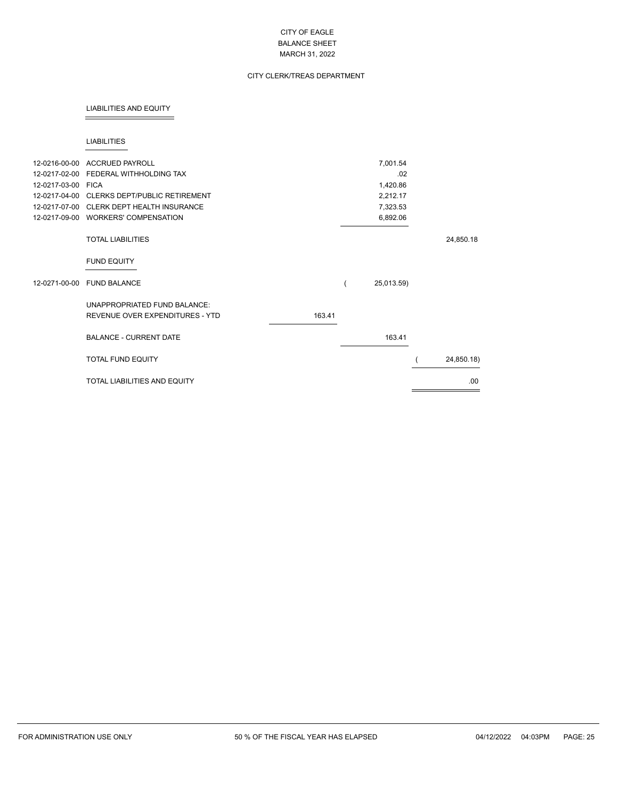# CITY CLERK/TREAS DEPARTMENT

#### LIABILITIES AND EQUITY

#### LIABILITIES

| 12-0217-02-00<br>12-0217-03-00 FICA | 12-0216-00-00 ACCRUED PAYROLL<br>FEDERAL WITHHOLDING TAX<br>12-0217-04-00 CLERKS DEPT/PUBLIC RETIREMENT |        | 7,001.54<br>.02<br>1,420.86<br>2,212.17 |            |
|-------------------------------------|---------------------------------------------------------------------------------------------------------|--------|-----------------------------------------|------------|
| 12-0217-07-00                       | <b>CLERK DEPT HEALTH INSURANCE</b>                                                                      |        | 7,323.53                                |            |
|                                     | 12-0217-09-00 WORKERS' COMPENSATION                                                                     |        | 6,892.06                                |            |
|                                     | <b>TOTAL LIABILITIES</b>                                                                                |        |                                         | 24,850.18  |
|                                     | <b>FUND EQUITY</b>                                                                                      |        |                                         |            |
| 12-0271-00-00                       | <b>FUND BALANCE</b>                                                                                     |        | 25,013.59)                              |            |
|                                     | UNAPPROPRIATED FUND BALANCE:<br>REVENUE OVER EXPENDITURES - YTD                                         | 163.41 |                                         |            |
|                                     | <b>BALANCE - CURRENT DATE</b>                                                                           |        | 163.41                                  |            |
|                                     | <b>TOTAL FUND EQUITY</b>                                                                                |        |                                         | 24,850.18) |
|                                     | <b>TOTAL LIABILITIES AND EQUITY</b>                                                                     |        |                                         | .00        |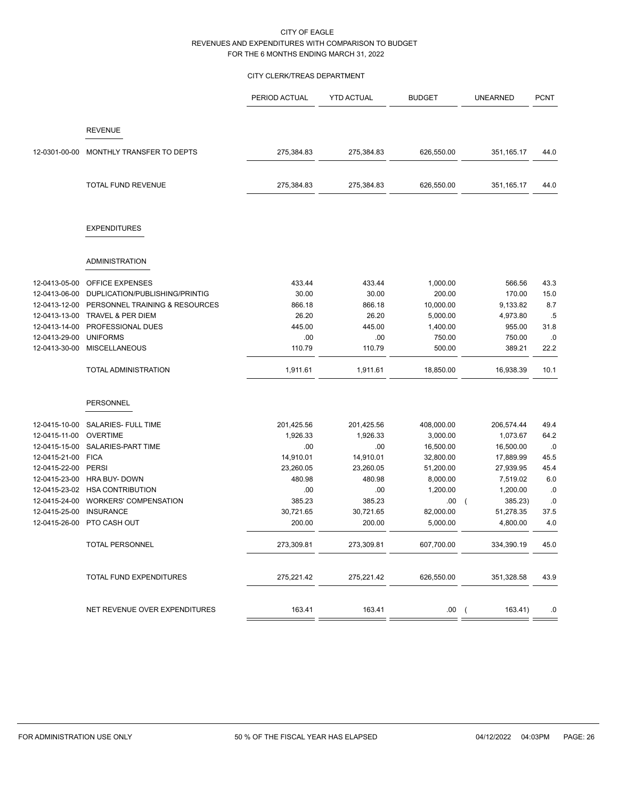# CITY CLERK/TREAS DEPARTMENT

|               |                                | PERIOD ACTUAL | <b>YTD ACTUAL</b> | <b>BUDGET</b> | <b>UNEARNED</b>       | <b>PCNT</b> |
|---------------|--------------------------------|---------------|-------------------|---------------|-----------------------|-------------|
|               |                                |               |                   |               |                       |             |
|               | <b>REVENUE</b>                 |               |                   |               |                       |             |
| 12-0301-00-00 | MONTHLY TRANSFER TO DEPTS      | 275,384.83    | 275,384.83        | 626,550.00    | 351,165.17            | 44.0        |
|               | TOTAL FUND REVENUE             | 275,384.83    | 275,384.83        | 626,550.00    | 351,165.17            | 44.0        |
|               | <b>EXPENDITURES</b>            |               |                   |               |                       |             |
|               | <b>ADMINISTRATION</b>          |               |                   |               |                       |             |
| 12-0413-05-00 | OFFICE EXPENSES                | 433.44        | 433.44            | 1,000.00      | 566.56                | 43.3        |
| 12-0413-06-00 | DUPLICATION/PUBLISHING/PRINTIG | 30.00         | 30.00             | 200.00        | 170.00                | 15.0        |
| 12-0413-12-00 | PERSONNEL TRAINING & RESOURCES | 866.18        | 866.18            | 10,000.00     | 9,133.82              | 8.7         |
| 12-0413-13-00 | TRAVEL & PER DIEM              | 26.20         | 26.20             | 5,000.00      | 4,973.80              | .5          |
| 12-0413-14-00 | PROFESSIONAL DUES              | 445.00        | 445.00            | 1,400.00      | 955.00                | 31.8        |
| 12-0413-29-00 | <b>UNIFORMS</b>                | .00           | .00               | 750.00        | 750.00                | .0          |
| 12-0413-30-00 | <b>MISCELLANEOUS</b>           | 110.79        | 110.79            | 500.00        | 389.21                | 22.2        |
|               | TOTAL ADMINISTRATION           | 1,911.61      | 1,911.61          | 18,850.00     | 16,938.39             | 10.1        |
|               | PERSONNEL                      |               |                   |               |                       |             |
| 12-0415-10-00 | SALARIES- FULL TIME            | 201,425.56    | 201,425.56        | 408,000.00    | 206,574.44            | 49.4        |
| 12-0415-11-00 | <b>OVERTIME</b>                | 1,926.33      | 1,926.33          | 3,000.00      | 1,073.67              | 64.2        |
| 12-0415-15-00 | SALARIES-PART TIME             | .00           | .00               | 16,500.00     | 16,500.00             | .0          |
| 12-0415-21-00 | <b>FICA</b>                    | 14,910.01     | 14,910.01         | 32,800.00     | 17,889.99             | 45.5        |
| 12-0415-22-00 | <b>PERSI</b>                   | 23,260.05     | 23,260.05         | 51,200.00     | 27,939.95             | 45.4        |
| 12-0415-23-00 | <b>HRA BUY- DOWN</b>           | 480.98        | 480.98            | 8,000.00      | 7,519.02              | 6.0         |
| 12-0415-23-02 | <b>HSA CONTRIBUTION</b>        | .00           | .00               | 1,200.00      | 1,200.00              | .0          |
| 12-0415-24-00 | WORKERS' COMPENSATION          | 385.23        | 385.23            | .00           | 385.23)<br>$\left($   | .0          |
| 12-0415-25-00 | <b>INSURANCE</b>               | 30,721.65     | 30,721.65         | 82,000.00     | 51,278.35             | 37.5        |
| 12-0415-26-00 | PTO CASH OUT                   | 200.00        | 200.00            | 5,000.00      | 4,800.00              | 4.0         |
|               | TOTAL PERSONNEL                | 273,309.81    | 273,309.81        | 607,700.00    | 334,390.19            | 45.0        |
|               | TOTAL FUND EXPENDITURES        | 275,221.42    | 275,221.42        | 626,550.00    | 351,328.58            | 43.9        |
|               | NET REVENUE OVER EXPENDITURES  | 163.41        | 163.41            | .00.          | 163.41)<br>$\sqrt{2}$ | .0          |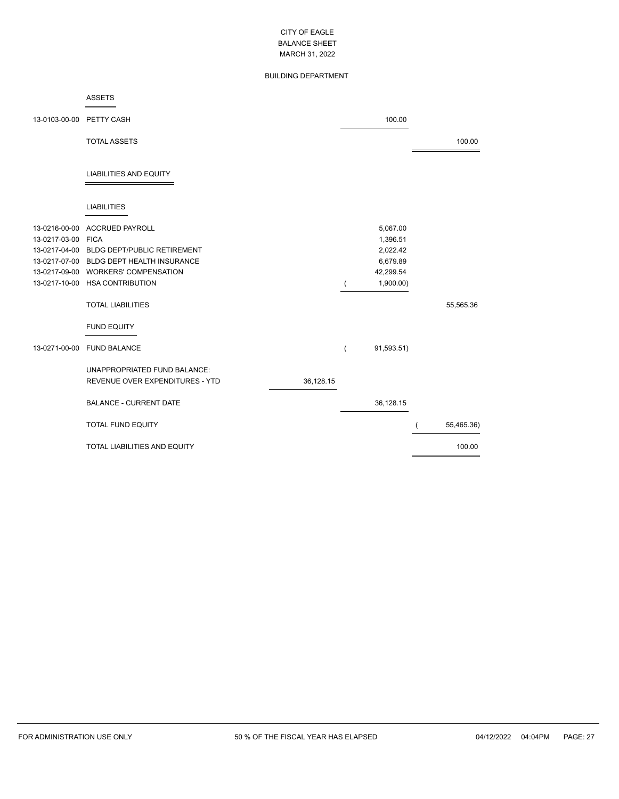# BUILDING DEPARTMENT

#### ASSETS  $=$

| 13-0103-00-00 PETTY CASH                             |                                                                                                                                                                                   |           | 100.00                                                                 |            |
|------------------------------------------------------|-----------------------------------------------------------------------------------------------------------------------------------------------------------------------------------|-----------|------------------------------------------------------------------------|------------|
|                                                      | <b>TOTAL ASSETS</b>                                                                                                                                                               |           |                                                                        | 100.00     |
|                                                      | <b>LIABILITIES AND EQUITY</b>                                                                                                                                                     |           |                                                                        |            |
|                                                      | <b>LIABILITIES</b>                                                                                                                                                                |           |                                                                        |            |
| 13-0216-00-00<br>13-0217-03-00 FICA<br>13-0217-04-00 | <b>ACCRUED PAYROLL</b><br><b>BLDG DEPT/PUBLIC RETIREMENT</b><br>13-0217-07-00 BLDG DEPT HEALTH INSURANCE<br>13-0217-09-00 WORKERS' COMPENSATION<br>13-0217-10-00 HSA CONTRIBUTION |           | 5,067.00<br>1,396.51<br>2,022.42<br>6,679.89<br>42,299.54<br>1,900.00) |            |
|                                                      | <b>TOTAL LIABILITIES</b>                                                                                                                                                          |           |                                                                        | 55,565.36  |
|                                                      | <b>FUND EQUITY</b>                                                                                                                                                                |           |                                                                        |            |
| 13-0271-00-00                                        | <b>FUND BALANCE</b>                                                                                                                                                               |           | 91,593.51)                                                             |            |
|                                                      | UNAPPROPRIATED FUND BALANCE:<br>REVENUE OVER EXPENDITURES - YTD                                                                                                                   | 36,128.15 |                                                                        |            |
|                                                      | <b>BALANCE - CURRENT DATE</b>                                                                                                                                                     |           | 36,128.15                                                              |            |
|                                                      | <b>TOTAL FUND EQUITY</b>                                                                                                                                                          |           |                                                                        | 55,465.36) |
|                                                      | <b>TOTAL LIABILITIES AND EQUITY</b>                                                                                                                                               |           |                                                                        | 100.00     |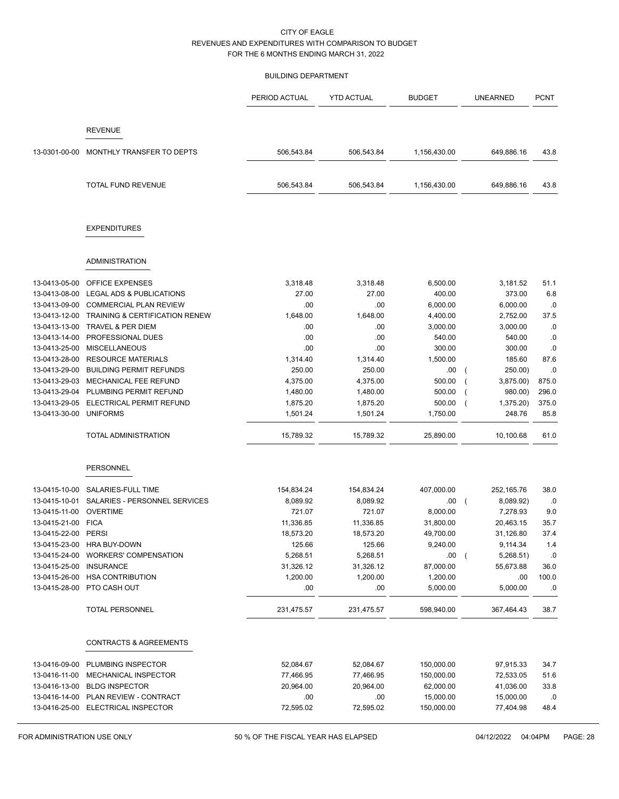#### BUILDING DEPARTMENT

|                                |                                                               | PERIOD ACTUAL    | <b>YTD ACTUAL</b> | <b>BUDGET</b>          | <b>UNEARNED</b>             | <b>PCNT</b>    |
|--------------------------------|---------------------------------------------------------------|------------------|-------------------|------------------------|-----------------------------|----------------|
|                                | <b>REVENUE</b>                                                |                  |                   |                        |                             |                |
| 13-0301-00-00                  | MONTHLY TRANSFER TO DEPTS                                     | 506,543.84       | 506,543.84        | 1,156,430.00           | 649,886.16                  | 43.8           |
|                                | <b>TOTAL FUND REVENUE</b>                                     | 506,543.84       | 506,543.84        | 1,156,430.00           | 649,886.16                  | 43.8           |
|                                | <b>EXPENDITURES</b>                                           |                  |                   |                        |                             |                |
|                                | <b>ADMINISTRATION</b>                                         |                  |                   |                        |                             |                |
| 13-0413-05-00                  | <b>OFFICE EXPENSES</b>                                        | 3,318.48         | 3,318.48          | 6,500.00               | 3,181.52                    | 51.1           |
| 13-0413-08-00                  | LEGAL ADS & PUBLICATIONS                                      | 27.00            | 27.00             | 400.00                 | 373.00                      | 6.8            |
| 13-0413-09-00                  | <b>COMMERCIAL PLAN REVIEW</b>                                 | .00              | .00               | 6,000.00               | 6,000.00                    | .0             |
| 13-0413-12-00                  | <b>TRAINING &amp; CERTIFICATION RENEW</b>                     | 1,648.00         | 1,648.00          | 4,400.00               | 2,752.00                    | 37.5           |
| 13-0413-13-00                  | TRAVEL & PER DIEM                                             | .00              | .00               | 3,000.00               | 3,000.00                    | .0             |
| 13-0413-14-00                  | PROFESSIONAL DUES                                             | .00              | .00               | 540.00                 | 540.00                      | .0             |
| 13-0413-25-00                  | <b>MISCELLANEOUS</b>                                          | .00              | .00               | 300.00                 | 300.00                      | 0.0            |
| 13-0413-28-00                  | <b>RESOURCE MATERIALS</b>                                     | 1,314.40         | 1,314.40          | 1,500.00               | 185.60                      | 87.6           |
| 13-0413-29-00                  | <b>BUILDING PERMIT REFUNDS</b>                                | 250.00           | 250.00            | .00                    | 250.00)                     | .0             |
| 13-0413-29-03                  | MECHANICAL FEE REFUND                                         | 4,375.00         | 4,375.00          | 500.00                 | 3,875.00)                   | 875.0          |
| 13-0413-29-04                  | PLUMBING PERMIT REFUND                                        | 1,480.00         | 1,480.00          | 500.00                 | 980.00)                     | 296.0          |
| 13-0413-29-05<br>13-0413-30-00 | ELECTRICAL PERMIT REFUND<br><b>UNIFORMS</b>                   | 1,875.20         | 1,875.20          | 500.00                 | 1,375.20)<br>248.76         | 375.0          |
|                                |                                                               | 1,501.24         | 1,501.24          | 1,750.00               |                             | 85.8           |
|                                | <b>TOTAL ADMINISTRATION</b>                                   | 15,789.32        | 15,789.32         | 25,890.00              | 10,100.68                   | 61.0           |
|                                | <b>PERSONNEL</b>                                              |                  |                   |                        |                             |                |
| 13-0415-10-00                  | SALARIES-FULL TIME                                            | 154,834.24       | 154,834.24        | 407,000.00             | 252,165.76                  | 38.0           |
| 13-0415-10-01                  | SALARIES - PERSONNEL SERVICES                                 | 8,089.92         | 8,089.92          | .00                    | 8,089.92)                   | .0             |
| 13-0415-11-00                  | <b>OVERTIME</b>                                               | 721.07           | 721.07            | 8,000.00               | 7,278.93                    | 9.0            |
| 13-0415-21-00                  | <b>FICA</b>                                                   | 11,336.85        | 11,336.85         | 31,800.00              | 20,463.15                   | 35.7           |
| 13-0415-22-00                  | PERSI                                                         | 18,573.20        | 18,573.20         | 49,700.00              | 31,126.80                   | 37.4           |
| 13-0415-23-00                  | <b>HRA BUY-DOWN</b>                                           | 125.66           | 125.66            | 9,240.00               | 9,114.34                    | 1.4            |
| 13-0415-24-00                  | <b>WORKERS' COMPENSATION</b>                                  | 5,268.51         | 5,268.51          | .00                    | 5,268.51)<br>$\overline{ }$ | .0             |
| 13-0415-25-00                  | <b>INSURANCE</b>                                              | 31,326.12        | 31,326.12         | 87,000.00              | 55,673.88                   | 36.0           |
| 13-0415-26-00                  | <b>HSA CONTRIBUTION</b>                                       | 1,200.00         | 1,200.00          | 1,200.00               | .00                         | 100.0          |
| 13-0415-28-00                  | PTO CASH OUT                                                  | .00              | .00               | 5,000.00               | 5,000.00                    | .0             |
|                                | <b>TOTAL PERSONNEL</b>                                        | 231,475.57       | 231,475.57        | 598,940.00             | 367,464.43                  | 38.7           |
|                                | <b>CONTRACTS &amp; AGREEMENTS</b>                             |                  |                   |                        |                             |                |
|                                |                                                               |                  |                   |                        |                             |                |
| 13-0416-09-00                  | PLUMBING INSPECTOR                                            | 52,084.67        | 52,084.67         | 150,000.00             | 97,915.33                   | 34.7           |
| 13-0416-11-00                  | MECHANICAL INSPECTOR                                          | 77,466.95        | 77,466.95         | 150,000.00             | 72,533.05                   | 51.6           |
| 13-0416-13-00                  | <b>BLDG INSPECTOR</b><br>13-0416-14-00 PLAN REVIEW - CONTRACT | 20,964.00<br>.00 | 20,964.00<br>.00  | 62,000.00<br>15,000.00 | 41,036.00<br>15,000.00      | 33.8<br>$.0\,$ |
|                                | 13-0416-25-00 ELECTRICAL INSPECTOR                            | 72,595.02        | 72,595.02         | 150,000.00             | 77,404.98                   | 48.4           |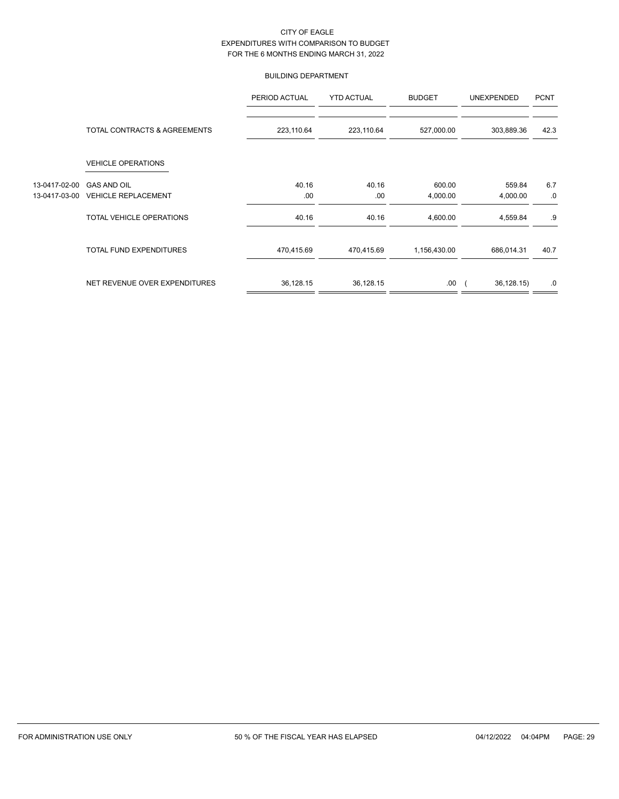## BUILDING DEPARTMENT

|               |                               | PERIOD ACTUAL | <b>YTD ACTUAL</b> | <b>BUDGET</b> | <b>UNEXPENDED</b> | <b>PCNT</b> |
|---------------|-------------------------------|---------------|-------------------|---------------|-------------------|-------------|
|               | TOTAL CONTRACTS & AGREEMENTS  | 223,110.64    | 223,110.64        | 527,000.00    | 303,889.36        | 42.3        |
|               | <b>VEHICLE OPERATIONS</b>     |               |                   |               |                   |             |
| 13-0417-02-00 | <b>GAS AND OIL</b>            | 40.16         | 40.16             | 600.00        | 559.84            | 6.7         |
| 13-0417-03-00 | <b>VEHICLE REPLACEMENT</b>    | .00           | .00               | 4,000.00      | 4,000.00          | .0          |
|               | TOTAL VEHICLE OPERATIONS      | 40.16         | 40.16             | 4,600.00      | 4,559.84          | .9          |
|               | TOTAL FUND EXPENDITURES       | 470,415.69    | 470,415.69        | 1,156,430.00  | 686,014.31        | 40.7        |
|               | NET REVENUE OVER EXPENDITURES | 36,128.15     | 36,128.15         | .00.          | 36,128.15)        | .0          |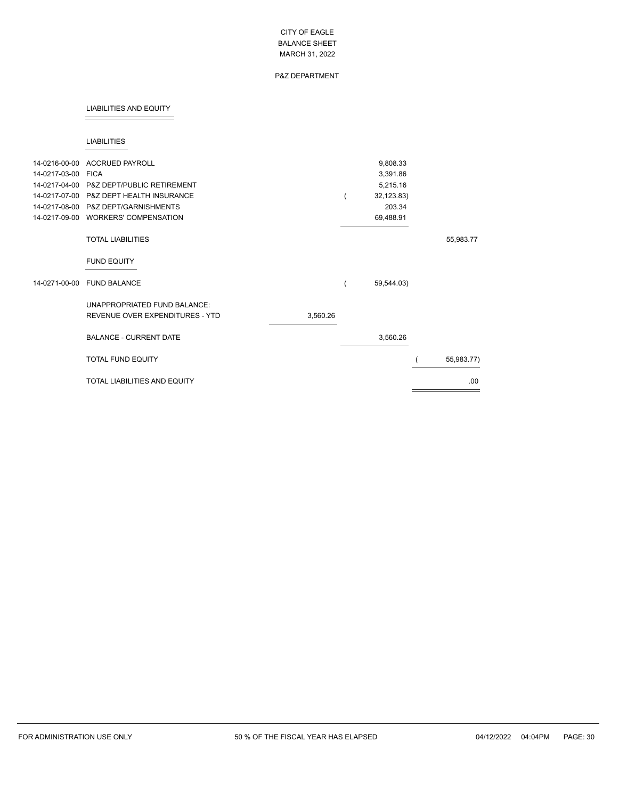# P&Z DEPARTMENT

#### LIABILITIES AND EQUITY

#### LIABILITIES

| 14-0216-00-00      | <b>ACCRUED PAYROLL</b>                   |          | 9,808.33   |            |
|--------------------|------------------------------------------|----------|------------|------------|
| 14-0217-03-00 FICA |                                          |          | 3,391.86   |            |
|                    | 14-0217-04-00 P&Z DEPT/PUBLIC RETIREMENT |          | 5,215.16   |            |
|                    | 14-0217-07-00 P&Z DEPT HEALTH INSURANCE  |          | 32,123.83) |            |
| 14-0217-08-00      | P&Z DEPT/GARNISHMENTS                    |          | 203.34     |            |
| 14-0217-09-00      | <b>WORKERS' COMPENSATION</b>             |          | 69,488.91  |            |
|                    | <b>TOTAL LIABILITIES</b>                 |          |            | 55,983.77  |
|                    | <b>FUND EQUITY</b>                       |          |            |            |
| 14-0271-00-00      | <b>FUND BALANCE</b>                      |          | 59,544.03) |            |
|                    | UNAPPROPRIATED FUND BALANCE:             |          |            |            |
|                    | REVENUE OVER EXPENDITURES - YTD          | 3,560.26 |            |            |
|                    | <b>BALANCE - CURRENT DATE</b>            |          | 3,560.26   |            |
|                    | <b>TOTAL FUND EQUITY</b>                 |          |            | 55,983.77) |
|                    | <b>TOTAL LIABILITIES AND EQUITY</b>      |          |            | .00        |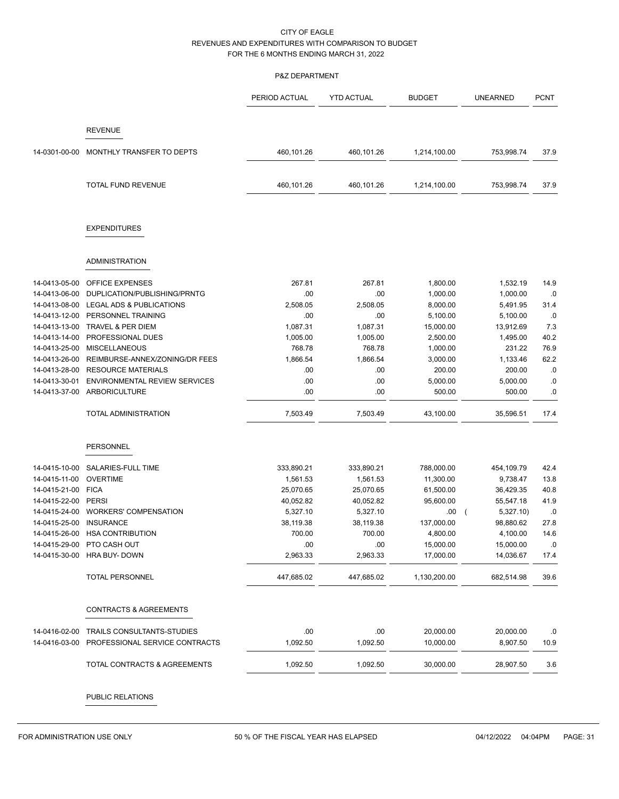## P&Z DEPARTMENT

|               |                                             | PERIOD ACTUAL   | <b>YTD ACTUAL</b> | <b>BUDGET</b>          | <b>UNEARNED</b>        | <b>PCNT</b>    |
|---------------|---------------------------------------------|-----------------|-------------------|------------------------|------------------------|----------------|
|               | <b>REVENUE</b>                              |                 |                   |                        |                        |                |
|               |                                             |                 |                   |                        |                        |                |
| 14-0301-00-00 | MONTHLY TRANSFER TO DEPTS                   | 460,101.26      | 460,101.26        | 1,214,100.00           | 753,998.74             | 37.9           |
|               | TOTAL FUND REVENUE                          | 460,101.26      | 460,101.26        | 1,214,100.00           | 753,998.74             | 37.9           |
|               | <b>EXPENDITURES</b>                         |                 |                   |                        |                        |                |
|               | ADMINISTRATION                              |                 |                   |                        |                        |                |
| 14-0413-05-00 | <b>OFFICE EXPENSES</b>                      | 267.81          | 267.81            | 1,800.00               | 1,532.19               | 14.9           |
| 14-0413-06-00 | DUPLICATION/PUBLISHING/PRNTG                | .00             | .00.              | 1,000.00               | 1,000.00               | .0             |
| 14-0413-08-00 | LEGAL ADS & PUBLICATIONS                    | 2,508.05        | 2,508.05          | 8,000.00               | 5,491.95               | 31.4           |
| 14-0413-12-00 | PERSONNEL TRAINING                          | .00             | .00               | 5,100.00               | 5,100.00               | .0             |
| 14-0413-13-00 | <b>TRAVEL &amp; PER DIEM</b>                | 1,087.31        | 1,087.31          | 15,000.00              | 13,912.69              | 7.3            |
| 14-0413-14-00 | PROFESSIONAL DUES                           | 1,005.00        | 1,005.00          | 2,500.00               | 1,495.00               | 40.2           |
| 14-0413-25-00 | <b>MISCELLANEOUS</b>                        | 768.78          | 768.78            | 1,000.00               | 231.22                 | 76.9           |
| 14-0413-26-00 | REIMBURSE-ANNEX/ZONING/DR FEES              | 1,866.54        | 1,866.54          | 3,000.00               | 1,133.46               | 62.2           |
| 14-0413-28-00 | <b>RESOURCE MATERIALS</b>                   | .00             | .00               | 200.00                 | 200.00                 | .0             |
| 14-0413-30-01 | <b>ENVIRONMENTAL REVIEW SERVICES</b>        | .00             | .00               | 5,000.00               | 5,000.00               | .0             |
| 14-0413-37-00 | ARBORICULTURE                               | .00             | .00               | 500.00                 | 500.00                 | .0             |
|               | TOTAL ADMINISTRATION                        | 7,503.49        | 7,503.49          | 43,100.00              | 35,596.51              | 17.4           |
|               | <b>PERSONNEL</b>                            |                 |                   |                        |                        |                |
|               |                                             |                 |                   |                        |                        |                |
| 14-0415-10-00 | SALARIES-FULL TIME                          | 333,890.21      | 333,890.21        | 788,000.00             | 454,109.79             | 42.4           |
| 14-0415-11-00 | <b>OVERTIME</b>                             | 1,561.53        | 1,561.53          | 11,300.00              | 9,738.47               | 13.8           |
| 14-0415-21-00 | <b>FICA</b>                                 | 25,070.65       | 25,070.65         | 61,500.00              | 36,429.35              | 40.8           |
| 14-0415-22-00 | PERSI                                       | 40,052.82       | 40,052.82         | 95,600.00              | 55,547.18              | 41.9           |
| 14-0415-24-00 | <b>WORKERS' COMPENSATION</b>                | 5,327.10        | 5,327.10          | .00.                   | 5,327.10)              | .0             |
| 14-0415-25-00 | <b>INSURANCE</b>                            | 38,119.38       | 38,119.38         | 137,000.00             | 98,880.62              | 27.8           |
| 14-0415-26-00 | <b>HSA CONTRIBUTION</b>                     | 700.00          | 700.00            | 4,800.00               | 4,100.00               | 14.6           |
| 14-0415-30-00 | 14-0415-29-00 PTO CASH OUT<br>HRA BUY- DOWN | .00<br>2,963.33 | .00<br>2,963.33   | 15,000.00<br>17,000.00 | 15,000.00<br>14,036.67 | $.0\,$<br>17.4 |
|               |                                             |                 |                   |                        |                        |                |
|               | <b>TOTAL PERSONNEL</b>                      | 447,685.02      | 447,685.02        | 1,130,200.00           | 682,514.98             | 39.6           |
|               | <b>CONTRACTS &amp; AGREEMENTS</b>           |                 |                   |                        |                        |                |
| 14-0416-02-00 | TRAILS CONSULTANTS-STUDIES                  | .00             | .00               | 20,000.00              | 20,000.00              | .0             |
| 14-0416-03-00 | PROFESSIONAL SERVICE CONTRACTS              | 1,092.50        | 1,092.50          | 10,000.00              | 8,907.50               | 10.9           |
|               | TOTAL CONTRACTS & AGREEMENTS                | 1,092.50        | 1,092.50          | 30,000.00              | 28,907.50              | 3.6            |
|               |                                             |                 |                   |                        |                        |                |

PUBLIC RELATIONS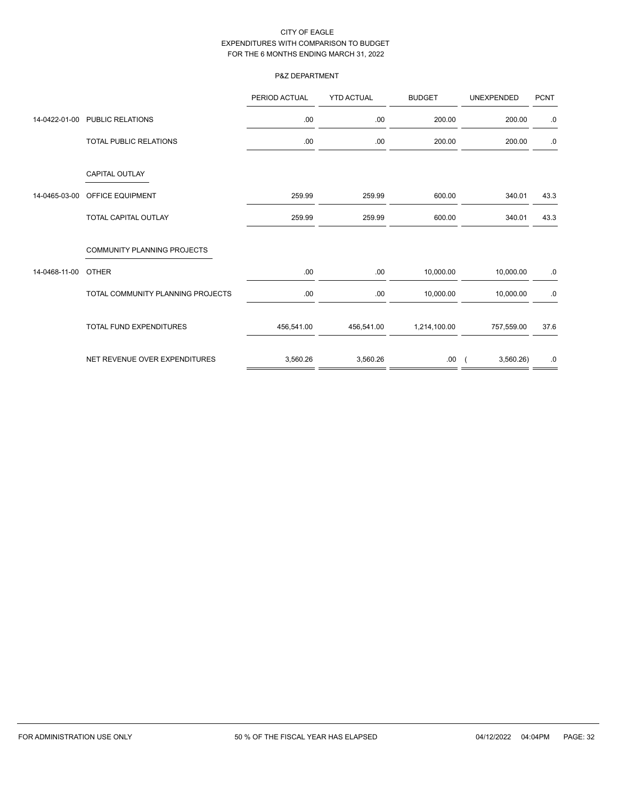# P&Z DEPARTMENT

|               |                                    | PERIOD ACTUAL | <b>YTD ACTUAL</b> | <b>BUDGET</b> | <b>UNEXPENDED</b> | <b>PCNT</b> |
|---------------|------------------------------------|---------------|-------------------|---------------|-------------------|-------------|
| 14-0422-01-00 | PUBLIC RELATIONS                   | .00.          | .00               | 200.00        | 200.00            | .0          |
|               | <b>TOTAL PUBLIC RELATIONS</b>      | .00.          | .00               | 200.00        | 200.00            | .0          |
|               | <b>CAPITAL OUTLAY</b>              |               |                   |               |                   |             |
| 14-0465-03-00 | OFFICE EQUIPMENT                   | 259.99        | 259.99            | 600.00        | 340.01            | 43.3        |
|               | <b>TOTAL CAPITAL OUTLAY</b>        | 259.99        | 259.99            | 600.00        | 340.01            | 43.3        |
|               | <b>COMMUNITY PLANNING PROJECTS</b> |               |                   |               |                   |             |
| 14-0468-11-00 | <b>OTHER</b>                       | .00.          | .00               | 10,000.00     | 10,000.00         | $.0\,$      |
|               | TOTAL COMMUNITY PLANNING PROJECTS  | .00           | .00               | 10,000.00     | 10,000.00         | $.0\,$      |
|               | <b>TOTAL FUND EXPENDITURES</b>     | 456,541.00    | 456,541.00        | 1,214,100.00  | 757,559.00        | 37.6        |
|               | NET REVENUE OVER EXPENDITURES      | 3,560.26      | 3,560.26          | .00.          | 3,560.26          | .0          |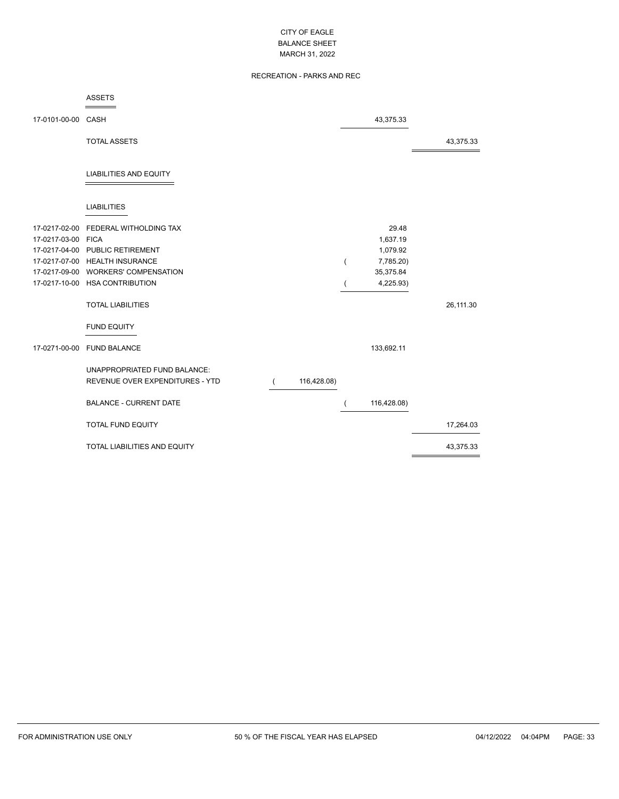# RECREATION - PARKS AND REC

|                    | <b>ASSETS</b>                       |             |   |             |           |
|--------------------|-------------------------------------|-------------|---|-------------|-----------|
| 17-0101-00-00 CASH |                                     |             |   | 43,375.33   |           |
|                    | <b>TOTAL ASSETS</b>                 |             |   |             | 43,375.33 |
|                    | <b>LIABILITIES AND EQUITY</b>       |             |   |             |           |
|                    | <b>LIABILITIES</b>                  |             |   |             |           |
| 17-0217-02-00      | FEDERAL WITHOLDING TAX              |             |   | 29.48       |           |
| 17-0217-03-00 FICA |                                     |             |   | 1,637.19    |           |
|                    | 17-0217-04-00 PUBLIC RETIREMENT     |             |   | 1,079.92    |           |
|                    | 17-0217-07-00 HEALTH INSURANCE      |             | ( | 7,785.20)   |           |
|                    | 17-0217-09-00 WORKERS' COMPENSATION |             |   | 35,375.84   |           |
|                    | 17-0217-10-00 HSA CONTRIBUTION      |             |   | 4,225.93)   |           |
|                    | <b>TOTAL LIABILITIES</b>            |             |   |             | 26,111.30 |
|                    | <b>FUND EQUITY</b>                  |             |   |             |           |
|                    | 17-0271-00-00 FUND BALANCE          |             |   | 133,692.11  |           |
|                    | UNAPPROPRIATED FUND BALANCE:        |             |   |             |           |
|                    | REVENUE OVER EXPENDITURES - YTD     | 116,428.08) |   |             |           |
|                    |                                     |             |   |             |           |
|                    | <b>BALANCE - CURRENT DATE</b>       |             | ( | 116,428.08) |           |
|                    | <b>TOTAL FUND EQUITY</b>            |             |   |             | 17,264.03 |
|                    | <b>TOTAL LIABILITIES AND EQUITY</b> |             |   |             | 43,375.33 |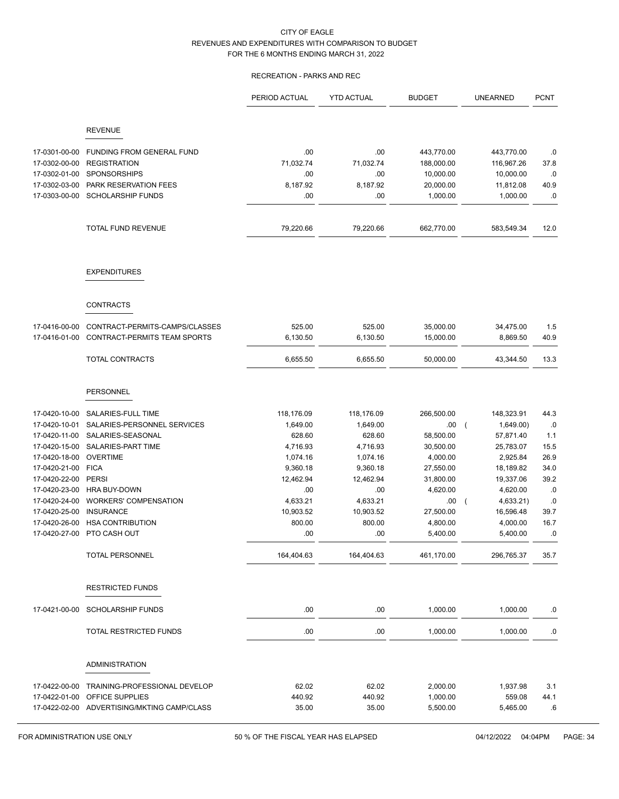# RECREATION - PARKS AND REC

|                                |                                             | PERIOD ACTUAL   | <b>YTD ACTUAL</b> | <b>BUDGET</b>          | <b>UNEARNED</b>             | <b>PCNT</b> |
|--------------------------------|---------------------------------------------|-----------------|-------------------|------------------------|-----------------------------|-------------|
|                                | <b>REVENUE</b>                              |                 |                   |                        |                             |             |
|                                |                                             |                 |                   |                        |                             |             |
| 17-0301-00-00                  | FUNDING FROM GENERAL FUND                   | .00             | .00               | 443,770.00             | 443,770.00                  | .0          |
| 17-0302-00-00                  | <b>REGISTRATION</b>                         | 71,032.74       | 71,032.74         | 188,000.00             | 116,967.26                  | 37.8        |
| 17-0302-01-00<br>17-0302-03-00 | SPONSORSHIPS<br>PARK RESERVATION FEES       | .00<br>8,187.92 | .00<br>8,187.92   | 10,000.00<br>20,000.00 | 10,000.00<br>11,812.08      | .0<br>40.9  |
| 17-0303-00-00                  | <b>SCHOLARSHIP FUNDS</b>                    | .00             | .00               | 1,000.00               | 1,000.00                    | $.0\,$      |
|                                |                                             |                 |                   |                        |                             |             |
|                                | <b>TOTAL FUND REVENUE</b>                   | 79,220.66       | 79,220.66         | 662,770.00             | 583,549.34                  | 12.0        |
|                                | <b>EXPENDITURES</b>                         |                 |                   |                        |                             |             |
|                                | <b>CONTRACTS</b>                            |                 |                   |                        |                             |             |
| 17-0416-00-00                  | CONTRACT-PERMITS-CAMPS/CLASSES              | 525.00          | 525.00            | 35,000.00              | 34,475.00                   | 1.5         |
| 17-0416-01-00                  | CONTRACT-PERMITS TEAM SPORTS                | 6,130.50        | 6,130.50          | 15,000.00              | 8,869.50                    | 40.9        |
|                                | TOTAL CONTRACTS                             | 6,655.50        | 6,655.50          | 50,000.00              | 43,344.50                   | 13.3        |
|                                | <b>PERSONNEL</b>                            |                 |                   |                        |                             |             |
| 17-0420-10-00                  | SALARIES-FULL TIME                          | 118,176.09      | 118,176.09        | 266,500.00             | 148,323.91                  | 44.3        |
| 17-0420-10-01                  | SALARIES-PERSONNEL SERVICES                 | 1,649.00        | 1,649.00          | .00                    | 1,649.00)<br>$\overline{ }$ | .0          |
| 17-0420-11-00                  | SALARIES-SEASONAL                           | 628.60          | 628.60            | 58,500.00              | 57,871.40                   | 1.1         |
| 17-0420-15-00                  | SALARIES-PART TIME                          | 4,716.93        | 4,716.93          | 30,500.00              | 25,783.07                   | 15.5        |
| 17-0420-18-00                  | <b>OVERTIME</b>                             | 1,074.16        | 1,074.16          | 4,000.00               | 2,925.84                    | 26.9        |
| 17-0420-21-00                  | <b>FICA</b>                                 | 9,360.18        | 9,360.18          | 27,550.00              | 18,189.82                   | 34.0        |
| 17-0420-22-00                  | <b>PERSI</b>                                | 12,462.94       | 12,462.94         | 31,800.00              | 19,337.06                   | 39.2        |
| 17-0420-23-00                  | HRA BUY-DOWN                                | .00             | .00               | 4,620.00               | 4,620.00                    | .0          |
| 17-0420-24-00                  | WORKERS' COMPENSATION                       | 4,633.21        | 4,633.21          | .00.                   | 4,633.21)<br>$\overline{ }$ | $.0\,$      |
| 17-0420-25-00                  | <b>INSURANCE</b>                            | 10,903.52       | 10,903.52         | 27,500.00              | 16,596.48                   | 39.7        |
| 17-0420-26-00<br>17-0420-27-00 | <b>HSA CONTRIBUTION</b><br>PTO CASH OUT     | 800.00<br>.00   | 800.00<br>.00     | 4,800.00<br>5,400.00   | 4,000.00<br>5,400.00        | 16.7<br>.0  |
|                                | <b>TOTAL PERSONNEL</b>                      | 164,404.63      | 164,404.63        | 461,170.00             | 296,765.37                  | 35.7        |
|                                | <b>RESTRICTED FUNDS</b>                     |                 |                   |                        |                             |             |
| 17-0421-00-00                  | <b>SCHOLARSHIP FUNDS</b>                    | .00             | .00               | 1,000.00               | 1,000.00                    | .0          |
|                                | TOTAL RESTRICTED FUNDS                      | .00             | .00               | 1,000.00               | 1,000.00                    | ${\bf .0}$  |
|                                | <b>ADMINISTRATION</b>                       |                 |                   |                        |                             |             |
| 17-0422-00-00                  | TRAINING-PROFESSIONAL DEVELOP               | 62.02           | 62.02             | 2,000.00               | 1,937.98                    | 3.1         |
| 17-0422-01-00                  | OFFICE SUPPLIES                             | 440.92          | 440.92            | 1,000.00               | 559.08                      | 44.1        |
|                                | 17-0422-02-00 ADVERTISING/MKTING CAMP/CLASS | 35.00           | 35.00             | 5,500.00               | 5,465.00                    | .6          |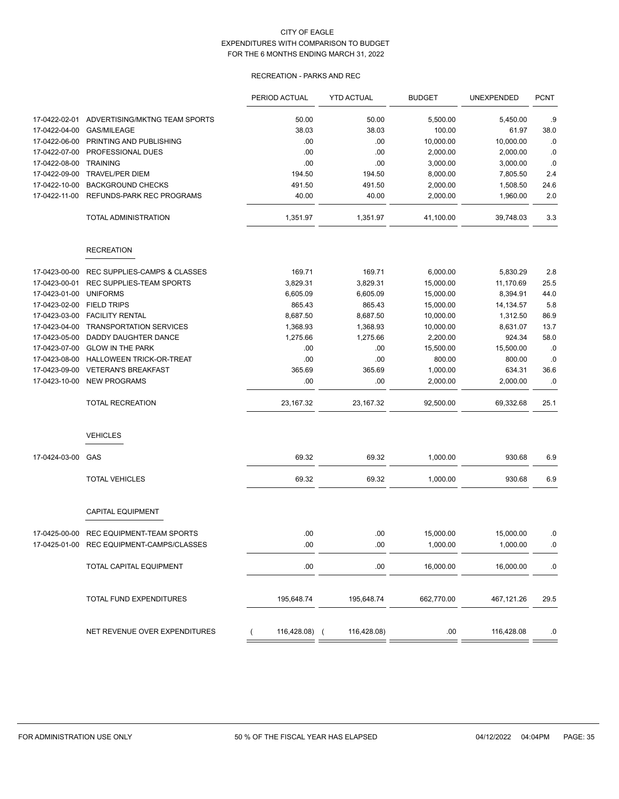# RECREATION - PARKS AND REC

|               |                                           | PERIOD ACTUAL | <b>YTD ACTUAL</b> | <b>BUDGET</b> | <b>UNEXPENDED</b> | <b>PCNT</b> |
|---------------|-------------------------------------------|---------------|-------------------|---------------|-------------------|-------------|
| 17-0422-02-01 | ADVERTISING/MKTNG TEAM SPORTS             | 50.00         | 50.00             | 5,500.00      | 5,450.00          | .9          |
| 17-0422-04-00 | GAS/MILEAGE                               | 38.03         | 38.03             | 100.00        | 61.97             | 38.0        |
| 17-0422-06-00 | PRINTING AND PUBLISHING                   | .00           | .00               | 10,000.00     | 10,000.00         | .0          |
| 17-0422-07-00 | PROFESSIONAL DUES                         | .00           | .00               | 2,000.00      | 2,000.00          | .0          |
| 17-0422-08-00 | <b>TRAINING</b>                           | .00           | .00               | 3,000.00      | 3,000.00          | .0          |
| 17-0422-09-00 | <b>TRAVEL/PER DIEM</b>                    | 194.50        | 194.50            | 8,000.00      | 7,805.50          | 2.4         |
| 17-0422-10-00 | <b>BACKGROUND CHECKS</b>                  | 491.50        | 491.50            | 2,000.00      | 1,508.50          | 24.6        |
| 17-0422-11-00 | REFUNDS-PARK REC PROGRAMS                 | 40.00         | 40.00             | 2,000.00      | 1,960.00          | 2.0         |
|               | <b>TOTAL ADMINISTRATION</b>               | 1,351.97      | 1,351.97          | 41,100.00     | 39,748.03         | 3.3         |
|               | <b>RECREATION</b>                         |               |                   |               |                   |             |
| 17-0423-00-00 | <b>REC SUPPLIES-CAMPS &amp; CLASSES</b>   | 169.71        | 169.71            | 6,000.00      | 5,830.29          | 2.8         |
| 17-0423-00-01 | REC SUPPLIES-TEAM SPORTS                  | 3,829.31      | 3,829.31          | 15,000.00     | 11,170.69         | 25.5        |
| 17-0423-01-00 | <b>UNIFORMS</b>                           | 6,605.09      | 6,605.09          | 15,000.00     | 8,394.91          | 44.0        |
| 17-0423-02-00 | <b>FIELD TRIPS</b>                        | 865.43        | 865.43            | 15,000.00     | 14, 134.57        | 5.8         |
| 17-0423-03-00 | <b>FACILITY RENTAL</b>                    | 8,687.50      | 8,687.50          | 10,000.00     | 1,312.50          | 86.9        |
| 17-0423-04-00 | <b>TRANSPORTATION SERVICES</b>            | 1,368.93      | 1,368.93          | 10,000.00     | 8,631.07          | 13.7        |
| 17-0423-05-00 | <b>DADDY DAUGHTER DANCE</b>               | 1,275.66      | 1,275.66          | 2,200.00      | 924.34            | 58.0        |
| 17-0423-07-00 | <b>GLOW IN THE PARK</b>                   | .00           | .00               | 15,500.00     | 15,500.00         | .0          |
| 17-0423-08-00 | HALLOWEEN TRICK-OR-TREAT                  | .00           | .00               | 800.00        | 800.00            | .0          |
| 17-0423-09-00 | <b>VETERAN'S BREAKFAST</b>                | 365.69        | 365.69            | 1,000.00      | 634.31            | 36.6        |
| 17-0423-10-00 | <b>NEW PROGRAMS</b>                       | .00           | .00               | 2,000.00      | 2,000.00          | .0          |
|               | <b>TOTAL RECREATION</b>                   | 23,167.32     | 23,167.32         | 92,500.00     | 69,332.68         | 25.1        |
|               | <b>VEHICLES</b>                           |               |                   |               |                   |             |
| 17-0424-03-00 | GAS                                       | 69.32         | 69.32             | 1,000.00      | 930.68            | 6.9         |
|               | <b>TOTAL VEHICLES</b>                     | 69.32         | 69.32             | 1,000.00      | 930.68            | 6.9         |
|               | <b>CAPITAL EQUIPMENT</b>                  |               |                   |               |                   |             |
| 17-0425-00-00 | <b>REC EQUIPMENT-TEAM SPORTS</b>          | .00           | .00               | 15,000.00     | 15,000.00         | .0          |
|               | 17-0425-01-00 REC EQUIPMENT-CAMPS/CLASSES | 00            | .00               | 1,000.00      | 1,000.00          | .0          |
|               | TOTAL CAPITAL EQUIPMENT                   | .00           | .00               | 16,000.00     | 16,000.00         | .0          |
|               | TOTAL FUND EXPENDITURES                   | 195,648.74    | 195,648.74        | 662,770.00    | 467,121.26        | 29.5        |
|               | NET REVENUE OVER EXPENDITURES             | 116,428.08) ( | 116,428.08)       | .00.          | 116,428.08        | .0          |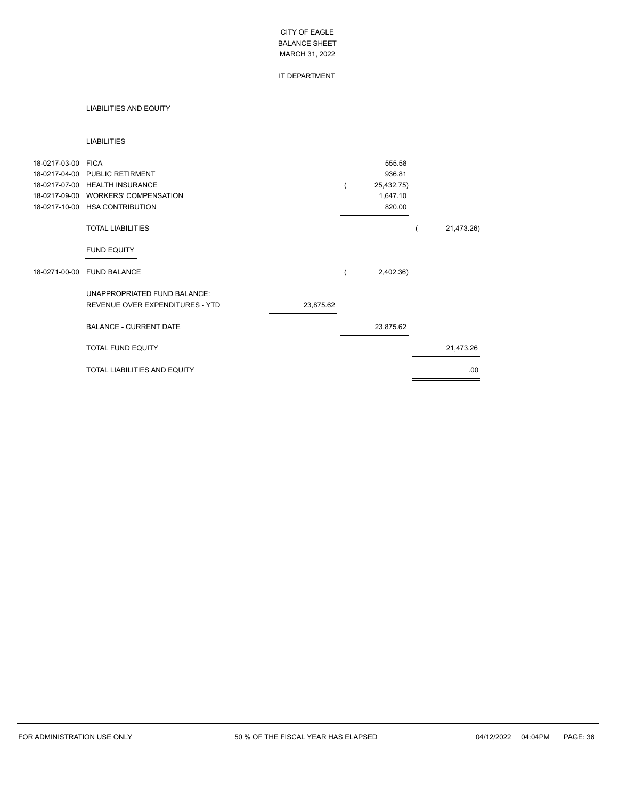## IT DEPARTMENT

#### LIABILITIES AND EQUITY

#### LIABILITIES

| 18-0217-03-00<br>18-0217-04-00<br>18-0217-07-00<br>18-0217-09-00<br>18-0217-10-00 | <b>FICA</b><br><b>PUBLIC RETIRMENT</b><br><b>HEALTH INSURANCE</b><br><b>WORKERS' COMPENSATION</b><br><b>HSA CONTRIBUTION</b> |           | 555.58<br>936.81<br>25,432.75)<br>1,647.10<br>820.00 |            |
|-----------------------------------------------------------------------------------|------------------------------------------------------------------------------------------------------------------------------|-----------|------------------------------------------------------|------------|
|                                                                                   | <b>TOTAL LIABILITIES</b>                                                                                                     |           |                                                      | 21,473.26) |
|                                                                                   | <b>FUND EQUITY</b>                                                                                                           |           |                                                      |            |
| 18-0271-00-00                                                                     | <b>FUND BALANCE</b>                                                                                                          |           | 2,402.36)                                            |            |
|                                                                                   | UNAPPROPRIATED FUND BALANCE:<br>REVENUE OVER EXPENDITURES - YTD                                                              | 23,875.62 |                                                      |            |
|                                                                                   | <b>BALANCE - CURRENT DATE</b>                                                                                                |           | 23,875.62                                            |            |
|                                                                                   | <b>TOTAL FUND EQUITY</b>                                                                                                     |           |                                                      | 21,473.26  |
|                                                                                   | <b>TOTAL LIABILITIES AND EQUITY</b>                                                                                          |           |                                                      | .00.       |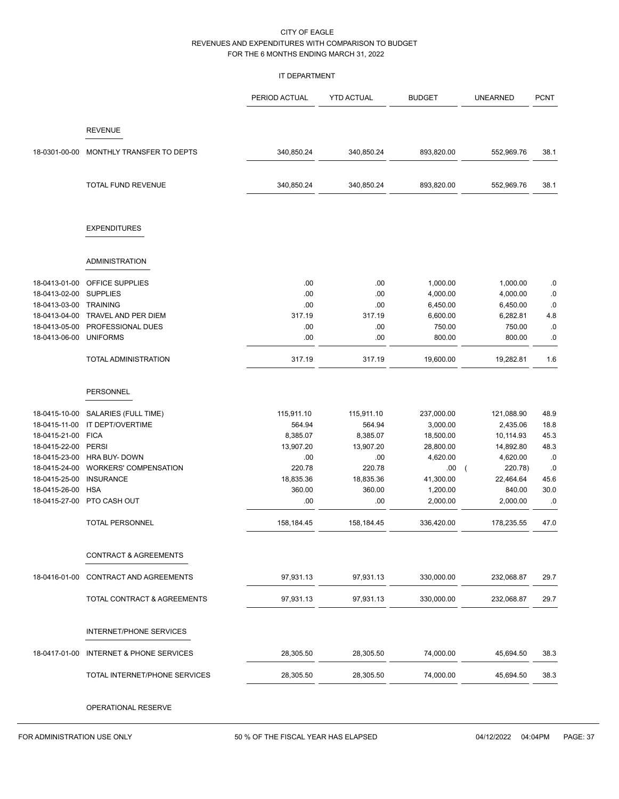#### IT DEPARTMENT

|                        |                                         | PERIOD ACTUAL | <b>YTD ACTUAL</b> | <b>BUDGET</b> | <b>UNEARNED</b>       | <b>PCNT</b> |
|------------------------|-----------------------------------------|---------------|-------------------|---------------|-----------------------|-------------|
|                        | <b>REVENUE</b>                          |               |                   |               |                       |             |
| 18-0301-00-00          | MONTHLY TRANSFER TO DEPTS               | 340,850.24    | 340,850.24        | 893,820.00    | 552,969.76            | 38.1        |
|                        | TOTAL FUND REVENUE                      | 340,850.24    | 340,850.24        | 893,820.00    | 552,969.76            | 38.1        |
|                        | <b>EXPENDITURES</b>                     |               |                   |               |                       |             |
|                        | <b>ADMINISTRATION</b>                   |               |                   |               |                       |             |
| 18-0413-01-00          | OFFICE SUPPLIES                         | .00           | .00               | 1,000.00      | 1,000.00              | .0          |
| 18-0413-02-00          | <b>SUPPLIES</b>                         | .00           | .00               | 4,000.00      | 4,000.00              | .0          |
| 18-0413-03-00 TRAINING |                                         | .00           | .00               | 6,450.00      | 6,450.00              | .0          |
| 18-0413-04-00          | TRAVEL AND PER DIEM                     | 317.19        | 317.19            | 6,600.00      | 6,282.81              | 4.8         |
| 18-0413-05-00          | PROFESSIONAL DUES                       | .00           | .00               | 750.00        | 750.00                | .0          |
| 18-0413-06-00          | <b>UNIFORMS</b>                         | .00           | .00.              | 800.00        | 800.00                | .0          |
|                        | TOTAL ADMINISTRATION                    | 317.19        | 317.19            | 19,600.00     | 19,282.81             | 1.6         |
|                        | PERSONNEL                               |               |                   |               |                       |             |
| 18-0415-10-00          | SALARIES (FULL TIME)                    | 115,911.10    | 115,911.10        | 237,000.00    | 121,088.90            | 48.9        |
| 18-0415-11-00          | IT DEPT/OVERTIME                        | 564.94        | 564.94            | 3,000.00      | 2,435.06              | 18.8        |
| 18-0415-21-00          | <b>FICA</b>                             | 8,385.07      | 8,385.07          | 18,500.00     | 10,114.93             | 45.3        |
| 18-0415-22-00          | PERSI                                   | 13,907.20     | 13,907.20         | 28,800.00     | 14,892.80             | 48.3        |
| 18-0415-23-00          | HRA BUY- DOWN                           | .00           | .00               | 4,620.00      | 4,620.00              | .0          |
| 18-0415-24-00          | <b>WORKERS' COMPENSATION</b>            | 220.78        | 220.78            | .00           | 220.78)<br>$\sqrt{ }$ | .0          |
| 18-0415-25-00          | <b>INSURANCE</b>                        | 18,835.36     | 18,835.36         | 41,300.00     | 22,464.64             | 45.6        |
| 18-0415-26-00          | <b>HSA</b>                              | 360.00        | 360.00            | 1,200.00      | 840.00                | 30.0        |
| 18-0415-27-00          | PTO CASH OUT                            | .00           | .00               | 2,000.00      | 2,000.00              | .0          |
|                        | <b>TOTAL PERSONNEL</b>                  | 158,184.45    | 158,184.45        | 336,420.00    | 178,235.55            | 47.0        |
|                        | <b>CONTRACT &amp; AGREEMENTS</b>        |               |                   |               |                       |             |
|                        |                                         |               |                   |               |                       |             |
| 18-0416-01-00          | CONTRACT AND AGREEMENTS                 | 97,931.13     | 97,931.13         | 330,000.00    | 232,068.87            | 29.7        |
|                        | TOTAL CONTRACT & AGREEMENTS             | 97,931.13     | 97,931.13         | 330,000.00    | 232,068.87            | 29.7        |
|                        | <b>INTERNET/PHONE SERVICES</b>          |               |                   |               |                       |             |
|                        | 18-0417-01-00 INTERNET & PHONE SERVICES | 28,305.50     | 28,305.50         | 74,000.00     | 45,694.50             | 38.3        |
|                        | TOTAL INTERNET/PHONE SERVICES           | 28,305.50     | 28,305.50         | 74,000.00     | 45,694.50             | 38.3        |
|                        | OPERATIONAL RESERVE                     |               |                   |               |                       |             |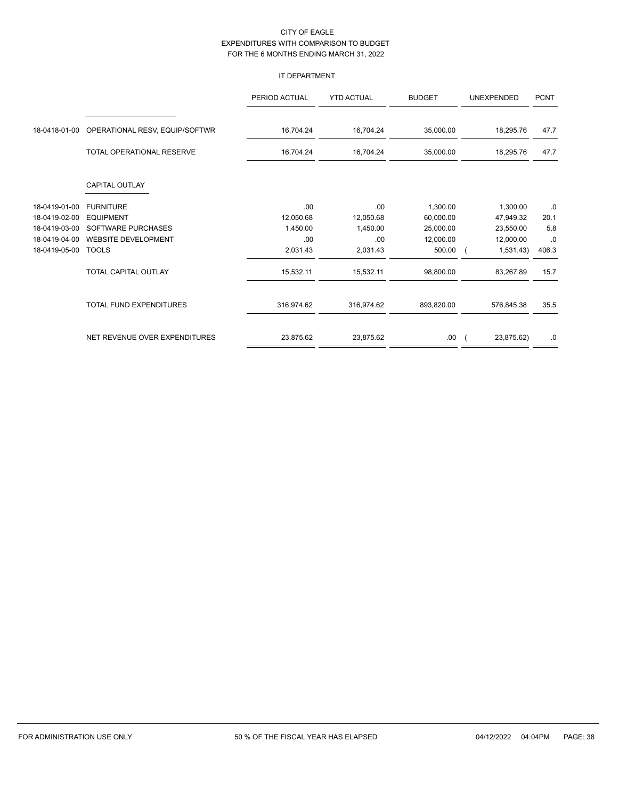# IT DEPARTMENT

|               |                                | PERIOD ACTUAL | <b>YTD ACTUAL</b> | <b>BUDGET</b> | <b>UNEXPENDED</b> | <b>PCNT</b> |
|---------------|--------------------------------|---------------|-------------------|---------------|-------------------|-------------|
| 18-0418-01-00 | OPERATIONAL RESV, EQUIP/SOFTWR | 16,704.24     | 16,704.24         | 35,000.00     | 18,295.76         | 47.7        |
|               | TOTAL OPERATIONAL RESERVE      | 16,704.24     | 16,704.24         | 35,000.00     | 18,295.76         | 47.7        |
|               | <b>CAPITAL OUTLAY</b>          |               |                   |               |                   |             |
| 18-0419-01-00 | <b>FURNITURE</b>               | .00           | .00.              | 1,300.00      | 1,300.00          | .0          |
| 18-0419-02-00 | <b>EQUIPMENT</b>               | 12,050.68     | 12,050.68         | 60,000.00     | 47,949.32         | 20.1        |
| 18-0419-03-00 | <b>SOFTWARE PURCHASES</b>      | 1,450.00      | 1,450.00          | 25,000.00     | 23,550.00         | 5.8         |
| 18-0419-04-00 | <b>WEBSITE DEVELOPMENT</b>     | .00           | .00.              | 12,000.00     | 12,000.00         | .0          |
| 18-0419-05-00 | <b>TOOLS</b>                   | 2,031.43      | 2,031.43          | 500.00        | 1,531.43)         | 406.3       |
|               | TOTAL CAPITAL OUTLAY           | 15,532.11     | 15,532.11         | 98,800.00     | 83,267.89         | 15.7        |
|               | <b>TOTAL FUND EXPENDITURES</b> | 316,974.62    | 316,974.62        | 893,820.00    | 576,845.38        | 35.5        |
|               | NET REVENUE OVER EXPENDITURES  | 23,875.62     | 23,875.62         | .00.          | 23,875.62)        | .0          |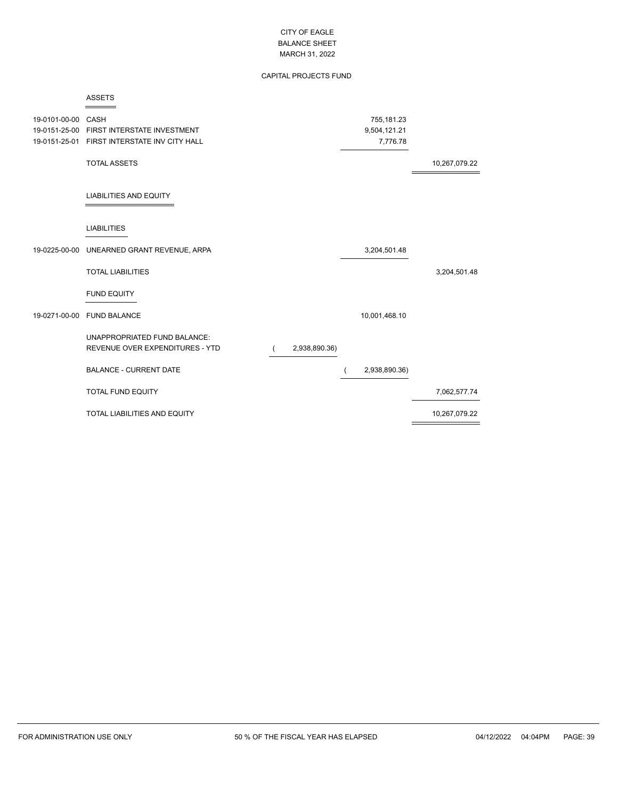# CAPITAL PROJECTS FUND

| 19-0101-00-00 CASH | 19-0151-25-00 FIRST INTERSTATE INVESTMENT<br>19-0151-25-01 FIRST INTERSTATE INV CITY HALL |               |                | 755,181.23<br>9,504,121.21<br>7,776.78 |               |
|--------------------|-------------------------------------------------------------------------------------------|---------------|----------------|----------------------------------------|---------------|
|                    | <b>TOTAL ASSETS</b>                                                                       |               |                |                                        | 10,267,079.22 |
|                    | <b>LIABILITIES AND EQUITY</b>                                                             |               |                |                                        |               |
|                    | <b>LIABILITIES</b>                                                                        |               |                |                                        |               |
|                    | 19-0225-00-00 UNEARNED GRANT REVENUE, ARPA                                                |               |                | 3,204,501.48                           |               |
|                    | <b>TOTAL LIABILITIES</b>                                                                  |               |                |                                        | 3,204,501.48  |
|                    | <b>FUND EQUITY</b>                                                                        |               |                |                                        |               |
| 19-0271-00-00      | <b>FUND BALANCE</b>                                                                       |               |                | 10,001,468.10                          |               |
|                    | UNAPPROPRIATED FUND BALANCE:<br>REVENUE OVER EXPENDITURES - YTD                           | 2,938,890.36) |                |                                        |               |
|                    | <b>BALANCE - CURRENT DATE</b>                                                             |               | $\overline{ }$ | 2,938,890.36)                          |               |
|                    | <b>TOTAL FUND EQUITY</b>                                                                  |               |                |                                        | 7,062,577.74  |
|                    | TOTAL LIABILITIES AND EQUITY                                                              |               |                |                                        | 10,267,079.22 |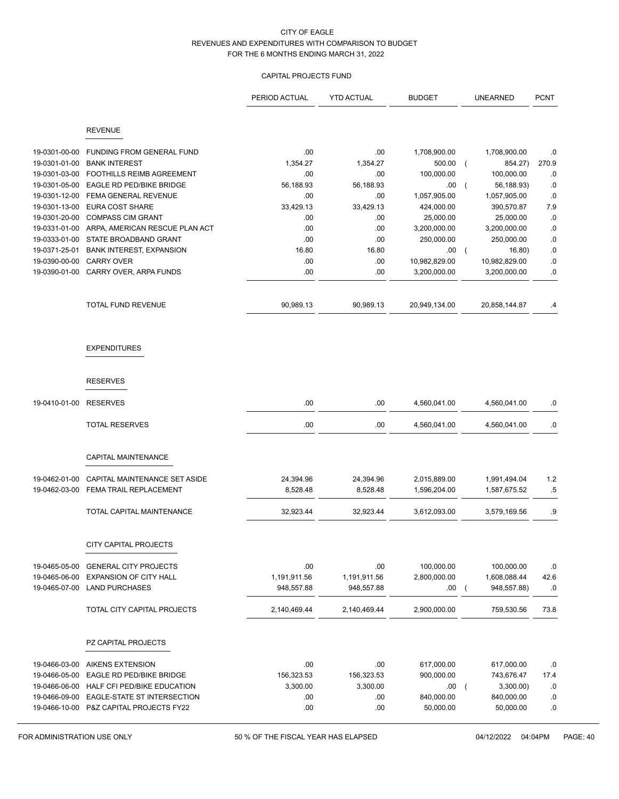# CAPITAL PROJECTS FUND

|                                |                                                   | PERIOD ACTUAL   | <b>YTD ACTUAL</b> | <b>BUDGET</b>          | <b>UNEARNED</b>                     | <b>PCNT</b>   |
|--------------------------------|---------------------------------------------------|-----------------|-------------------|------------------------|-------------------------------------|---------------|
|                                | <b>REVENUE</b>                                    |                 |                   |                        |                                     |               |
| 19-0301-00-00<br>19-0301-01-00 | FUNDING FROM GENERAL FUND<br><b>BANK INTEREST</b> | .00<br>1,354.27 | .00<br>1,354.27   | 1,708,900.00<br>500.00 | 1,708,900.00<br>854.27)<br>$\left($ | .0<br>270.9   |
| 19-0301-03-00                  | <b>FOOTHILLS REIMB AGREEMENT</b>                  | .00             | .00               | 100,000.00             | 100,000.00                          | .0            |
| 19-0301-05-00                  | EAGLE RD PED/BIKE BRIDGE                          | 56,188.93       | 56,188.93         | .00                    | 56,188.93)                          | .0            |
| 19-0301-12-00                  | FEMA GENERAL REVENUE                              | .00             | .00               | 1,057,905.00           | 1,057,905.00                        | $\cdot$ 0     |
| 19-0301-13-00                  | <b>EURA COST SHARE</b>                            | 33,429.13       | 33,429.13         | 424,000.00             | 390,570.87                          | 7.9           |
| 19-0301-20-00                  | <b>COMPASS CIM GRANT</b>                          | .00             | .00               | 25,000.00              | 25,000.00                           | .0            |
| 19-0331-01-00                  | ARPA, AMERICAN RESCUE PLAN ACT                    | .00             | .00               | 3,200,000.00           | 3,200,000.00                        | .0            |
| 19-0333-01-00                  | STATE BROADBAND GRANT                             | .00             | .00               | 250,000.00             | 250,000.00                          | $\cdot$ 0     |
| 19-0371-25-01                  | <b>BANK INTEREST, EXPANSION</b>                   | 16.80           | 16.80             | .00                    | 16.80)<br>$\overline{ }$            | $\cdot$ $\!0$ |
| 19-0390-00-00                  | <b>CARRY OVER</b>                                 | .00             | .00               | 10,982,829.00          | 10,982,829.00                       | $\cdot$ 0     |
| 19-0390-01-00                  | CARRY OVER, ARPA FUNDS                            | .00             | .00               | 3,200,000.00           | 3,200,000.00                        | .0            |
|                                | TOTAL FUND REVENUE                                | 90,989.13       | 90,989.13         | 20,949,134.00          | 20,858,144.87                       | .4            |
|                                | <b>EXPENDITURES</b>                               |                 |                   |                        |                                     |               |
|                                | <b>RESERVES</b>                                   |                 |                   |                        |                                     |               |
| 19-0410-01-00                  | <b>RESERVES</b>                                   | .00             | .00.              | 4,560,041.00           | 4,560,041.00                        | .0            |
|                                | <b>TOTAL RESERVES</b>                             | .00             | .00               | 4,560,041.00           | 4,560,041.00                        | .0            |
|                                | <b>CAPITAL MAINTENANCE</b>                        |                 |                   |                        |                                     |               |
| 19-0462-01-00                  | CAPITAL MAINTENANCE SET ASIDE                     | 24,394.96       | 24,394.96         | 2,015,889.00           | 1,991,494.04                        | 1.2           |
| 19-0462-03-00                  | FEMA TRAIL REPLACEMENT                            | 8,528.48        | 8,528.48          | 1,596,204.00           | 1,587,675.52                        | $.5\,$        |
|                                | TOTAL CAPITAL MAINTENANCE                         | 32,923.44       | 32,923.44         | 3,612,093.00           | 3,579,169.56                        | .9            |
|                                | CITY CAPITAL PROJECTS                             |                 |                   |                        |                                     |               |
| 19-0465-05-00                  | <b>GENERAL CITY PROJECTS</b>                      | .00             | .00               | 100,000.00             | 100,000.00                          | .0            |
| 19-0465-06-00                  | <b>EXPANSION OF CITY HALL</b>                     | 1,191,911.56    | 1,191,911.56      | 2,800,000.00           | 1,608,088.44                        | 42.6          |
| 19-0465-07-00                  | <b>LAND PURCHASES</b>                             | 948,557.88      | 948,557.88        | .00                    | 948,557.88)                         | .0            |
|                                | TOTAL CITY CAPITAL PROJECTS                       | 2,140,469.44    | 2,140,469.44      | 2,900,000.00           | 759,530.56                          | 73.8          |
|                                | PZ CAPITAL PROJECTS                               |                 |                   |                        |                                     |               |
| 19-0466-03-00                  | <b>AIKENS EXTENSION</b>                           | .00             | .00               | 617,000.00             | 617,000.00                          | .0            |
| 19-0466-05-00                  | EAGLE RD PED/BIKE BRIDGE                          | 156,323.53      | 156,323.53        | 900,000.00             | 743,676.47                          | 17.4          |
| 19-0466-06-00                  | HALF CFI PED/BIKE EDUCATION                       | 3,300.00        | 3,300.00          | .00.                   | 3,300.00)                           | .0            |
| 19-0466-09-00                  | EAGLE-STATE ST INTERSECTION                       | .00             | .00               | 840,000.00             | 840,000.00                          | .0            |
|                                | 19-0466-10-00 P&Z CAPITAL PROJECTS FY22           | .00             | .00               | 50,000.00              | 50,000.00                           | .0            |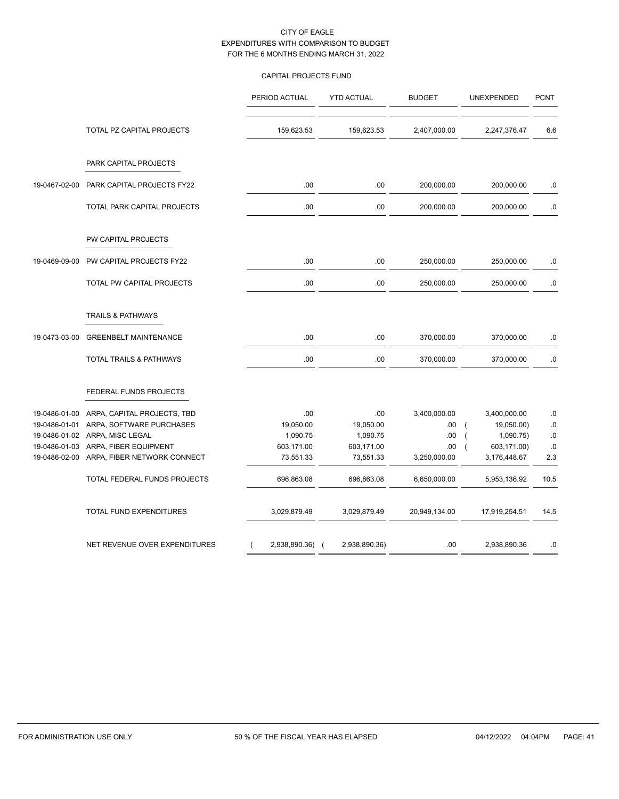# CAPITAL PROJECTS FUND

|               |                                    | PERIOD ACTUAL   | <b>YTD ACTUAL</b> | <b>BUDGET</b> | <b>UNEXPENDED</b>             | <b>PCNT</b> |
|---------------|------------------------------------|-----------------|-------------------|---------------|-------------------------------|-------------|
|               | TOTAL PZ CAPITAL PROJECTS          | 159,623.53      | 159,623.53        | 2,407,000.00  | 2,247,376.47                  | 6.6         |
|               | PARK CAPITAL PROJECTS              |                 |                   |               |                               |             |
| 19-0467-02-00 | PARK CAPITAL PROJECTS FY22         | .00             | .00               | 200,000.00    | 200,000.00                    | .0          |
|               | TOTAL PARK CAPITAL PROJECTS        | .00             | .00               | 200,000.00    | 200,000.00                    | ${\bf .0}$  |
|               | PW CAPITAL PROJECTS                |                 |                   |               |                               |             |
| 19-0469-09-00 | PW CAPITAL PROJECTS FY22           | .00             | .00               | 250,000.00    | 250,000.00                    | .0          |
|               | TOTAL PW CAPITAL PROJECTS          | .00             | .00               | 250,000.00    | 250,000.00                    | .0          |
|               | <b>TRAILS &amp; PATHWAYS</b>       |                 |                   |               |                               |             |
| 19-0473-03-00 | <b>GREENBELT MAINTENANCE</b>       | .00             | .00               | 370,000.00    | 370,000.00                    | $0.5\,$     |
|               | <b>TOTAL TRAILS &amp; PATHWAYS</b> | .00             | .00               | 370,000.00    | 370,000.00                    | .0          |
|               | FEDERAL FUNDS PROJECTS             |                 |                   |               |                               |             |
| 19-0486-01-00 | ARPA, CAPITAL PROJECTS, TBD        | .00             | .00               | 3,400,000.00  | 3,400,000.00                  | .0          |
| 19-0486-01-01 | ARPA, SOFTWARE PURCHASES           | 19,050.00       | 19,050.00         | .00.          | 19,050.00)<br>$\overline{ }$  | ${\bf .0}$  |
| 19-0486-01-02 | ARPA, MISC LEGAL                   | 1,090.75        | 1,090.75          | .00           | 1,090.75)<br>$\overline{ }$   | 0.0         |
| 19-0486-01-03 | ARPA, FIBER EQUIPMENT              | 603,171.00      | 603,171.00        | .00           | 603,171.00)<br>$\overline{ }$ | .0          |
| 19-0486-02-00 | ARPA, FIBER NETWORK CONNECT        | 73,551.33       | 73,551.33         | 3,250,000.00  | 3,176,448.67                  | 2.3         |
|               | TOTAL FEDERAL FUNDS PROJECTS       | 696,863.08      | 696,863.08        | 6,650,000.00  | 5,953,136.92                  | 10.5        |
|               | TOTAL FUND EXPENDITURES            | 3,029,879.49    | 3,029,879.49      | 20,949,134.00 | 17,919,254.51                 | 14.5        |
|               | NET REVENUE OVER EXPENDITURES      | 2,938,890.36) ( | 2,938,890.36)     | .00           | 2,938,890.36                  | .0          |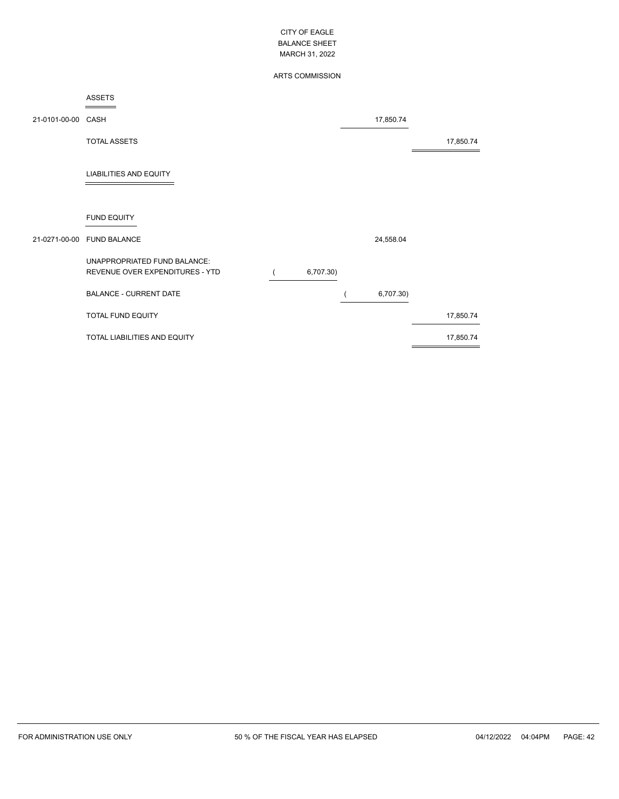# ARTS COMMISSION

#### ASSETS ÷

| 21-0101-00-00 CASH |                                                                 |           | 17,850.74 |           |
|--------------------|-----------------------------------------------------------------|-----------|-----------|-----------|
|                    | <b>TOTAL ASSETS</b>                                             |           |           | 17,850.74 |
|                    | <b>LIABILITIES AND EQUITY</b>                                   |           |           |           |
|                    | <b>FUND EQUITY</b>                                              |           |           |           |
|                    | 21-0271-00-00 FUND BALANCE                                      |           | 24,558.04 |           |
|                    | UNAPPROPRIATED FUND BALANCE:<br>REVENUE OVER EXPENDITURES - YTD | 6,707.30) |           |           |
|                    | <b>BALANCE - CURRENT DATE</b>                                   |           | 6,707.30) |           |
|                    | TOTAL FUND EQUITY                                               |           |           | 17,850.74 |
|                    | TOTAL LIABILITIES AND EQUITY                                    |           |           | 17,850.74 |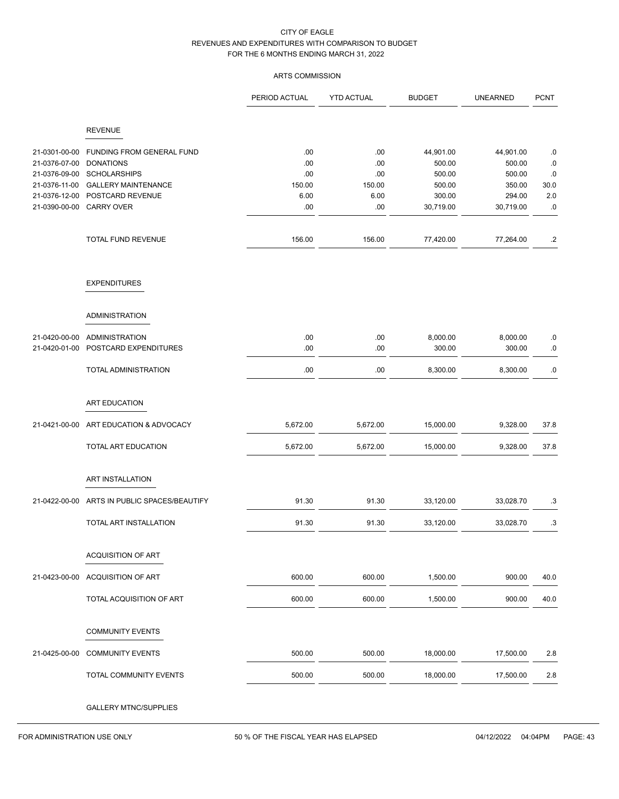# ARTS COMMISSION

|                                |                                                | PERIOD ACTUAL | <b>YTD ACTUAL</b> | <b>BUDGET</b>      | <b>UNEARNED</b>    | <b>PCNT</b>      |
|--------------------------------|------------------------------------------------|---------------|-------------------|--------------------|--------------------|------------------|
|                                | <b>REVENUE</b>                                 |               |                   |                    |                    |                  |
| 21-0301-00-00                  | FUNDING FROM GENERAL FUND                      | .00           | .00               | 44,901.00          | 44,901.00          | .0               |
| 21-0376-07-00                  | <b>DONATIONS</b>                               | .00           | .00               | 500.00             | 500.00             | .0               |
| 21-0376-09-00                  | <b>SCHOLARSHIPS</b>                            | .00           | .00               | 500.00             | 500.00             | .0               |
| 21-0376-11-00                  | <b>GALLERY MAINTENANCE</b>                     | 150.00        | 150.00            | 500.00             | 350.00             | 30.0             |
| 21-0376-12-00                  | POSTCARD REVENUE                               | 6.00          | 6.00              | 300.00             | 294.00             | $2.0\,$          |
| 21-0390-00-00                  | <b>CARRY OVER</b>                              | .00           | .00               | 30,719.00          | 30,719.00          | $.0\,$           |
|                                | TOTAL FUND REVENUE                             | 156.00        | 156.00            | 77,420.00          | 77,264.00          | $.2\phantom{0}$  |
|                                | <b>EXPENDITURES</b>                            |               |                   |                    |                    |                  |
|                                | <b>ADMINISTRATION</b>                          |               |                   |                    |                    |                  |
|                                |                                                |               |                   |                    |                    |                  |
| 21-0420-00-00<br>21-0420-01-00 | <b>ADMINISTRATION</b><br>POSTCARD EXPENDITURES | .00<br>.00    | .00<br>.00        | 8,000.00<br>300.00 | 8,000.00<br>300.00 | $.0\,$<br>$.0\,$ |
|                                |                                                |               |                   |                    |                    |                  |
|                                | TOTAL ADMINISTRATION                           | .00           | .00               | 8,300.00           | 8,300.00           | $.0\,$           |
|                                | ART EDUCATION                                  |               |                   |                    |                    |                  |
| 21-0421-00-00                  | ART EDUCATION & ADVOCACY                       | 5,672.00      | 5,672.00          | 15,000.00          | 9,328.00           | 37.8             |
|                                | TOTAL ART EDUCATION                            | 5,672.00      | 5,672.00          | 15,000.00          | 9,328.00           | 37.8             |
|                                |                                                |               |                   |                    |                    |                  |
|                                | ART INSTALLATION                               |               |                   |                    |                    |                  |
| 21-0422-00-00                  | ARTS IN PUBLIC SPACES/BEAUTIFY                 | 91.30         | 91.30             | 33,120.00          | 33,028.70          | .3               |
|                                | TOTAL ART INSTALLATION                         | 91.30         | 91.30             | 33,120.00          | 33,028.70          | .3               |
|                                |                                                |               |                   |                    |                    |                  |
|                                | <b>ACQUISITION OF ART</b>                      |               |                   |                    |                    |                  |
| 21-0423-00-00                  | ACQUISITION OF ART                             | 600.00        | 600.00            | 1,500.00           | 900.00             | 40.0             |
|                                | TOTAL ACQUISITION OF ART                       | 600.00        | 600.00            | 1,500.00           | 900.00             | 40.0             |
|                                | <b>COMMUNITY EVENTS</b>                        |               |                   |                    |                    |                  |
| 21-0425-00-00                  | <b>COMMUNITY EVENTS</b>                        | 500.00        | 500.00            | 18,000.00          | 17,500.00          | 2.8              |
|                                | TOTAL COMMUNITY EVENTS                         | 500.00        | 500.00            | 18,000.00          | 17,500.00          | 2.8              |
|                                | <b>GALLERY MTNC/SUPPLIES</b>                   |               |                   |                    |                    |                  |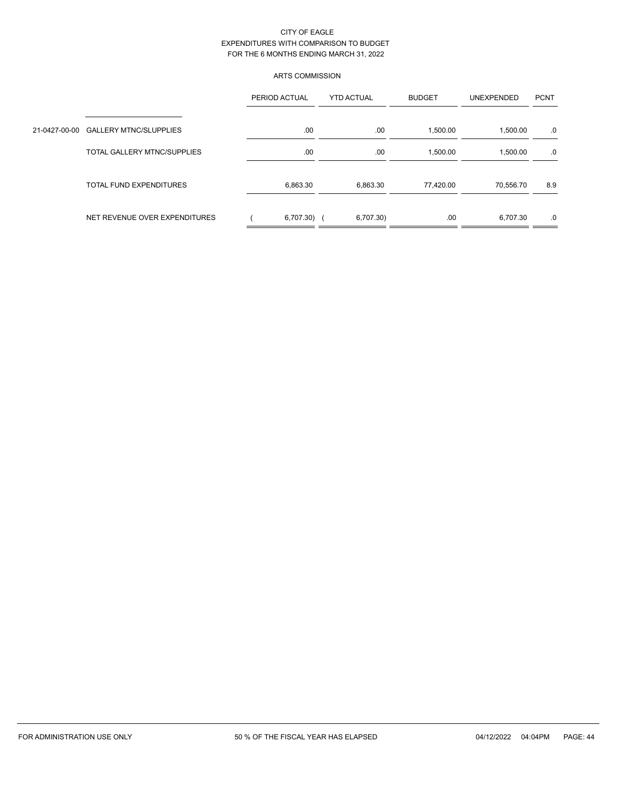# ARTS COMMISSION

|                                      | PERIOD ACTUAL | <b>YTD ACTUAL</b> | <b>BUDGET</b> | <b>UNEXPENDED</b> | <b>PCNT</b> |  |
|--------------------------------------|---------------|-------------------|---------------|-------------------|-------------|--|
| 21-0427-00-00 GALLERY MTNC/SLUPPLIES | .00.          | .00               | 1,500.00      | 1,500.00          | .0          |  |
| TOTAL GALLERY MTNC/SUPPLIES          | .00.          | .00               | 1,500.00      | 1,500.00          | .0          |  |
| TOTAL FUND EXPENDITURES              | 6,863.30      | 6,863.30          | 77,420.00     | 70,556.70         | 8.9         |  |
| NET REVENUE OVER EXPENDITURES        | $6,707.30)$ ( | 6,707.30)         | .00.          | 6,707.30          | .0          |  |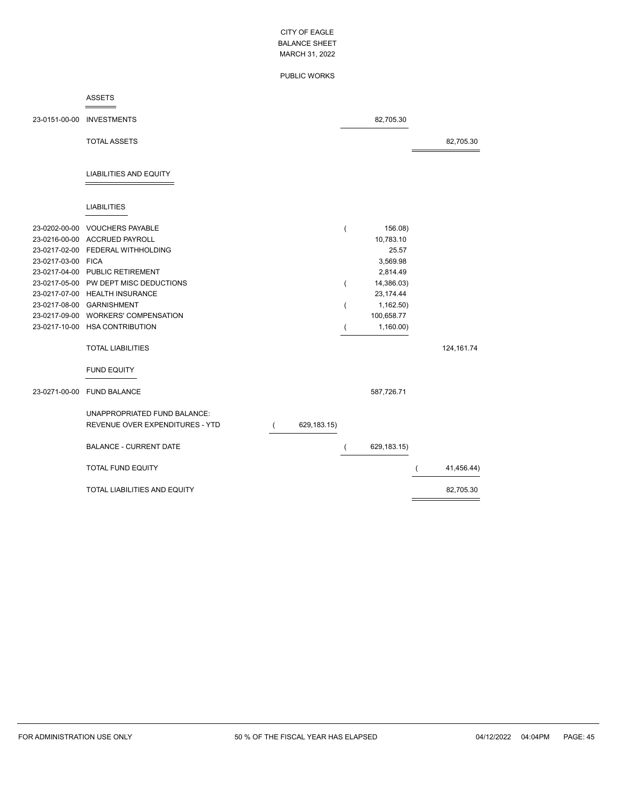#### PUBLIC WORKS

#### ASSETS ÷

|                    | 23-0151-00-00 INVESTMENTS                                       |             |                | 82,705.30   |             |
|--------------------|-----------------------------------------------------------------|-------------|----------------|-------------|-------------|
|                    | <b>TOTAL ASSETS</b>                                             |             |                |             | 82,705.30   |
|                    | <b>LIABILITIES AND EQUITY</b>                                   |             |                |             |             |
|                    | <b>LIABILITIES</b>                                              |             |                |             |             |
|                    | 23-0202-00-00 VOUCHERS PAYABLE                                  |             | $\overline{ }$ | 156.08)     |             |
|                    | 23-0216-00-00 ACCRUED PAYROLL                                   |             |                | 10,783.10   |             |
|                    | 23-0217-02-00 FEDERAL WITHHOLDING                               |             |                | 25.57       |             |
| 23-0217-03-00 FICA |                                                                 |             |                | 3,569.98    |             |
|                    | 23-0217-04-00 PUBLIC RETIREMENT                                 |             |                | 2,814.49    |             |
|                    | 23-0217-05-00 PW DEPT MISC DEDUCTIONS                           |             | $\overline{(}$ | 14,386.03)  |             |
|                    | 23-0217-07-00 HEALTH INSURANCE                                  |             |                | 23, 174.44  |             |
|                    | 23-0217-08-00 GARNISHMENT                                       |             | (              | 1,162.50    |             |
|                    | 23-0217-09-00 WORKERS' COMPENSATION                             |             |                | 100,658.77  |             |
|                    | 23-0217-10-00 HSA CONTRIBUTION                                  |             | $\overline{ }$ | 1,160.00    |             |
|                    | <b>TOTAL LIABILITIES</b>                                        |             |                |             | 124, 161.74 |
|                    | <b>FUND EQUITY</b>                                              |             |                |             |             |
|                    | 23-0271-00-00 FUND BALANCE                                      |             |                | 587,726.71  |             |
|                    | UNAPPROPRIATED FUND BALANCE:<br>REVENUE OVER EXPENDITURES - YTD | 629,183.15) |                |             |             |
|                    | <b>BALANCE - CURRENT DATE</b>                                   |             | (              | 629,183.15) |             |
|                    | <b>TOTAL FUND EQUITY</b>                                        |             |                |             | 41,456.44)  |
|                    | TOTAL LIABILITIES AND EQUITY                                    |             |                |             | 82,705.30   |

 $\overline{a}$ 

L,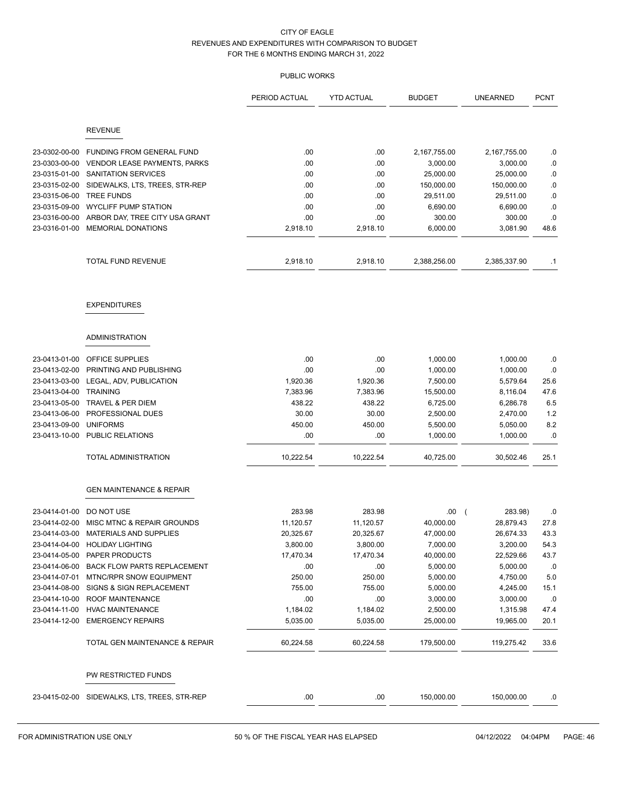| <b>REVENUE</b><br>23-0302-00-00<br><b>FUNDING FROM GENERAL FUND</b><br>.00<br>.00<br>2,167,755.00<br>2,167,755.00<br>.00<br>23-0303-00-00<br>VENDOR LEASE PAYMENTS, PARKS<br>.00<br>3,000.00<br>3,000.00<br>23-0315-01-00<br>SANITATION SERVICES<br>.00<br>.00<br>25,000.00<br>25,000.00<br>23-0315-02-00<br>SIDEWALKS, LTS, TREES, STR-REP<br>.00.<br>.00.<br>150,000.00<br>150,000.00<br>23-0315-06-00<br><b>TREE FUNDS</b><br>.00<br>.00<br>29,511.00<br>29,511.00<br><b>WYCLIFF PUMP STATION</b><br>.00<br>.00<br>23-0315-09-00<br>6,690.00<br>6,690.00<br>.00<br>.00<br>23-0316-00-00<br>ARBOR DAY, TREE CITY USA GRANT<br>300.00<br>300.00<br><b>MEMORIAL DONATIONS</b><br>23-0316-01-00<br>2,918.10<br>2,918.10<br>6,000.00<br>3,081.90<br><b>TOTAL FUND REVENUE</b><br>2,918.10<br>2,918.10<br>2,388,256.00<br>2,385,337.90<br><b>EXPENDITURES</b><br><b>ADMINISTRATION</b> | <b>PCNT</b>  |
|-------------------------------------------------------------------------------------------------------------------------------------------------------------------------------------------------------------------------------------------------------------------------------------------------------------------------------------------------------------------------------------------------------------------------------------------------------------------------------------------------------------------------------------------------------------------------------------------------------------------------------------------------------------------------------------------------------------------------------------------------------------------------------------------------------------------------------------------------------------------------------------|--------------|
|                                                                                                                                                                                                                                                                                                                                                                                                                                                                                                                                                                                                                                                                                                                                                                                                                                                                                     |              |
|                                                                                                                                                                                                                                                                                                                                                                                                                                                                                                                                                                                                                                                                                                                                                                                                                                                                                     |              |
|                                                                                                                                                                                                                                                                                                                                                                                                                                                                                                                                                                                                                                                                                                                                                                                                                                                                                     | .0           |
|                                                                                                                                                                                                                                                                                                                                                                                                                                                                                                                                                                                                                                                                                                                                                                                                                                                                                     | .0           |
|                                                                                                                                                                                                                                                                                                                                                                                                                                                                                                                                                                                                                                                                                                                                                                                                                                                                                     | .0           |
|                                                                                                                                                                                                                                                                                                                                                                                                                                                                                                                                                                                                                                                                                                                                                                                                                                                                                     | .0           |
|                                                                                                                                                                                                                                                                                                                                                                                                                                                                                                                                                                                                                                                                                                                                                                                                                                                                                     | .0           |
|                                                                                                                                                                                                                                                                                                                                                                                                                                                                                                                                                                                                                                                                                                                                                                                                                                                                                     | .0<br>.0     |
|                                                                                                                                                                                                                                                                                                                                                                                                                                                                                                                                                                                                                                                                                                                                                                                                                                                                                     | 48.6         |
|                                                                                                                                                                                                                                                                                                                                                                                                                                                                                                                                                                                                                                                                                                                                                                                                                                                                                     |              |
|                                                                                                                                                                                                                                                                                                                                                                                                                                                                                                                                                                                                                                                                                                                                                                                                                                                                                     | $\cdot$ 1    |
|                                                                                                                                                                                                                                                                                                                                                                                                                                                                                                                                                                                                                                                                                                                                                                                                                                                                                     |              |
|                                                                                                                                                                                                                                                                                                                                                                                                                                                                                                                                                                                                                                                                                                                                                                                                                                                                                     |              |
| OFFICE SUPPLIES<br>.00<br>.00<br>23-0413-01-00<br>1,000.00<br>1,000.00                                                                                                                                                                                                                                                                                                                                                                                                                                                                                                                                                                                                                                                                                                                                                                                                              | .0           |
| PRINTING AND PUBLISHING<br>.00<br>.00<br>23-0413-02-00<br>1,000.00<br>1,000.00                                                                                                                                                                                                                                                                                                                                                                                                                                                                                                                                                                                                                                                                                                                                                                                                      | .0           |
| 23-0413-03-00<br>LEGAL, ADV, PUBLICATION<br>1,920.36<br>1,920.36<br>7,500.00<br>5,579.64                                                                                                                                                                                                                                                                                                                                                                                                                                                                                                                                                                                                                                                                                                                                                                                            | 25.6         |
| 23-0413-04-00<br><b>TRAINING</b><br>7,383.96<br>7,383.96<br>15,500.00<br>8,116.04                                                                                                                                                                                                                                                                                                                                                                                                                                                                                                                                                                                                                                                                                                                                                                                                   | 47.6         |
| 23-0413-05-00<br>TRAVEL & PER DIEM<br>438.22<br>438.22<br>6,725.00<br>6,286.78                                                                                                                                                                                                                                                                                                                                                                                                                                                                                                                                                                                                                                                                                                                                                                                                      | 6.5          |
| 23-0413-06-00<br>PROFESSIONAL DUES<br>30.00<br>2,470.00<br>30.00<br>2,500.00                                                                                                                                                                                                                                                                                                                                                                                                                                                                                                                                                                                                                                                                                                                                                                                                        | $1.2$        |
| 23-0413-09-00<br><b>UNIFORMS</b><br>450.00<br>450.00<br>5,050.00<br>5,500.00                                                                                                                                                                                                                                                                                                                                                                                                                                                                                                                                                                                                                                                                                                                                                                                                        | 8.2          |
| PUBLIC RELATIONS<br>.00<br>23-0413-10-00<br>.00<br>1,000.00<br>1,000.00                                                                                                                                                                                                                                                                                                                                                                                                                                                                                                                                                                                                                                                                                                                                                                                                             | .0           |
| TOTAL ADMINISTRATION<br>10,222.54<br>10,222.54<br>40,725.00<br>30,502.46                                                                                                                                                                                                                                                                                                                                                                                                                                                                                                                                                                                                                                                                                                                                                                                                            | 25.1         |
| <b>GEN MAINTENANCE &amp; REPAIR</b>                                                                                                                                                                                                                                                                                                                                                                                                                                                                                                                                                                                                                                                                                                                                                                                                                                                 |              |
|                                                                                                                                                                                                                                                                                                                                                                                                                                                                                                                                                                                                                                                                                                                                                                                                                                                                                     |              |
| 23-0414-01-00<br>DO NOT USE<br>283.98<br>283.98<br>.00.<br>283.98)<br>$\overline{ }$<br>MISC MTNC & REPAIR GROUNDS<br>11,120.57<br>11,120.57<br>28,879.43<br>23-0414-02-00                                                                                                                                                                                                                                                                                                                                                                                                                                                                                                                                                                                                                                                                                                          | .0           |
| 40,000.00<br>23-0414-03-00 MATERIALS AND SUPPLIES<br>20,325.67<br>20,325.67<br>47,000.00<br>26,674.33                                                                                                                                                                                                                                                                                                                                                                                                                                                                                                                                                                                                                                                                                                                                                                               | 27.8<br>43.3 |
| 23-0414-04-00<br>3,200.00<br><b>HOLIDAY LIGHTING</b><br>7,000.00<br>3,800.00<br>3,800.00                                                                                                                                                                                                                                                                                                                                                                                                                                                                                                                                                                                                                                                                                                                                                                                            | 54.3         |
| 23-0414-05-00<br>PAPER PRODUCTS<br>17,470.34<br>17,470.34<br>40,000.00<br>22,529.66                                                                                                                                                                                                                                                                                                                                                                                                                                                                                                                                                                                                                                                                                                                                                                                                 | 43.7         |
| 23-0414-06-00<br><b>BACK FLOW PARTS REPLACEMENT</b><br>.00.<br>.00<br>5,000.00<br>5,000.00                                                                                                                                                                                                                                                                                                                                                                                                                                                                                                                                                                                                                                                                                                                                                                                          | .0           |
| 23-0414-07-01<br>MTNC/RPR SNOW EQUIPMENT<br>250.00<br>250.00<br>5,000.00<br>4,750.00                                                                                                                                                                                                                                                                                                                                                                                                                                                                                                                                                                                                                                                                                                                                                                                                | $5.0$        |
| 755.00<br>755.00<br>23-0414-08-00<br>SIGNS & SIGN REPLACEMENT<br>5,000.00<br>4,245.00                                                                                                                                                                                                                                                                                                                                                                                                                                                                                                                                                                                                                                                                                                                                                                                               | 15.1         |
| ROOF MAINTENANCE<br>.00<br>.00<br>23-0414-10-00<br>3,000.00<br>3,000.00                                                                                                                                                                                                                                                                                                                                                                                                                                                                                                                                                                                                                                                                                                                                                                                                             | .0           |
| 1,184.02<br>23-0414-11-00<br><b>HVAC MAINTENANCE</b><br>1,184.02<br>2,500.00<br>1,315.98                                                                                                                                                                                                                                                                                                                                                                                                                                                                                                                                                                                                                                                                                                                                                                                            | 47.4         |
| 23-0414-12-00<br><b>EMERGENCY REPAIRS</b><br>5,035.00<br>5,035.00<br>25,000.00<br>19,965.00                                                                                                                                                                                                                                                                                                                                                                                                                                                                                                                                                                                                                                                                                                                                                                                         | 20.1         |
| TOTAL GEN MAINTENANCE & REPAIR<br>60,224.58<br>60,224.58<br>179,500.00<br>119,275.42                                                                                                                                                                                                                                                                                                                                                                                                                                                                                                                                                                                                                                                                                                                                                                                                | 33.6         |
| PW RESTRICTED FUNDS                                                                                                                                                                                                                                                                                                                                                                                                                                                                                                                                                                                                                                                                                                                                                                                                                                                                 |              |
| 23-0415-02-00 SIDEWALKS, LTS, TREES, STR-REP<br>.00<br>.00<br>150,000.00<br>150,000.00                                                                                                                                                                                                                                                                                                                                                                                                                                                                                                                                                                                                                                                                                                                                                                                              | .0           |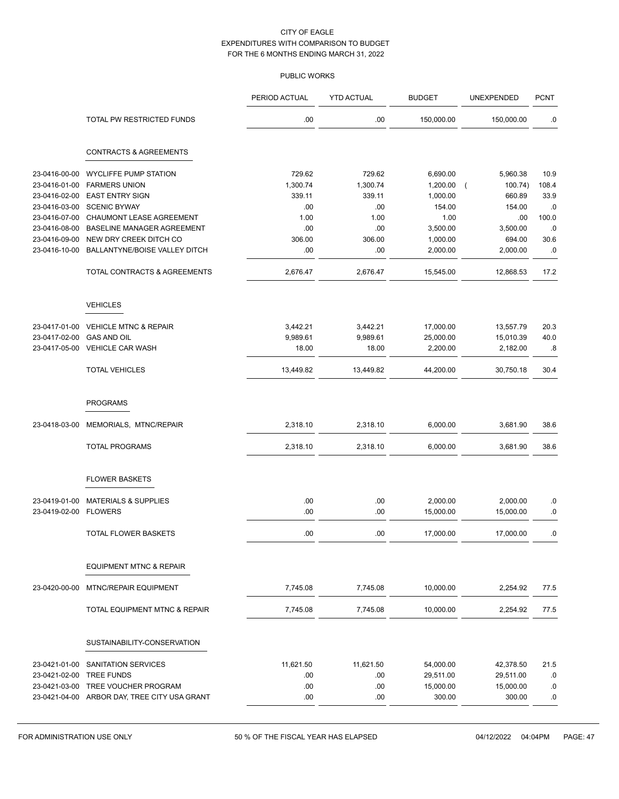|               |                                              | PERIOD ACTUAL | <b>YTD ACTUAL</b> | <b>BUDGET</b> | UNEXPENDED                | <b>PCNT</b> |
|---------------|----------------------------------------------|---------------|-------------------|---------------|---------------------------|-------------|
|               | TOTAL PW RESTRICTED FUNDS                    | .00           | .00               | 150,000.00    | 150,000.00                | .0          |
|               | <b>CONTRACTS &amp; AGREEMENTS</b>            |               |                   |               |                           |             |
| 23-0416-00-00 | <b>WYCLIFFE PUMP STATION</b>                 | 729.62        | 729.62            | 6,690.00      | 5,960.38                  | 10.9        |
| 23-0416-01-00 | <b>FARMERS UNION</b>                         | 1,300.74      | 1,300.74          | 1,200.00      | 100.74)<br>$\overline{ }$ | 108.4       |
| 23-0416-02-00 | <b>EAST ENTRY SIGN</b>                       | 339.11        | 339.11            | 1,000.00      | 660.89                    | 33.9        |
| 23-0416-03-00 | <b>SCENIC BYWAY</b>                          | .00           | .00               | 154.00        | 154.00                    | .0          |
| 23-0416-07-00 | CHAUMONT LEASE AGREEMENT                     | 1.00          | 1.00              | 1.00          | .00                       | 100.0       |
| 23-0416-08-00 | <b>BASELINE MANAGER AGREEMENT</b>            | .00           | .00               | 3,500.00      | 3,500.00                  | .0          |
| 23-0416-09-00 | NEW DRY CREEK DITCH CO                       | 306.00        | 306.00            | 1,000.00      | 694.00                    | 30.6        |
| 23-0416-10-00 | BALLANTYNE/BOISE VALLEY DITCH                | .00           | .00               | 2,000.00      | 2,000.00                  | .0          |
|               | TOTAL CONTRACTS & AGREEMENTS                 | 2,676.47      | 2,676.47          | 15,545.00     | 12,868.53                 | 17.2        |
|               | <b>VEHICLES</b>                              |               |                   |               |                           |             |
| 23-0417-01-00 | <b>VEHICLE MTNC &amp; REPAIR</b>             | 3,442.21      | 3,442.21          | 17,000.00     | 13,557.79                 | 20.3        |
| 23-0417-02-00 | <b>GAS AND OIL</b>                           | 9,989.61      | 9,989.61          | 25,000.00     | 15,010.39                 | 40.0        |
| 23-0417-05-00 | <b>VEHICLE CAR WASH</b>                      | 18.00         | 18.00             | 2,200.00      | 2,182.00                  | .8          |
|               | <b>TOTAL VEHICLES</b>                        | 13,449.82     | 13,449.82         | 44,200.00     | 30,750.18                 | 30.4        |
|               |                                              |               |                   |               |                           |             |
|               | <b>PROGRAMS</b>                              |               |                   |               |                           |             |
| 23-0418-03-00 | MEMORIALS, MTNC/REPAIR                       | 2,318.10      | 2,318.10          | 6,000.00      | 3,681.90                  | 38.6        |
|               | <b>TOTAL PROGRAMS</b>                        | 2,318.10      | 2,318.10          | 6,000.00      | 3,681.90                  | 38.6        |
|               | <b>FLOWER BASKETS</b>                        |               |                   |               |                           |             |
| 23-0419-01-00 | <b>MATERIALS &amp; SUPPLIES</b>              | .00           | .00               | 2,000.00      | 2,000.00                  | .0          |
| 23-0419-02-00 | <b>FLOWERS</b>                               | .00           | .00               | 15,000.00     | 15,000.00                 | $\cdot$ 0   |
|               | TOTAL FLOWER BASKETS                         | .00           | .00               | 17,000.00     | 17,000.00                 | .0          |
|               | <b>EQUIPMENT MTNC &amp; REPAIR</b>           |               |                   |               |                           |             |
| 23-0420-00-00 | <b>MTNC/REPAIR EQUIPMENT</b>                 | 7,745.08      | 7,745.08          | 10,000.00     | 2,254.92                  | 77.5        |
|               | TOTAL EQUIPMENT MTNC & REPAIR                | 7,745.08      | 7,745.08          | 10,000.00     | 2,254.92                  | 77.5        |
|               | SUSTAINABILITY-CONSERVATION                  |               |                   |               |                           |             |
|               |                                              |               |                   |               |                           |             |
| 23-0421-01-00 | SANITATION SERVICES                          | 11,621.50     | 11,621.50         | 54,000.00     | 42,378.50                 | 21.5        |
| 23-0421-02-00 | <b>TREE FUNDS</b>                            | .00           | .00               | 29,511.00     | 29,511.00                 | .0          |
| 23-0421-03-00 | TREE VOUCHER PROGRAM                         | .00           | .00               | 15,000.00     | 15,000.00                 | .0          |
|               | 23-0421-04-00 ARBOR DAY, TREE CITY USA GRANT | .00           | .00               | 300.00        | 300.00                    | .0          |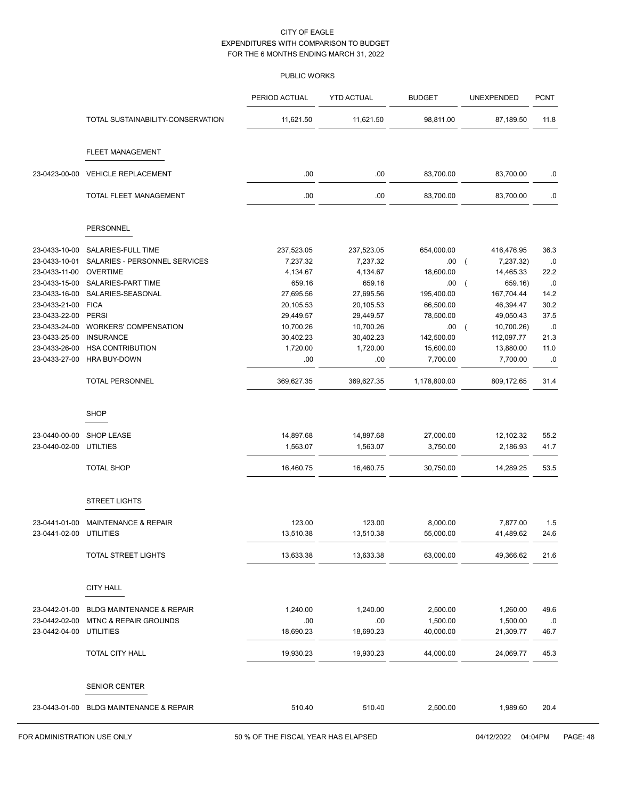|                                |                                         | PERIOD ACTUAL         | <b>YTD ACTUAL</b>     | <b>BUDGET</b>         | UNEXPENDED                       | <b>PCNT</b>  |
|--------------------------------|-----------------------------------------|-----------------------|-----------------------|-----------------------|----------------------------------|--------------|
|                                | TOTAL SUSTAINABILITY-CONSERVATION       | 11,621.50             | 11,621.50             | 98,811.00             | 87,189.50                        | 11.8         |
|                                | <b>FLEET MANAGEMENT</b>                 |                       |                       |                       |                                  |              |
| 23-0423-00-00                  | <b>VEHICLE REPLACEMENT</b>              | .00                   | .00                   | 83,700.00             | 83,700.00                        | .0           |
|                                | TOTAL FLEET MANAGEMENT                  | .00                   | .00                   | 83,700.00             | 83,700.00                        | $0.5\,$      |
|                                | PERSONNEL                               |                       |                       |                       |                                  |              |
|                                |                                         |                       |                       |                       |                                  |              |
| 23-0433-10-00                  | SALARIES-FULL TIME                      | 237,523.05            | 237,523.05            | 654,000.00            | 416,476.95                       | 36.3         |
| 23-0433-10-01                  | SALARIES - PERSONNEL SERVICES           | 7,237.32              | 7,237.32              | .00.                  | $\overline{ }$<br>7,237.32)      | .0           |
| 23-0433-11-00<br>23-0433-15-00 | <b>OVERTIME</b><br>SALARIES-PART TIME   | 4,134.67<br>659.16    | 4,134.67<br>659.16    | 18,600.00<br>.00.     | 14,465.33<br>659.16)<br>$\left($ | 22.2<br>.0   |
| 23-0433-16-00                  | SALARIES-SEASONAL                       | 27,695.56             | 27,695.56             | 195,400.00            | 167,704.44                       | 14.2         |
| 23-0433-21-00                  | <b>FICA</b>                             | 20,105.53             | 20,105.53             | 66,500.00             | 46,394.47                        | 30.2         |
| 23-0433-22-00                  | <b>PERSI</b>                            | 29,449.57             | 29,449.57             | 78,500.00             | 49,050.43                        | 37.5         |
| 23-0433-24-00                  | <b>WORKERS' COMPENSATION</b>            | 10,700.26             | 10,700.26             | .00                   | 10,700.26)<br>$\overline{ }$     | .0           |
| 23-0433-25-00                  | <b>INSURANCE</b>                        | 30,402.23             | 30,402.23             | 142,500.00            | 112,097.77                       | 21.3         |
| 23-0433-26-00                  | <b>HSA CONTRIBUTION</b>                 | 1,720.00              | 1,720.00              | 15,600.00             | 13,880.00                        | 11.0         |
| 23-0433-27-00                  | <b>HRA BUY-DOWN</b>                     | .00                   | .00                   | 7,700.00              | 7,700.00                         | .0           |
|                                | <b>TOTAL PERSONNEL</b>                  | 369,627.35            | 369,627.35            | 1,178,800.00          | 809,172.65                       | 31.4         |
|                                | <b>SHOP</b>                             |                       |                       |                       |                                  |              |
|                                |                                         |                       |                       |                       |                                  |              |
| 23-0440-00-00<br>23-0440-02-00 | <b>SHOP LEASE</b><br>UTILTIES           | 14,897.68<br>1,563.07 | 14,897.68<br>1,563.07 | 27,000.00<br>3,750.00 | 12,102.32<br>2,186.93            | 55.2<br>41.7 |
|                                |                                         |                       |                       |                       |                                  |              |
|                                | <b>TOTAL SHOP</b>                       | 16,460.75             | 16,460.75             | 30,750.00             | 14,289.25                        | 53.5         |
|                                | <b>STREET LIGHTS</b>                    |                       |                       |                       |                                  |              |
| 23-0441-01-00                  | <b>MAINTENANCE &amp; REPAIR</b>         | 123.00                | 123.00                | 8,000.00              | 7,877.00                         | 1.5          |
| 23-0441-02-00                  | UTILITIES                               | 13,510.38             | 13,510.38             | 55,000.00             | 41,489.62                        | 24.6         |
|                                | <b>TOTAL STREET LIGHTS</b>              | 13,633.38             | 13,633.38             | 63,000.00             | 49,366.62                        | 21.6         |
|                                | <b>CITY HALL</b>                        |                       |                       |                       |                                  |              |
|                                |                                         |                       |                       |                       |                                  |              |
| 23-0442-01-00                  | <b>BLDG MAINTENANCE &amp; REPAIR</b>    | 1,240.00              | 1,240.00              | 2,500.00              | 1,260.00                         | 49.6         |
| 23-0442-02-00                  | <b>MTNC &amp; REPAIR GROUNDS</b>        | .00                   | .00                   | 1,500.00              | 1,500.00                         | .0           |
| 23-0442-04-00 UTILITIES        |                                         | 18,690.23             | 18,690.23             | 40,000.00             | 21,309.77                        | 46.7         |
|                                | TOTAL CITY HALL                         | 19,930.23             | 19,930.23             | 44,000.00             | 24,069.77                        | 45.3         |
|                                | <b>SENIOR CENTER</b>                    |                       |                       |                       |                                  |              |
|                                |                                         |                       |                       |                       |                                  |              |
|                                | 23-0443-01-00 BLDG MAINTENANCE & REPAIR | 510.40                | 510.40                | 2,500.00              | 1,989.60                         | 20.4         |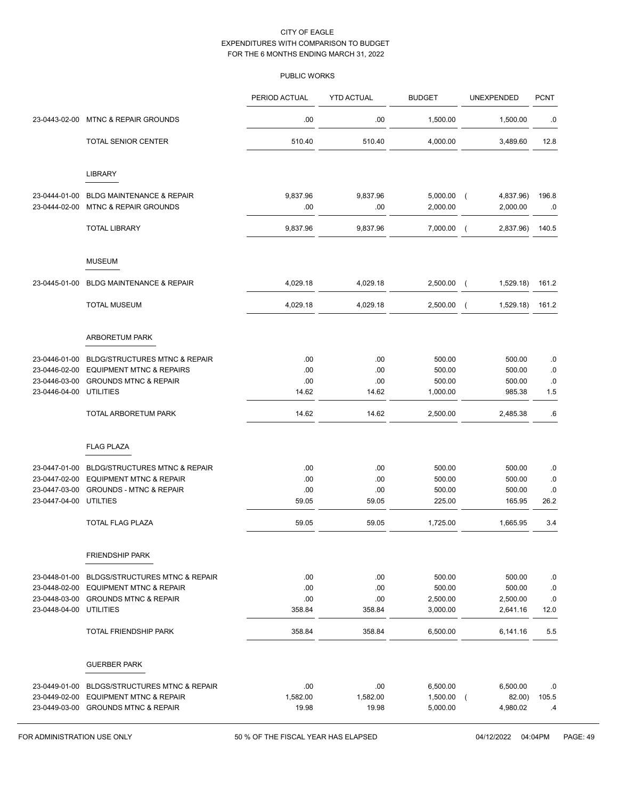|                                         |                                           | PERIOD ACTUAL | <b>YTD ACTUAL</b> | <b>BUDGET</b>    | UNEXPENDED                  | <b>PCNT</b> |
|-----------------------------------------|-------------------------------------------|---------------|-------------------|------------------|-----------------------------|-------------|
| 23-0443-02-00                           | <b>MTNC &amp; REPAIR GROUNDS</b>          | .00           | .00               | 1,500.00         | 1,500.00                    | .0          |
|                                         | <b>TOTAL SENIOR CENTER</b>                | 510.40        | 510.40            | 4,000.00         | 3,489.60                    | 12.8        |
|                                         | <b>LIBRARY</b>                            |               |                   |                  |                             |             |
| 23-0444-01-00                           | <b>BLDG MAINTENANCE &amp; REPAIR</b>      | 9,837.96      | 9,837.96          | 5,000.00         | 4,837.96)<br>$\sqrt{ }$     | 196.8       |
| 23-0444-02-00                           | <b>MTNC &amp; REPAIR GROUNDS</b>          | .00           | .00               | 2,000.00         | 2,000.00                    | .0          |
|                                         | <b>TOTAL LIBRARY</b>                      | 9,837.96      | 9,837.96          | 7,000.00         | 2,837.96)<br>$\overline{ }$ | 140.5       |
|                                         | <b>MUSEUM</b>                             |               |                   |                  |                             |             |
| 23-0445-01-00                           | <b>BLDG MAINTENANCE &amp; REPAIR</b>      | 4,029.18      | 4,029.18          | 2,500.00         | 1,529.18)<br>$\overline{ }$ | 161.2       |
|                                         | <b>TOTAL MUSEUM</b>                       | 4,029.18      | 4,029.18          | 2,500.00         | 1,529.18)<br>$\overline{ }$ | 161.2       |
|                                         | ARBORETUM PARK                            |               |                   |                  |                             |             |
| 23-0446-01-00                           | <b>BLDG/STRUCTURES MTNC &amp; REPAIR</b>  | .00           | .00               | 500.00           | 500.00                      | .0          |
| 23-0446-02-00                           | <b>EQUIPMENT MTNC &amp; REPAIRS</b>       | .00           | .00               | 500.00           | 500.00                      | .0          |
| 23-0446-03-00                           | <b>GROUNDS MTNC &amp; REPAIR</b>          | .00           | .00               | 500.00           | 500.00                      | .0          |
| 23-0446-04-00                           | UTILITIES                                 | 14.62         | 14.62             | 1,000.00         | 985.38                      | 1.5         |
|                                         | TOTAL ARBORETUM PARK                      | 14.62         | 14.62             | 2,500.00         | 2,485.38                    | .6          |
|                                         | <b>FLAG PLAZA</b>                         |               |                   |                  |                             |             |
| 23-0447-01-00                           | <b>BLDG/STRUCTURES MTNC &amp; REPAIR</b>  | .00           | .00               | 500.00           | 500.00                      | .0          |
| 23-0447-02-00                           | <b>EQUIPMENT MTNC &amp; REPAIR</b>        | .00           | .00               | 500.00           | 500.00                      | .0          |
| 23-0447-03-00<br>23-0447-04-00 UTILTIES | <b>GROUNDS - MTNC &amp; REPAIR</b>        | .00<br>59.05  | .00<br>59.05      | 500.00<br>225.00 | 500.00<br>165.95            | .0<br>26.2  |
|                                         | <b>TOTAL FLAG PLAZA</b>                   | 59.05         | 59.05             | 1,725.00         | 1,665.95                    | 3.4         |
|                                         |                                           |               |                   |                  |                             |             |
|                                         | <b>FRIENDSHIP PARK</b>                    |               |                   |                  |                             |             |
| 23-0448-01-00                           | BLDGS/STRUCTURES MTNC & REPAIR            | .00           | .00               | 500.00           | 500.00                      | .0          |
| 23-0448-02-00                           | <b>EQUIPMENT MTNC &amp; REPAIR</b>        | .00           | .00               | 500.00           | 500.00                      | .0          |
| 23-0448-03-00                           | <b>GROUNDS MTNC &amp; REPAIR</b>          | .00           | .00               | 2,500.00         | 2,500.00                    | .0          |
| 23-0448-04-00                           | <b>UTILITIES</b>                          | 358.84        | 358.84            | 3,000.00         | 2,641.16                    | 12.0        |
|                                         | <b>TOTAL FRIENDSHIP PARK</b>              | 358.84        | 358.84            | 6,500.00         | 6,141.16                    | 5.5         |
|                                         | <b>GUERBER PARK</b>                       |               |                   |                  |                             |             |
| 23-0449-01-00                           | <b>BLDGS/STRUCTURES MTNC &amp; REPAIR</b> | .00           | .00               | 6,500.00         | 6,500.00                    | .0          |
| 23-0449-02-00                           | <b>EQUIPMENT MTNC &amp; REPAIR</b>        | 1,582.00      | 1,582.00          | 1,500.00         | 82.00)<br>$\sqrt{2}$        | 105.5       |
|                                         | 23-0449-03-00 GROUNDS MTNC & REPAIR       | 19.98         | 19.98             | 5,000.00         | 4,980.02                    | .4          |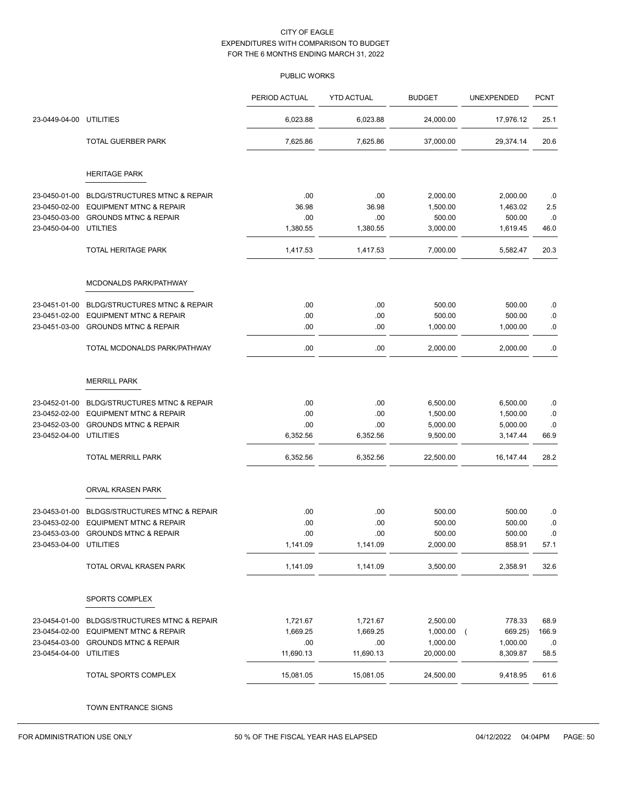|                                          |                                                                                | PERIOD ACTUAL | <b>YTD ACTUAL</b> | <b>BUDGET</b>        | UNEXPENDED            | <b>PCNT</b> |
|------------------------------------------|--------------------------------------------------------------------------------|---------------|-------------------|----------------------|-----------------------|-------------|
| 23-0449-04-00                            | <b>UTILITIES</b>                                                               | 6,023.88      | 6,023.88          | 24,000.00            | 17,976.12             | 25.1        |
|                                          | TOTAL GUERBER PARK                                                             | 7,625.86      | 7,625.86          | 37,000.00            | 29,374.14             | 20.6        |
|                                          | <b>HERITAGE PARK</b>                                                           |               |                   |                      |                       |             |
| 23-0450-01-00                            | <b>BLDG/STRUCTURES MTNC &amp; REPAIR</b>                                       | .00           | .00               | 2,000.00             | 2,000.00              | .0          |
| 23-0450-02-00                            | <b>EQUIPMENT MTNC &amp; REPAIR</b>                                             | 36.98         | 36.98             | 1,500.00             | 1,463.02              | 2.5         |
| 23-0450-03-00                            | <b>GROUNDS MTNC &amp; REPAIR</b>                                               | .00           | .00               | 500.00               | 500.00                | .0          |
| 23-0450-04-00                            | <b>UTILTIES</b>                                                                | 1,380.55      | 1,380.55          | 3,000.00             | 1,619.45              | 46.0        |
|                                          | <b>TOTAL HERITAGE PARK</b>                                                     | 1,417.53      | 1,417.53          | 7,000.00             | 5,582.47              | 20.3        |
|                                          | MCDONALDS PARK/PATHWAY                                                         |               |                   |                      |                       |             |
| 23-0451-01-00                            | <b>BLDG/STRUCTURES MTNC &amp; REPAIR</b>                                       | .00.          | .00               | 500.00               | 500.00                | .0          |
| 23-0451-02-00                            | <b>EQUIPMENT MTNC &amp; REPAIR</b>                                             | .00           | .00               | 500.00               | 500.00                | $\cdot$ 0   |
| 23-0451-03-00                            | <b>GROUNDS MTNC &amp; REPAIR</b>                                               | .00           | .00               | 1,000.00             | 1,000.00              | .0          |
|                                          | TOTAL MCDONALDS PARK/PATHWAY                                                   | .00.          | .00               | 2,000.00             | 2,000.00              | .0          |
|                                          | <b>MERRILL PARK</b>                                                            |               |                   |                      |                       |             |
|                                          |                                                                                |               |                   |                      |                       |             |
| 23-0452-01-00<br>23-0452-02-00           | <b>BLDG/STRUCTURES MTNC &amp; REPAIR</b><br><b>EQUIPMENT MTNC &amp; REPAIR</b> | .00<br>.00    | .00<br>.00        | 6,500.00<br>1,500.00 | 6,500.00<br>1,500.00  | .0<br>.0    |
| 23-0452-03-00                            | <b>GROUNDS MTNC &amp; REPAIR</b>                                               | .00           | .00               | 5,000.00             | 5,000.00              | .0          |
| 23-0452-04-00                            | <b>UTILITIES</b>                                                               | 6,352.56      | 6,352.56          | 9,500.00             | 3,147.44              | 66.9        |
|                                          | <b>TOTAL MERRILL PARK</b>                                                      | 6,352.56      | 6,352.56          | 22,500.00            | 16,147.44             | 28.2        |
|                                          | ORVAL KRASEN PARK                                                              |               |                   |                      |                       |             |
|                                          |                                                                                |               |                   |                      |                       |             |
| 23-0453-01-00                            | <b>BLDGS/STRUCTURES MTNC &amp; REPAIR</b>                                      | .00           | .00               | 500.00               | 500.00                | .0          |
| 23-0453-02-00                            | <b>EQUIPMENT MTNC &amp; REPAIR</b><br><b>GROUNDS MTNC &amp; REPAIR</b>         | .00<br>.00    | .00<br>.00        | 500.00               | 500.00<br>500.00      | .0          |
| 23-0453-03-00<br>23-0453-04-00 UTILITIES |                                                                                | 1,141.09      | 1,141.09          | 500.00<br>2,000.00   | 858.91                | 0.0<br>57.1 |
|                                          | TOTAL ORVAL KRASEN PARK                                                        | 1,141.09      | 1,141.09          | 3,500.00             | 2,358.91              | 32.6        |
|                                          | SPORTS COMPLEX                                                                 |               |                   |                      |                       |             |
|                                          |                                                                                |               |                   |                      |                       |             |
| 23-0454-01-00                            | <b>BLDGS/STRUCTURES MTNC &amp; REPAIR</b>                                      | 1,721.67      | 1,721.67          | 2,500.00             | 778.33                | 68.9        |
| 23-0454-02-00                            | <b>EQUIPMENT MTNC &amp; REPAIR</b>                                             | 1,669.25      | 1,669.25          | 1,000.00             | 669.25)<br>$\sqrt{ }$ | 166.9       |
| 23-0454-03-00                            | <b>GROUNDS MTNC &amp; REPAIR</b>                                               | .00.          | .00               | 1,000.00             | 1,000.00              | .0          |
| 23-0454-04-00                            | <b>UTILITIES</b>                                                               | 11,690.13     | 11,690.13         | 20,000.00            | 8,309.87              | 58.5        |
|                                          | TOTAL SPORTS COMPLEX                                                           | 15,081.05     | 15,081.05         | 24,500.00            | 9,418.95              | 61.6        |
|                                          | TOWN ENTRANCE SIGNS                                                            |               |                   |                      |                       |             |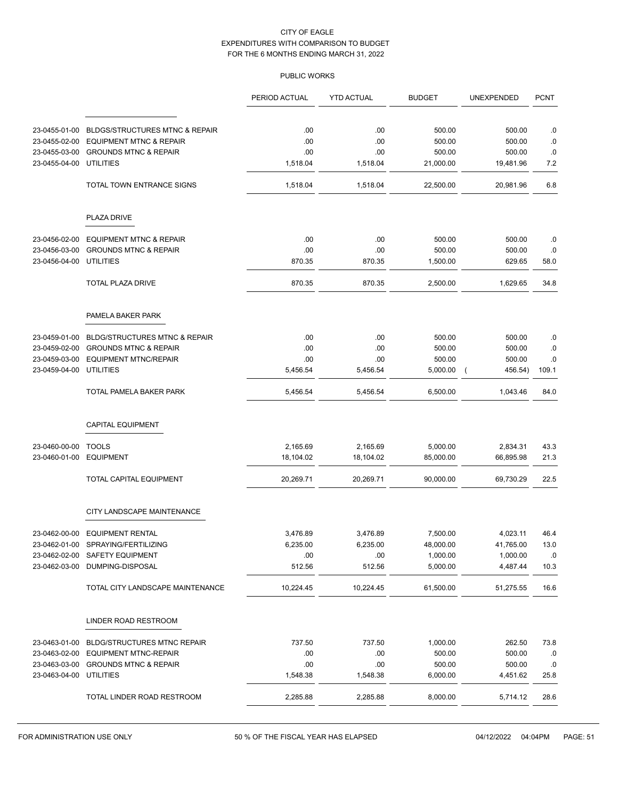|                                |                                           | PERIOD ACTUAL | <b>YTD ACTUAL</b> | <b>BUDGET</b> | UNEXPENDED                | <b>PCNT</b> |
|--------------------------------|-------------------------------------------|---------------|-------------------|---------------|---------------------------|-------------|
|                                |                                           |               |                   |               |                           |             |
| 23-0455-01-00                  | <b>BLDGS/STRUCTURES MTNC &amp; REPAIR</b> | .00           | .00               | 500.00        | 500.00                    | .0          |
| 23-0455-02-00                  | <b>EQUIPMENT MTNC &amp; REPAIR</b>        | .00           | .00               | 500.00        | 500.00                    | .0          |
| 23-0455-03-00<br>23-0455-04-00 | <b>GROUNDS MTNC &amp; REPAIR</b>          | .00           | .00               | 500.00        | 500.00                    | .0          |
|                                | <b>UTILITIES</b>                          | 1,518.04      | 1,518.04          | 21,000.00     | 19,481.96                 | 7.2         |
|                                | TOTAL TOWN ENTRANCE SIGNS                 | 1,518.04      | 1,518.04          | 22,500.00     | 20,981.96                 | 6.8         |
|                                | PLAZA DRIVE                               |               |                   |               |                           |             |
| 23-0456-02-00                  | <b>EQUIPMENT MTNC &amp; REPAIR</b>        | .00           | .00               | 500.00        | 500.00                    | .0          |
| 23-0456-03-00                  | <b>GROUNDS MTNC &amp; REPAIR</b>          | .00.          | .00               | 500.00        | 500.00                    | .0          |
| 23-0456-04-00                  | UTILITIES                                 | 870.35        | 870.35            | 1,500.00      | 629.65                    | 58.0        |
|                                | <b>TOTAL PLAZA DRIVE</b>                  | 870.35        | 870.35            | 2,500.00      | 1,629.65                  | 34.8        |
|                                | PAMELA BAKER PARK                         |               |                   |               |                           |             |
| 23-0459-01-00                  | <b>BLDG/STRUCTURES MTNC &amp; REPAIR</b>  | .00.          | .00               | 500.00        | 500.00                    | .0          |
| 23-0459-02-00                  | <b>GROUNDS MTNC &amp; REPAIR</b>          | .00           | .00               | 500.00        | 500.00                    | .0          |
| 23-0459-03-00                  | <b>EQUIPMENT MTNC/REPAIR</b>              | .00.          | .00               | 500.00        | 500.00                    | .0          |
| 23-0459-04-00                  | <b>UTILITIES</b>                          | 5,456.54      | 5,456.54          | 5,000.00      | 456.54)<br>$\overline{ }$ | 109.1       |
|                                | TOTAL PAMELA BAKER PARK                   | 5,456.54      | 5,456.54          | 6,500.00      | 1,043.46                  | 84.0        |
|                                | <b>CAPITAL EQUIPMENT</b>                  |               |                   |               |                           |             |
| 23-0460-00-00                  | <b>TOOLS</b>                              | 2,165.69      | 2,165.69          | 5,000.00      | 2,834.31                  | 43.3        |
| 23-0460-01-00                  | <b>EQUIPMENT</b>                          | 18,104.02     | 18,104.02         | 85,000.00     | 66,895.98                 | 21.3        |
|                                | TOTAL CAPITAL EQUIPMENT                   | 20,269.71     | 20,269.71         | 90,000.00     | 69,730.29                 | 22.5        |
|                                | CITY LANDSCAPE MAINTENANCE                |               |                   |               |                           |             |
|                                | 23-0462-00-00 EQUIPMENT RENTAL            | 3,476.89      | 3,476.89          | 7,500.00      | 4,023.11                  | 46.4        |
| 23-0462-01-00                  | SPRAYING/FERTILIZING                      | 6,235.00      | 6,235.00          | 48,000.00     | 41,765.00                 | 13.0        |
|                                | 23-0462-02-00 SAFETY EQUIPMENT            | .00.          | .00               | 1,000.00      | 1,000.00                  | .0          |
| 23-0462-03-00                  | DUMPING-DISPOSAL                          | 512.56        | 512.56            | 5,000.00      | 4,487.44                  | 10.3        |
|                                | TOTAL CITY LANDSCAPE MAINTENANCE          | 10,224.45     | 10,224.45         | 61,500.00     | 51,275.55                 | 16.6        |
|                                | LINDER ROAD RESTROOM                      |               |                   |               |                           |             |
| 23-0463-01-00                  | <b>BLDG/STRUCTURES MTNC REPAIR</b>        | 737.50        | 737.50            | 1,000.00      | 262.50                    | 73.8        |
| 23-0463-02-00                  | <b>EQUIPMENT MTNC-REPAIR</b>              | .00.          | .00               | 500.00        | 500.00                    | .0          |
| 23-0463-03-00                  | <b>GROUNDS MTNC &amp; REPAIR</b>          | .00           | .00               | 500.00        | 500.00                    | .0          |
| 23-0463-04-00 UTILITIES        |                                           | 1,548.38      | 1,548.38          | 6,000.00      | 4,451.62                  | 25.8        |
|                                | TOTAL LINDER ROAD RESTROOM                | 2,285.88      | 2,285.88          | 8,000.00      | 5,714.12                  | 28.6        |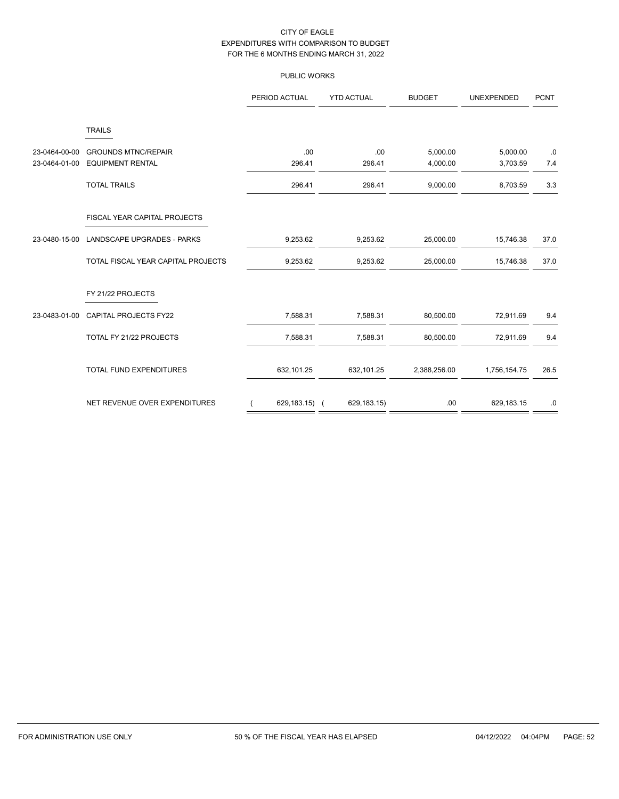|               |                                             | PERIOD ACTUAL | <b>YTD ACTUAL</b> | <b>BUDGET</b> | <b>UNEXPENDED</b> | <b>PCNT</b> |
|---------------|---------------------------------------------|---------------|-------------------|---------------|-------------------|-------------|
| 23-0464-00-00 | <b>TRAILS</b><br><b>GROUNDS MTNC/REPAIR</b> | .00           | .00               | 5,000.00      | 5,000.00          | $.0\,$      |
| 23-0464-01-00 | <b>EQUIPMENT RENTAL</b>                     | 296.41        | 296.41            | 4,000.00      | 3,703.59          | 7.4         |
|               | <b>TOTAL TRAILS</b>                         | 296.41        | 296.41            | 9,000.00      | 8,703.59          | 3.3         |
|               | FISCAL YEAR CAPITAL PROJECTS                |               |                   |               |                   |             |
| 23-0480-15-00 | LANDSCAPE UPGRADES - PARKS                  | 9,253.62      | 9,253.62          | 25,000.00     | 15,746.38         | 37.0        |
|               | TOTAL FISCAL YEAR CAPITAL PROJECTS          | 9,253.62      | 9,253.62          | 25,000.00     | 15,746.38         | 37.0        |
|               | FY 21/22 PROJECTS                           |               |                   |               |                   |             |
| 23-0483-01-00 | CAPITAL PROJECTS FY22                       | 7,588.31      | 7,588.31          | 80,500.00     | 72,911.69         | 9.4         |
|               | TOTAL FY 21/22 PROJECTS                     | 7,588.31      | 7,588.31          | 80,500.00     | 72,911.69         | 9.4         |
|               | TOTAL FUND EXPENDITURES                     | 632,101.25    | 632,101.25        | 2,388,256.00  | 1,756,154.75      | 26.5        |
|               | NET REVENUE OVER EXPENDITURES               | 629,183.15) ( | 629,183.15)       | .00           | 629,183.15        | .0          |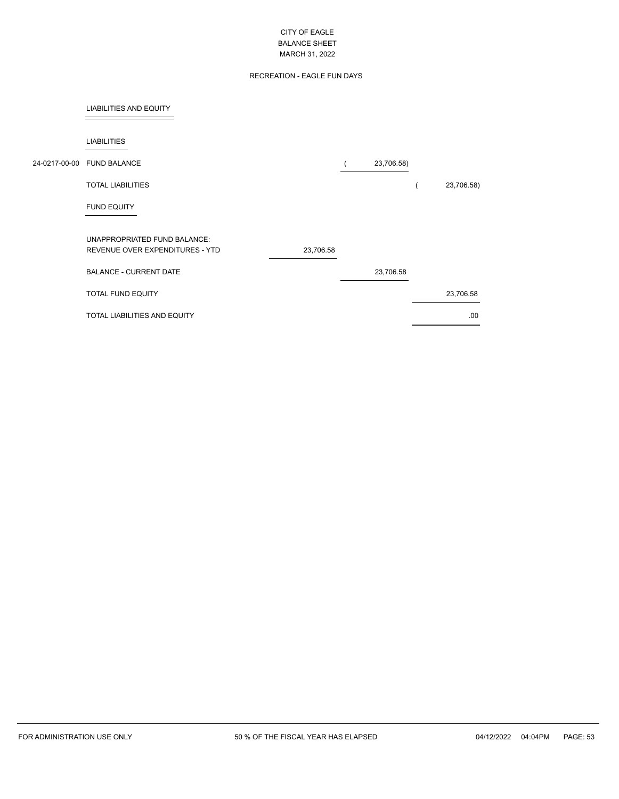# RECREATION - EAGLE FUN DAYS

## LIABILITIES AND EQUITY

 $\overline{a}$ 

| <b>LIABILITIES</b>                  |           |            |            |
|-------------------------------------|-----------|------------|------------|
| 24-0217-00-00 FUND BALANCE          |           | 23,706.58) |            |
| <b>TOTAL LIABILITIES</b>            |           |            | 23,706.58) |
| <b>FUND EQUITY</b>                  |           |            |            |
| UNAPPROPRIATED FUND BALANCE:        |           |            |            |
| REVENUE OVER EXPENDITURES - YTD     | 23,706.58 |            |            |
| <b>BALANCE - CURRENT DATE</b>       |           | 23,706.58  |            |
| TOTAL FUND EQUITY                   |           |            | 23,706.58  |
| <b>TOTAL LIABILITIES AND EQUITY</b> |           |            | .00        |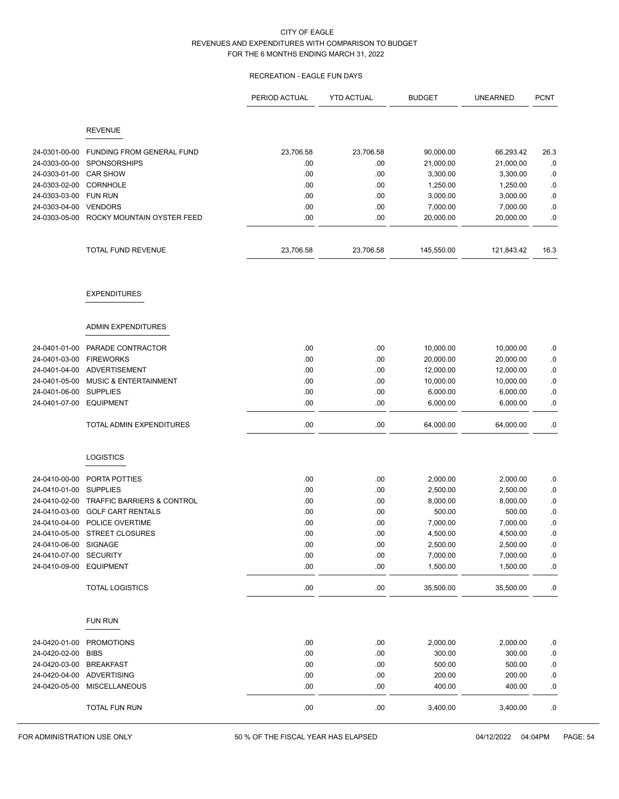# RECREATION - EAGLE FUN DAYS

|               |                                       | PERIOD ACTUAL | <b>YTD ACTUAL</b> | <b>BUDGET</b> | <b>UNEARNED</b> | <b>PCNT</b> |
|---------------|---------------------------------------|---------------|-------------------|---------------|-----------------|-------------|
|               |                                       |               |                   |               |                 |             |
|               | <b>REVENUE</b>                        |               |                   |               |                 |             |
| 24-0301-00-00 | FUNDING FROM GENERAL FUND             | 23,706.58     | 23,706.58         | 90,000.00     | 66,293.42       | 26.3        |
| 24-0303-00-00 | SPONSORSHIPS                          | .00           | .00               | 21,000.00     | 21,000.00       | .0          |
| 24-0303-01-00 | <b>CAR SHOW</b>                       | .00           | .00               | 3,300.00      | 3,300.00        | .0          |
| 24-0303-02-00 | <b>CORNHOLE</b>                       | .00           | .00               | 1,250.00      | 1,250.00        | $\cdot$ 0   |
| 24-0303-03-00 | <b>FUN RUN</b>                        | .00           | .00               | 3,000.00      | 3,000.00        | .0          |
| 24-0303-04-00 | <b>VENDORS</b>                        | .00           | .00               | 7,000.00      | 7,000.00        | .0          |
| 24-0303-05-00 | ROCKY MOUNTAIN OYSTER FEED            | .00           | .00               | 20,000.00     | 20,000.00       | .0          |
|               | TOTAL FUND REVENUE                    | 23,706.58     | 23,706.58         | 145,550.00    | 121,843.42      | 16.3        |
|               | <b>EXPENDITURES</b>                   |               |                   |               |                 |             |
|               | ADMIN EXPENDITURES                    |               |                   |               |                 |             |
| 24-0401-01-00 | PARADE CONTRACTOR                     | .00           | .00               | 10,000.00     | 10,000.00       | .0          |
| 24-0401-03-00 | <b>FIREWORKS</b>                      | .00           | .00               | 20,000.00     | 20,000.00       | .0          |
| 24-0401-04-00 | <b>ADVERTISEMENT</b>                  | .00           | .00               | 12,000.00     | 12,000.00       | $\cdot$ 0   |
| 24-0401-05-00 | MUSIC & ENTERTAINMENT                 | .00           | .00               | 10,000.00     | 10,000.00       | .0          |
| 24-0401-06-00 | <b>SUPPLIES</b>                       | .00           | .00               | 6,000.00      | 6,000.00        | .0          |
| 24-0401-07-00 | <b>EQUIPMENT</b>                      | .00           | .00               | 6,000.00      | 6,000.00        | .0          |
|               | TOTAL ADMIN EXPENDITURES              | .00           | .00               | 64,000.00     | 64,000.00       | .0          |
|               | LOGISTICS                             |               |                   |               |                 |             |
| 24-0410-00-00 | PORTA POTTIES                         | .00           | .00               | 2,000.00      | 2,000.00        | .0          |
| 24-0410-01-00 | <b>SUPPLIES</b>                       | .00           | .00               | 2,500.00      | 2,500.00        | .0          |
| 24-0410-02-00 | <b>TRAFFIC BARRIERS &amp; CONTROL</b> | .00           | .00               | 8,000.00      | 8,000.00        | $\cdot$ 0   |
| 24-0410-03-00 | <b>GOLF CART RENTALS</b>              | .00           | .00               | 500.00        | 500.00          | $\cdot$ 0   |
| 24-0410-04-00 | POLICE OVERTIME                       | .00           | .00               | 7,000.00      | 7,000.00        | .0          |
|               | 24-0410-05-00 STREET CLOSURES         | .00           | .00               | 4,500.00      | 4,500.00        | 0.          |
| 24-0410-06-00 | SIGNAGE                               | .00           | .00               | 2,500.00      | 2,500.00        | .0          |
| 24-0410-07-00 | <b>SECURITY</b>                       | .00           | .00               | 7,000.00      | 7,000.00        | $\cdot$ 0   |
| 24-0410-09-00 | <b>EQUIPMENT</b>                      | .00           | .00               | 1,500.00      | 1,500.00        | $\cdot$ 0   |
|               | <b>TOTAL LOGISTICS</b>                | .00           | .00               | 35,500.00     | 35,500.00       | $.0\,$      |
|               | FUN RUN                               |               |                   |               |                 |             |
| 24-0420-01-00 | <b>PROMOTIONS</b>                     | .00           | .00               | 2,000.00      | 2,000.00        | .0          |
| 24-0420-02-00 | <b>BIBS</b>                           | .00           | .00               | 300.00        | 300.00          | $.0\,$      |
| 24-0420-03-00 | <b>BREAKFAST</b>                      | .00           | .00               | 500.00        | 500.00          | $\cdot$ 0   |
| 24-0420-04-00 | <b>ADVERTISING</b>                    | .00           | .00               | 200.00        | 200.00          | $\cdot$ 0   |
| 24-0420-05-00 | <b>MISCELLANEOUS</b>                  | .00           | .00               | 400.00        | 400.00          | $\cdot$ 0   |
|               | TOTAL FUN RUN                         | .00           | .00               | 3,400.00      | 3,400.00        | $.0\,$      |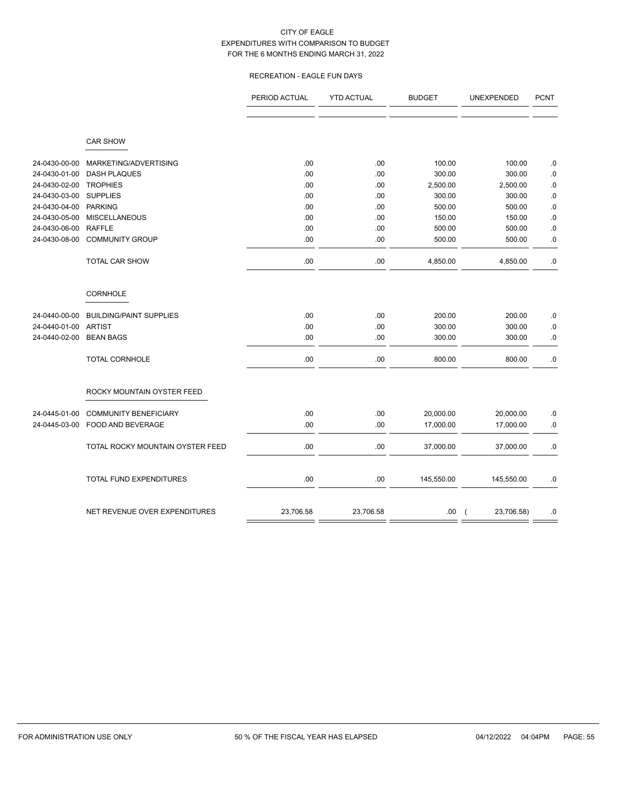# RECREATION - EAGLE FUN DAYS

|               |                                  | PERIOD ACTUAL | <b>YTD ACTUAL</b> | <b>BUDGET</b> | UNEXPENDED                   | <b>PCNT</b> |
|---------------|----------------------------------|---------------|-------------------|---------------|------------------------------|-------------|
|               |                                  |               |                   |               |                              |             |
|               | <b>CAR SHOW</b>                  |               |                   |               |                              |             |
| 24-0430-00-00 | MARKETING/ADVERTISING            | .00           | .00               | 100.00        | 100.00                       | .0          |
| 24-0430-01-00 | <b>DASH PLAQUES</b>              | .00           | .00               | 300.00        | 300.00                       | .0          |
| 24-0430-02-00 | <b>TROPHIES</b>                  | .00           | .00               | 2,500.00      | 2,500.00                     | $.0\,$      |
| 24-0430-03-00 | <b>SUPPLIES</b>                  | .00           | .00               | 300.00        | 300.00                       | $.0\,$      |
| 24-0430-04-00 | <b>PARKING</b>                   | .00           | .00               | 500.00        | 500.00                       | .0          |
| 24-0430-05-00 | <b>MISCELLANEOUS</b>             | .00           | .00               | 150.00        | 150.00                       | $.0\,$      |
| 24-0430-06-00 | <b>RAFFLE</b>                    | .00           | .00               | 500.00        | 500.00                       | $.0\,$      |
| 24-0430-08-00 | <b>COMMUNITY GROUP</b>           | .00           | .00               | 500.00        | 500.00                       | .0          |
|               | <b>TOTAL CAR SHOW</b>            | .00           | .00               | 4,850.00      | 4,850.00                     | $.0\,$      |
|               | <b>CORNHOLE</b>                  |               |                   |               |                              |             |
| 24-0440-00-00 | <b>BUILDING/PAINT SUPPLIES</b>   | .00           | .00               | 200.00        | 200.00                       | $.0\,$      |
| 24-0440-01-00 | <b>ARTIST</b>                    | .00           | .00               | 300.00        | 300.00                       | .0          |
| 24-0440-02-00 | <b>BEAN BAGS</b>                 | .00           | .00               | 300.00        | 300.00                       | $.0\,$      |
|               | TOTAL CORNHOLE                   | .00           | .00               | 800.00        | 800.00                       | $.0\,$      |
|               | ROCKY MOUNTAIN OYSTER FEED       |               |                   |               |                              |             |
| 24-0445-01-00 | <b>COMMUNITY BENEFICIARY</b>     | .00           | .00               | 20,000.00     | 20,000.00                    | .0          |
| 24-0445-03-00 | FOOD AND BEVERAGE                | .00           | .00               | 17,000.00     | 17,000.00                    | $.0\,$      |
|               | TOTAL ROCKY MOUNTAIN OYSTER FEED | .00           | .00               | 37,000.00     | 37,000.00                    | $.0\,$      |
|               | TOTAL FUND EXPENDITURES          | .00           | .00               | 145,550.00    | 145,550.00                   | .0          |
|               |                                  |               |                   |               |                              |             |
|               | NET REVENUE OVER EXPENDITURES    | 23,706.58     | 23,706.58         | .00.          | 23,706.58)<br>$\overline{ }$ | $.0\,$      |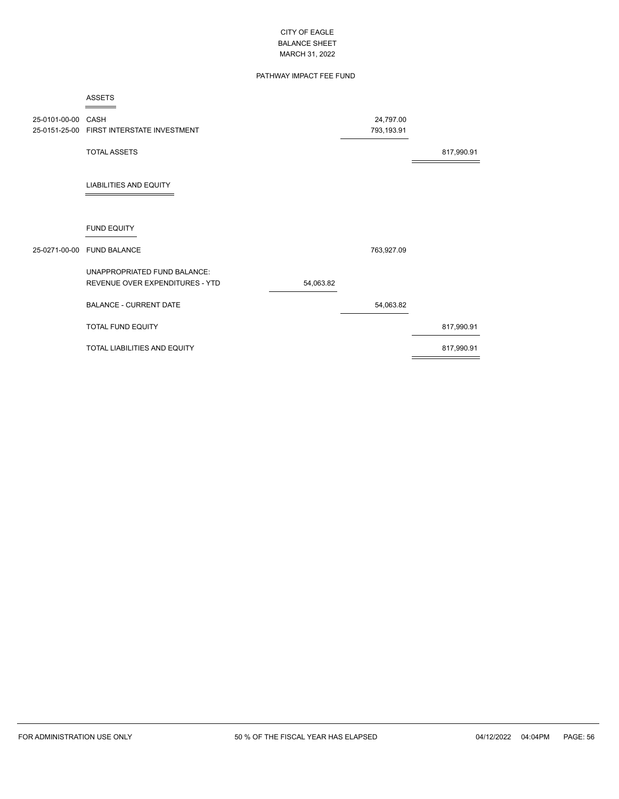# PATHWAY IMPACT FEE FUND

|                    | <b>ASSETS</b>                             |           |            |            |
|--------------------|-------------------------------------------|-----------|------------|------------|
| 25-0101-00-00 CASH |                                           |           | 24,797.00  |            |
|                    | 25-0151-25-00 FIRST INTERSTATE INVESTMENT |           | 793,193.91 |            |
|                    | <b>TOTAL ASSETS</b>                       |           |            | 817,990.91 |
|                    | <b>LIABILITIES AND EQUITY</b>             |           |            |            |
|                    | <b>FUND EQUITY</b>                        |           |            |            |
|                    | 25-0271-00-00 FUND BALANCE                |           | 763,927.09 |            |
|                    | UNAPPROPRIATED FUND BALANCE:              |           |            |            |
|                    | REVENUE OVER EXPENDITURES - YTD           | 54,063.82 |            |            |
|                    | <b>BALANCE - CURRENT DATE</b>             |           | 54,063.82  |            |
|                    | TOTAL FUND EQUITY                         |           |            | 817,990.91 |
|                    | TOTAL LIABILITIES AND EQUITY              |           |            | 817,990.91 |
|                    |                                           |           |            |            |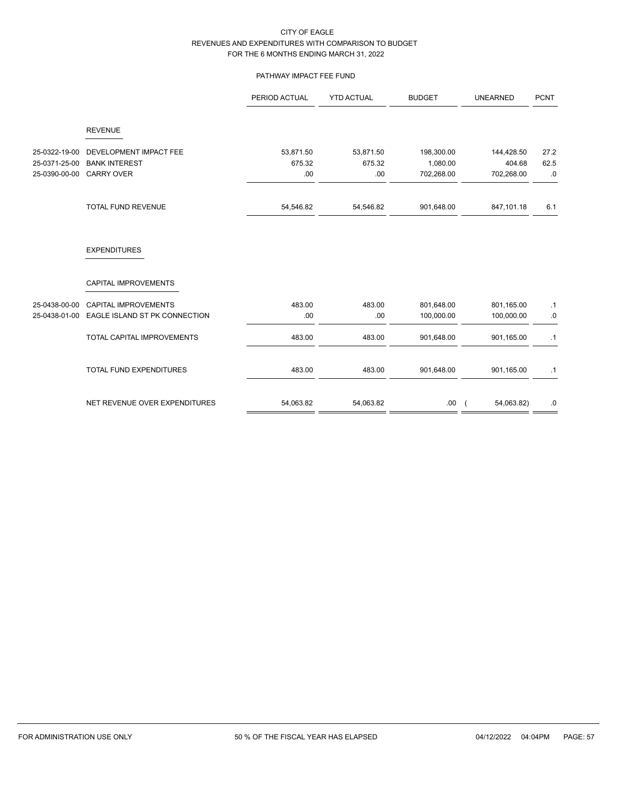# PATHWAY IMPACT FEE FUND

|               |                                             | PERIOD ACTUAL | <b>YTD ACTUAL</b> | <b>BUDGET</b> | <b>UNEARNED</b> | <b>PCNT</b> |
|---------------|---------------------------------------------|---------------|-------------------|---------------|-----------------|-------------|
|               | <b>REVENUE</b>                              |               |                   |               |                 |             |
| 25-0322-19-00 | DEVELOPMENT IMPACT FEE                      | 53,871.50     | 53,871.50         | 198,300.00    | 144,428.50      | 27.2        |
| 25-0371-25-00 | <b>BANK INTEREST</b>                        | 675.32        | 675.32            | 1,080.00      | 404.68          | 62.5        |
| 25-0390-00-00 | <b>CARRY OVER</b>                           | .00           | .00               | 702,268.00    | 702,268.00      | .0          |
|               | <b>TOTAL FUND REVENUE</b>                   | 54,546.82     | 54,546.82         | 901,648.00    | 847,101.18      | 6.1         |
|               | <b>EXPENDITURES</b><br>CAPITAL IMPROVEMENTS |               |                   |               |                 |             |
|               |                                             |               |                   |               |                 |             |
| 25-0438-00-00 | <b>CAPITAL IMPROVEMENTS</b>                 | 483.00        | 483.00            | 801,648.00    | 801,165.00      | $\cdot$ 1   |
| 25-0438-01-00 | EAGLE ISLAND ST PK CONNECTION               | .00.          | .00               | 100,000.00    | 100,000.00      | .0          |
|               | <b>TOTAL CAPITAL IMPROVEMENTS</b>           | 483.00        | 483.00            | 901,648.00    | 901,165.00      | .1          |
|               | <b>TOTAL FUND EXPENDITURES</b>              | 483.00        | 483.00            | 901,648.00    | 901,165.00      | .1          |
|               | NET REVENUE OVER EXPENDITURES               | 54,063.82     | 54,063.82         | .00.          | 54,063.82)      | .0          |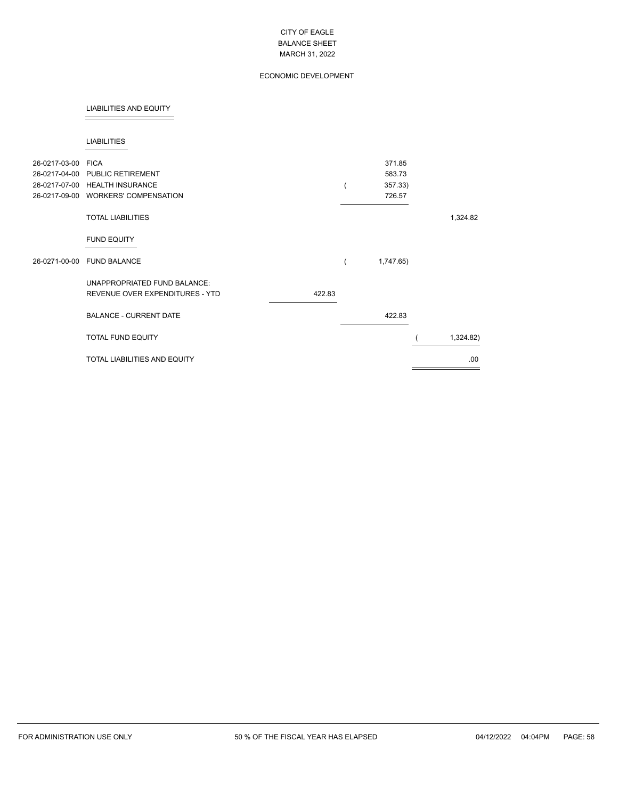# ECONOMIC DEVELOPMENT

## LIABILITIES AND EQUITY

#### LIABILITIES

| 26-0217-03-00 FICA | 26-0217-04-00 PUBLIC RETIREMENT<br>26-0217-07-00 HEALTH INSURANCE<br>26-0217-09-00 WORKERS' COMPENSATION |        | 371.85<br>583.73<br>357.33)<br>726.57 |           |
|--------------------|----------------------------------------------------------------------------------------------------------|--------|---------------------------------------|-----------|
|                    | <b>TOTAL LIABILITIES</b>                                                                                 |        |                                       | 1,324.82  |
|                    | <b>FUND EQUITY</b>                                                                                       |        |                                       |           |
|                    | 26-0271-00-00 FUND BALANCE                                                                               |        | 1,747.65)                             |           |
|                    | UNAPPROPRIATED FUND BALANCE:<br>REVENUE OVER EXPENDITURES - YTD                                          | 422.83 |                                       |           |
|                    | <b>BALANCE - CURRENT DATE</b>                                                                            |        | 422.83                                |           |
|                    | TOTAL FUND EQUITY                                                                                        |        |                                       | 1,324.82) |
|                    | <b>TOTAL LIABILITIES AND EQUITY</b>                                                                      |        |                                       | .00.      |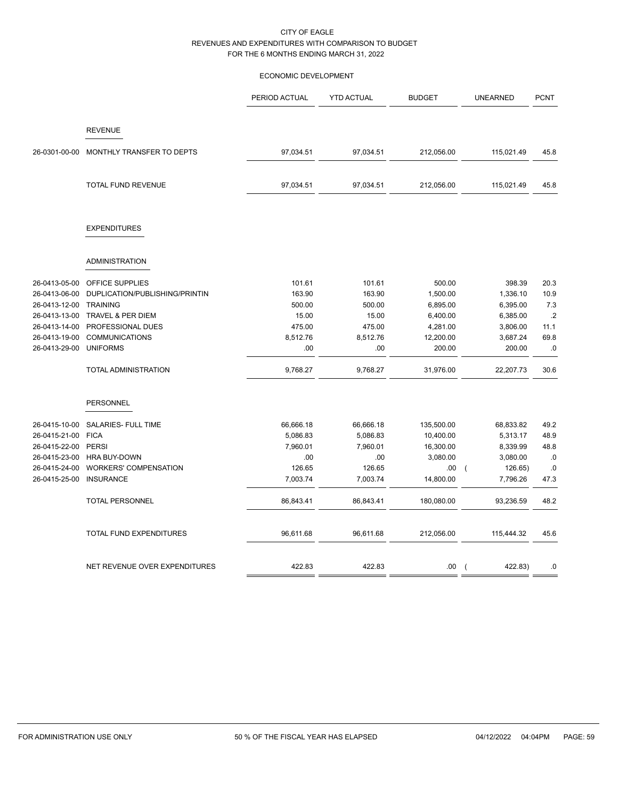# ECONOMIC DEVELOPMENT

|               |                                | PERIOD ACTUAL | <b>YTD ACTUAL</b> | <b>BUDGET</b> | <b>UNEARNED</b>           | <b>PCNT</b> |
|---------------|--------------------------------|---------------|-------------------|---------------|---------------------------|-------------|
|               | <b>REVENUE</b>                 |               |                   |               |                           |             |
| 26-0301-00-00 | MONTHLY TRANSFER TO DEPTS      | 97,034.51     | 97,034.51         | 212,056.00    | 115,021.49                | 45.8        |
|               | TOTAL FUND REVENUE             | 97,034.51     | 97,034.51         | 212,056.00    | 115,021.49                | 45.8        |
|               | <b>EXPENDITURES</b>            |               |                   |               |                           |             |
|               | <b>ADMINISTRATION</b>          |               |                   |               |                           |             |
| 26-0413-05-00 | OFFICE SUPPLIES                | 101.61        | 101.61            | 500.00        | 398.39                    | 20.3        |
| 26-0413-06-00 | DUPLICATION/PUBLISHING/PRINTIN | 163.90        | 163.90            | 1,500.00      | 1,336.10                  | 10.9        |
| 26-0413-12-00 | <b>TRAINING</b>                | 500.00        | 500.00            | 6,895.00      | 6,395.00                  | 7.3         |
| 26-0413-13-00 | <b>TRAVEL &amp; PER DIEM</b>   | 15.00         | 15.00             | 6,400.00      | 6,385.00                  | .2          |
| 26-0413-14-00 | PROFESSIONAL DUES              | 475.00        | 475.00            | 4,281.00      | 3,806.00                  | 11.1        |
| 26-0413-19-00 | <b>COMMUNICATIONS</b>          | 8,512.76      | 8,512.76          | 12,200.00     | 3,687.24                  | 69.8        |
| 26-0413-29-00 | <b>UNIFORMS</b>                | .00           | .00               | 200.00        | 200.00                    | .0          |
|               | <b>TOTAL ADMINISTRATION</b>    | 9,768.27      | 9,768.27          | 31,976.00     | 22,207.73                 | 30.6        |
|               | PERSONNEL                      |               |                   |               |                           |             |
| 26-0415-10-00 | SALARIES- FULL TIME            | 66,666.18     | 66,666.18         | 135,500.00    | 68,833.82                 | 49.2        |
| 26-0415-21-00 | <b>FICA</b>                    | 5,086.83      | 5,086.83          | 10,400.00     | 5,313.17                  | 48.9        |
| 26-0415-22-00 | <b>PERSI</b>                   | 7,960.01      | 7,960.01          | 16,300.00     | 8,339.99                  | 48.8        |
| 26-0415-23-00 | <b>HRA BUY-DOWN</b>            | .00           | .00               | 3,080.00      | 3,080.00                  | .0          |
| 26-0415-24-00 | <b>WORKERS' COMPENSATION</b>   | 126.65        | 126.65            | .00.          | 126.65)                   | .0          |
| 26-0415-25-00 | <b>INSURANCE</b>               | 7,003.74      | 7,003.74          | 14,800.00     | 7,796.26                  | 47.3        |
|               | <b>TOTAL PERSONNEL</b>         | 86,843.41     | 86,843.41         | 180,080.00    | 93,236.59                 | 48.2        |
|               | TOTAL FUND EXPENDITURES        | 96,611.68     | 96,611.68         | 212,056.00    | 115,444.32                | 45.6        |
|               | NET REVENUE OVER EXPENDITURES  | 422.83        | 422.83            | .00.          | 422.83)<br>$\overline{ }$ | .0          |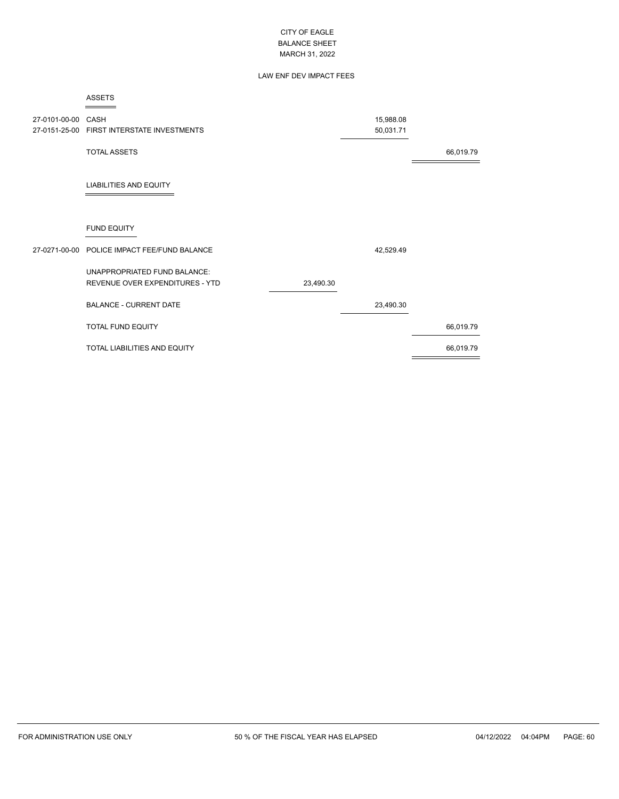# LAW ENF DEV IMPACT FEES

|                    | <b>ASSETS</b>                                |           |           |           |
|--------------------|----------------------------------------------|-----------|-----------|-----------|
| 27-0101-00-00 CASH |                                              |           | 15,988.08 |           |
|                    | 27-0151-25-00 FIRST INTERSTATE INVESTMENTS   |           | 50,031.71 |           |
|                    | <b>TOTAL ASSETS</b>                          |           |           | 66,019.79 |
|                    | <b>LIABILITIES AND EQUITY</b>                |           |           |           |
|                    | <b>FUND EQUITY</b>                           |           |           |           |
|                    | 27-0271-00-00 POLICE IMPACT FEE/FUND BALANCE |           | 42,529.49 |           |
|                    | <b>UNAPPROPRIATED FUND BALANCE:</b>          |           |           |           |
|                    | REVENUE OVER EXPENDITURES - YTD              | 23,490.30 |           |           |
|                    | <b>BALANCE - CURRENT DATE</b>                |           | 23,490.30 |           |
|                    | <b>TOTAL FUND EQUITY</b>                     |           |           | 66,019.79 |
|                    | <b>TOTAL LIABILITIES AND EQUITY</b>          |           |           | 66,019.79 |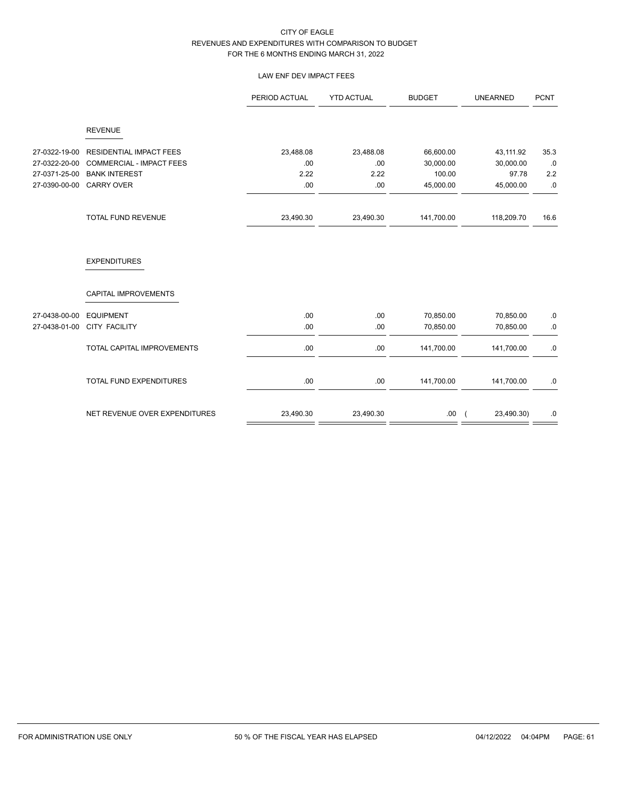# LAW ENF DEV IMPACT FEES

|               |                                 | PERIOD ACTUAL | <b>YTD ACTUAL</b> | <b>BUDGET</b> | <b>UNEARNED</b> | <b>PCNT</b> |
|---------------|---------------------------------|---------------|-------------------|---------------|-----------------|-------------|
|               | <b>REVENUE</b>                  |               |                   |               |                 |             |
| 27-0322-19-00 | <b>RESIDENTIAL IMPACT FEES</b>  | 23,488.08     | 23,488.08         | 66,600.00     | 43,111.92       | 35.3        |
| 27-0322-20-00 | <b>COMMERCIAL - IMPACT FEES</b> | .00           | .00               | 30,000.00     | 30,000.00       | .0          |
| 27-0371-25-00 | <b>BANK INTEREST</b>            | 2.22          | 2.22              | 100.00        | 97.78           | 2.2         |
| 27-0390-00-00 | <b>CARRY OVER</b>               | .00           | .00               | 45,000.00     | 45,000.00       | $.0\,$      |
|               | <b>TOTAL FUND REVENUE</b>       | 23,490.30     | 23,490.30         | 141,700.00    | 118,209.70      | 16.6        |
|               | <b>EXPENDITURES</b>             |               |                   |               |                 |             |
|               | CAPITAL IMPROVEMENTS            |               |                   |               |                 |             |
| 27-0438-00-00 | <b>EQUIPMENT</b>                | .00           | .00.              | 70,850.00     | 70,850.00       | .0          |
| 27-0438-01-00 | <b>CITY FACILITY</b>            | .00           | .00               | 70,850.00     | 70,850.00       | $.0\,$      |
|               | TOTAL CAPITAL IMPROVEMENTS      | .00           | .00               | 141,700.00    | 141,700.00      | $.0\,$      |
|               | TOTAL FUND EXPENDITURES         | .00           | .00               | 141,700.00    | 141,700.00      | .0          |
|               | NET REVENUE OVER EXPENDITURES   | 23,490.30     | 23,490.30         | .00           | 23,490.30)      | .0          |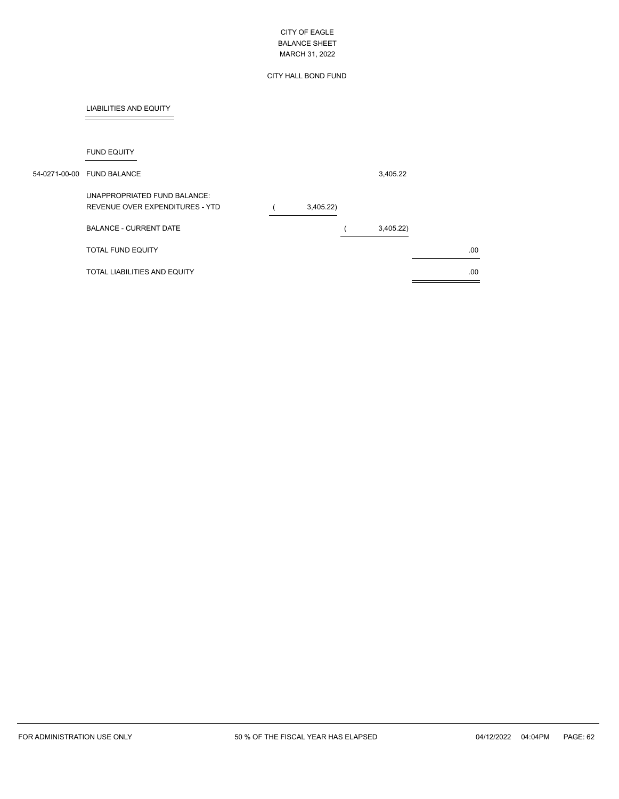# CITY HALL BOND FUND

# LIABILITIES AND EQUITY

FUND EQUITY

| 54-0271-00-00 FUND BALANCE                                      |          | 3,405.22 |     |
|-----------------------------------------------------------------|----------|----------|-----|
| UNAPPROPRIATED FUND BALANCE:<br>REVENUE OVER EXPENDITURES - YTD | 3,405.22 |          |     |
| <b>BALANCE - CURRENT DATE</b>                                   |          | 3,405.22 |     |
| TOTAL FUND EQUITY                                               |          |          | .00 |
| TOTAL LIABILITIES AND EQUITY                                    |          |          | .00 |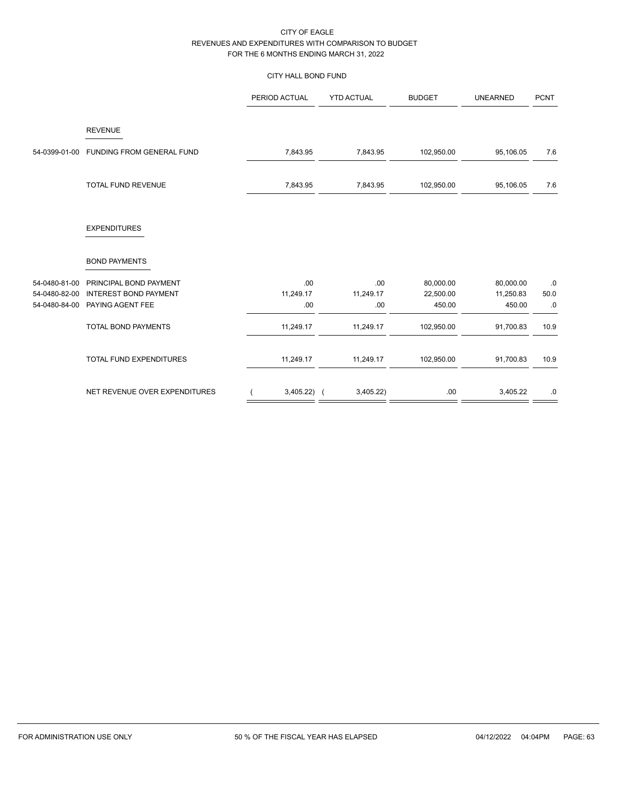# CITY HALL BOND FUND

|               |                               | PERIOD ACTUAL | <b>YTD ACTUAL</b> | <b>BUDGET</b> | <b>UNEARNED</b> | <b>PCNT</b> |
|---------------|-------------------------------|---------------|-------------------|---------------|-----------------|-------------|
|               | <b>REVENUE</b>                |               |                   |               |                 |             |
| 54-0399-01-00 | FUNDING FROM GENERAL FUND     | 7,843.95      | 7,843.95          | 102,950.00    | 95,106.05       | 7.6         |
|               | TOTAL FUND REVENUE            | 7,843.95      | 7,843.95          | 102,950.00    | 95,106.05       | 7.6         |
|               | <b>EXPENDITURES</b>           |               |                   |               |                 |             |
|               | <b>BOND PAYMENTS</b>          |               |                   |               |                 |             |
| 54-0480-81-00 | PRINCIPAL BOND PAYMENT        | .00.          | .00               | 80,000.00     | 80,000.00       | .0          |
| 54-0480-82-00 | <b>INTEREST BOND PAYMENT</b>  | 11,249.17     | 11,249.17         | 22,500.00     | 11,250.83       | 50.0        |
| 54-0480-84-00 | PAYING AGENT FEE              | .00           | .00               | 450.00        | 450.00          | .0          |
|               | <b>TOTAL BOND PAYMENTS</b>    | 11,249.17     | 11,249.17         | 102,950.00    | 91,700.83       | 10.9        |
|               | TOTAL FUND EXPENDITURES       | 11,249.17     | 11,249.17         | 102,950.00    | 91,700.83       | 10.9        |
|               | NET REVENUE OVER EXPENDITURES | 3,405.22)     | 3,405.22)         | .00           | 3,405.22        | $.0\,$      |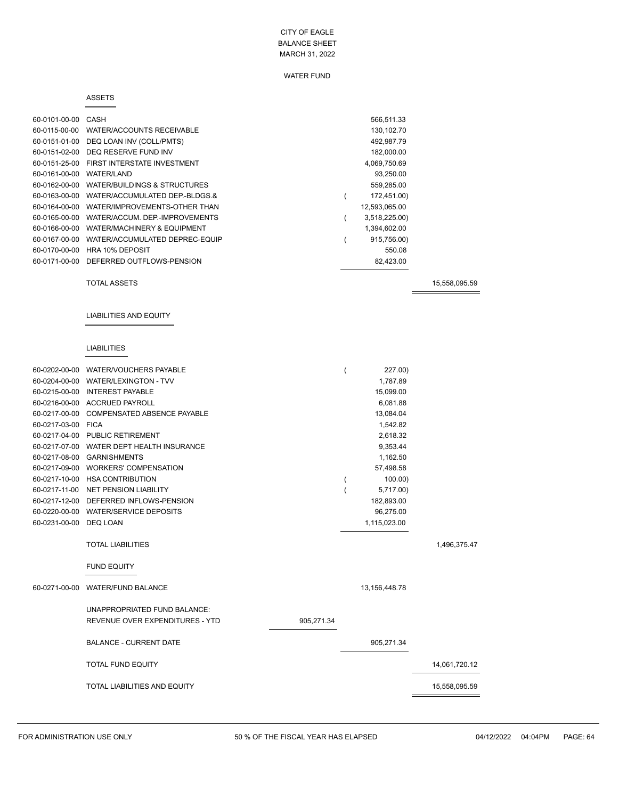#### WATER FUND

#### ASSETS

| 60-0101-00-00 | CASH                           | 566.511.33    |
|---------------|--------------------------------|---------------|
| 60-0115-00-00 | WATER/ACCOUNTS RECEIVABLE      | 130,102.70    |
| 60-0151-01-00 | DEQ LOAN INV (COLL/PMTS)       | 492,987.79    |
| 60-0151-02-00 | DEQ RESERVE FUND INV           | 182,000.00    |
| 60-0151-25-00 | FIRST INTERSTATE INVESTMENT    | 4,069,750.69  |
| 60-0161-00-00 | WATER/LAND                     | 93,250.00     |
| 60-0162-00-00 | WATER/BUILDINGS & STRUCTURES   | 559,285.00    |
| 60-0163-00-00 | WATER/ACCUMULATED DEP-BLDGS.&  | 172,451.00)   |
| 60-0164-00-00 | WATER/IMPROVEMENTS-OTHER THAN  | 12,593,065.00 |
| 60-0165-00-00 | WATER/ACCUM, DEP-IMPROVEMENTS  | 3,518,225.00) |
| 60-0166-00-00 | WATER/MACHINERY & EQUIPMENT    | 1,394,602.00  |
| 60-0167-00-00 | WATER/ACCUMULATED DEPREC-EQUIP | 915,756.00)   |
| 60-0170-00-00 | <b>HRA 10% DEPOSIT</b>         | 550.08        |
| 60-0171-00-00 | DEFERRED OUTFLOWS-PENSION      | 82,423.00     |

TOTAL ASSETS 15,558,095.59

## LIABILITIES AND EQUITY

# LIABILITIES

|                        | 60-0202-00-00 WATER/VOUCHERS PAYABLE      |            | 227.00)       |               |
|------------------------|-------------------------------------------|------------|---------------|---------------|
|                        | 60-0204-00-00 WATER/LEXINGTON - TVV       |            | 1.787.89      |               |
|                        | 60-0215-00-00 INTEREST PAYABLE            |            | 15,099.00     |               |
|                        | 60-0216-00-00 ACCRUED PAYROLL             |            | 6,081.88      |               |
|                        | 60-0217-00-00 COMPENSATED ABSENCE PAYABLE |            | 13,084.04     |               |
| 60-0217-03-00 FICA     |                                           |            | 1,542.82      |               |
|                        | 60-0217-04-00 PUBLIC RETIREMENT           |            | 2,618.32      |               |
|                        | 60-0217-07-00 WATER DEPT HEALTH INSURANCE |            | 9,353.44      |               |
|                        | 60-0217-08-00 GARNISHMENTS                |            | 1,162.50      |               |
|                        | 60-0217-09-00 WORKERS' COMPENSATION       |            | 57,498.58     |               |
|                        | 60-0217-10-00 HSA CONTRIBUTION            |            | 100.00        |               |
|                        | 60-0217-11-00 NET PENSION LIABILITY       |            | 5,717.00)     |               |
|                        | 60-0217-12-00 DEFERRED INFLOWS-PENSION    |            | 182,893.00    |               |
|                        | 60-0220-00-00 WATER/SERVICE DEPOSITS      |            | 96,275.00     |               |
| 60-0231-00-00 DEQ LOAN |                                           |            | 1,115,023.00  |               |
|                        |                                           |            |               |               |
|                        | <b>TOTAL LIABILITIES</b>                  |            |               | 1,496,375.47  |
|                        |                                           |            |               |               |
|                        | <b>FUND EQUITY</b>                        |            |               |               |
| 60-0271-00-00          | <b>WATER/FUND BALANCE</b>                 |            | 13,156,448.78 |               |
|                        |                                           |            |               |               |
|                        | UNAPPROPRIATED FUND BALANCE:              |            |               |               |
|                        | REVENUE OVER EXPENDITURES - YTD           | 905,271.34 |               |               |
|                        |                                           |            |               |               |
|                        | <b>BALANCE - CURRENT DATE</b>             |            | 905,271.34    |               |
|                        |                                           |            |               |               |
|                        | <b>TOTAL FUND EQUITY</b>                  |            |               | 14,061,720.12 |
|                        | <b>TOTAL LIABILITIES AND EQUITY</b>       |            |               | 15,558,095.59 |
|                        |                                           |            |               |               |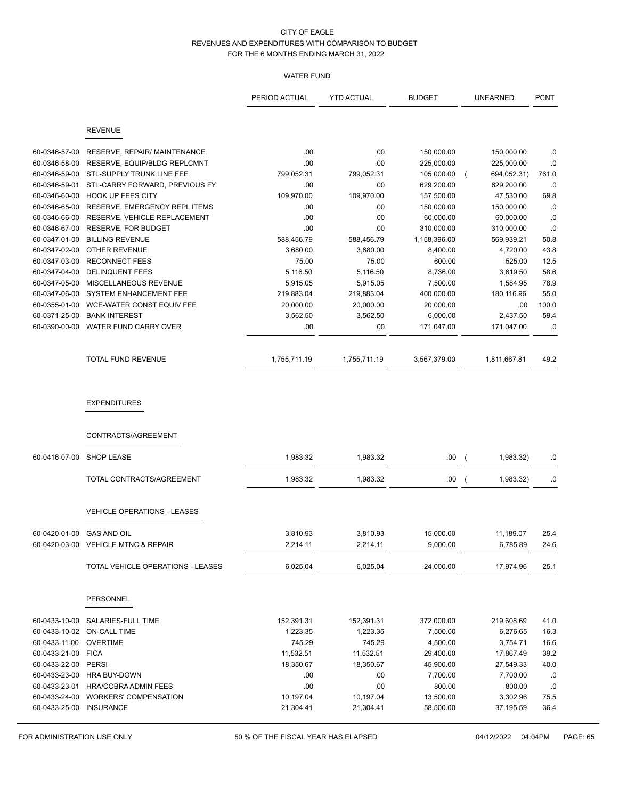# WATER FUND

|                                |                                        | PERIOD ACTUAL     | <b>YTD ACTUAL</b>    | <b>BUDGET</b>      |                | UNEARNED              | <b>PCNT</b>  |
|--------------------------------|----------------------------------------|-------------------|----------------------|--------------------|----------------|-----------------------|--------------|
|                                | <b>REVENUE</b>                         |                   |                      |                    |                |                       |              |
|                                |                                        |                   |                      |                    |                |                       |              |
| 60-0346-57-00                  | RESERVE, REPAIR/ MAINTENANCE           | .00               | .00                  | 150,000.00         |                | 150,000.00            | .0           |
| 60-0346-58-00                  | RESERVE, EQUIP/BLDG REPLCMNT           | .00               | .00                  | 225,000.00         |                | 225,000.00            | .0           |
| 60-0346-59-00                  | STL-SUPPLY TRUNK LINE FEE              | 799,052.31        | 799,052.31           | 105,000.00         | $\overline{ }$ | 694,052.31)           | 761.0        |
| 60-0346-59-01                  | STL-CARRY FORWARD, PREVIOUS FY         | .00               | .00                  | 629,200.00         |                | 629,200.00            | .0           |
| 60-0346-60-00                  | <b>HOOK UP FEES CITY</b>               | 109,970.00        | 109,970.00           | 157,500.00         |                | 47,530.00             | 69.8         |
| 60-0346-65-00                  | RESERVE, EMERGENCY REPL ITEMS          | .00               | .00                  | 150,000.00         |                | 150,000.00            | .0           |
| 60-0346-66-00                  | RESERVE, VEHICLE REPLACEMENT           | .00               | .00                  | 60,000.00          |                | 60,000.00             | .0           |
| 60-0346-67-00                  | <b>RESERVE, FOR BUDGET</b>             | .00               | .00                  | 310,000.00         |                | 310,000.00            | .0           |
| 60-0347-01-00                  | <b>BILLING REVENUE</b>                 | 588,456.79        | 588,456.79           | 1,158,396.00       |                | 569,939.21            | 50.8         |
| 60-0347-02-00<br>60-0347-03-00 | OTHER REVENUE<br><b>RECONNECT FEES</b> | 3,680.00<br>75.00 | 3,680.00<br>75.00    | 8,400.00<br>600.00 |                | 4,720.00<br>525.00    | 43.8<br>12.5 |
| 60-0347-04-00                  | <b>DELINQUENT FEES</b>                 | 5,116.50          | 5,116.50             | 8,736.00           |                | 3,619.50              | 58.6         |
| 60-0347-05-00                  | MISCELLANEOUS REVENUE                  | 5,915.05          | 5,915.05             | 7,500.00           |                | 1,584.95              | 78.9         |
| 60-0347-06-00                  | SYSTEM ENHANCEMENT FEE                 | 219,883.04        | 219,883.04           | 400,000.00         |                | 180,116.96            | 55.0         |
| 60-0355-01-00                  | WCE-WATER CONST EQUIV FEE              | 20,000.00         | 20,000.00            | 20,000.00          |                | .00                   | 100.0        |
| 60-0371-25-00                  | <b>BANK INTEREST</b>                   | 3,562.50          | 3,562.50             | 6,000.00           |                | 2,437.50              | 59.4         |
| 60-0390-00-00                  | WATER FUND CARRY OVER                  | .00               | .00                  | 171,047.00         |                | 171,047.00            | .0           |
|                                |                                        |                   |                      |                    |                |                       |              |
|                                | TOTAL FUND REVENUE                     | 1,755,711.19      | 1,755,711.19         | 3,567,379.00       |                | 1,811,667.81          | 49.2         |
|                                | <b>EXPENDITURES</b>                    |                   |                      |                    |                |                       |              |
|                                | CONTRACTS/AGREEMENT                    |                   |                      |                    |                |                       |              |
| 60-0416-07-00                  | <b>SHOP LEASE</b>                      | 1,983.32          | 1,983.32             | .00.               | $\overline{ }$ | 1,983.32)             | .0           |
|                                | TOTAL CONTRACTS/AGREEMENT              | 1,983.32          | 1,983.32             | $.00\,$            | $\overline{ }$ | 1,983.32)             | .0           |
|                                | VEHICLE OPERATIONS - LEASES            |                   |                      |                    |                |                       |              |
| 60-0420-01-00 GAS AND OIL      |                                        |                   |                      | 15,000.00          |                |                       |              |
|                                | 60-0420-03-00 VEHICLE MTNC & REPAIR    | 3,810.93          | 3,810.93<br>2,214.11 | 9,000.00           |                | 11,189.07<br>6,785.89 | 25.4<br>24.6 |
|                                |                                        | 2,214.11          |                      |                    |                |                       |              |
|                                | TOTAL VEHICLE OPERATIONS - LEASES      | 6,025.04          | 6,025.04             | 24,000.00          |                | 17,974.96             | 25.1         |
|                                | <b>PERSONNEL</b>                       |                   |                      |                    |                |                       |              |
| 60-0433-10-00                  | SALARIES-FULL TIME                     | 152,391.31        | 152,391.31           | 372,000.00         |                | 219,608.69            | 41.0         |
|                                | 60-0433-10-02 ON-CALL TIME             | 1,223.35          | 1,223.35             | 7,500.00           |                | 6,276.65              | 16.3         |
| 60-0433-11-00                  | <b>OVERTIME</b>                        | 745.29            | 745.29               | 4,500.00           |                | 3,754.71              | 16.6         |
| 60-0433-21-00 FICA             |                                        | 11,532.51         | 11,532.51            | 29,400.00          |                | 17,867.49             | 39.2         |
| 60-0433-22-00 PERSI            |                                        | 18,350.67         | 18,350.67            | 45,900.00          |                | 27,549.33             | 40.0         |
| 60-0433-23-00                  | HRA BUY-DOWN                           | .00               | .00.                 | 7,700.00           |                | 7,700.00              | $.0\,$       |
| 60-0433-23-01                  | HRA/COBRA ADMIN FEES                   | .00               | .00                  | 800.00             |                | 800.00                | $.0\,$       |
| 60-0433-24-00                  | <b>WORKERS' COMPENSATION</b>           | 10,197.04         | 10,197.04            | 13,500.00          |                | 3,302.96              | 75.5         |
| 60-0433-25-00 INSURANCE        |                                        | 21,304.41         | 21,304.41            | 58,500.00          |                | 37,195.59             | 36.4         |

FOR ADMINISTRATION USE ONLY **50 % OF THE FISCAL YEAR HAS ELAPSED** 04/12/2022 04:04PM PAGE: 65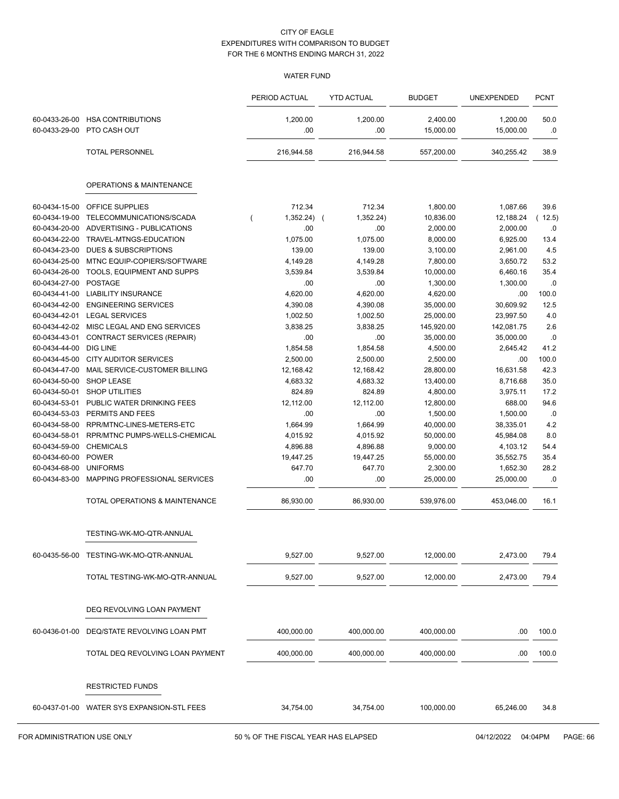# WATER FUND

|                                |                                            | PERIOD ACTUAL                  | <b>YTD ACTUAL</b> | <b>BUDGET</b>         | UNEXPENDED            | <b>PCNT</b> |
|--------------------------------|--------------------------------------------|--------------------------------|-------------------|-----------------------|-----------------------|-------------|
| 60-0433-26-00<br>60-0433-29-00 | <b>HSA CONTRIBUTIONS</b><br>PTO CASH OUT   | 1,200.00<br>.00                | 1,200.00<br>.00   | 2,400.00<br>15,000.00 | 1,200.00<br>15,000.00 | 50.0<br>.0  |
|                                | <b>TOTAL PERSONNEL</b>                     | 216,944.58                     | 216,944.58        | 557,200.00            | 340,255.42            | 38.9        |
|                                | <b>OPERATIONS &amp; MAINTENANCE</b>        |                                |                   |                       |                       |             |
| 60-0434-15-00                  | OFFICE SUPPLIES                            | 712.34                         | 712.34            | 1,800.00              | 1,087.66              | 39.6        |
| 60-0434-19-00                  | TELECOMMUNICATIONS/SCADA                   | $1,352.24$ (<br>$\overline{(}$ | 1,352.24)         | 10,836.00             | 12,188.24             | 12.5)       |
| 60-0434-20-00                  | ADVERTISING - PUBLICATIONS                 | .00                            | .00               | 2,000.00              | 2,000.00              | .0          |
| 60-0434-22-00                  | TRAVEL-MTNGS-EDUCATION                     | 1,075.00                       | 1,075.00          | 8,000.00              | 6,925.00              | 13.4        |
| 60-0434-23-00                  | <b>DUES &amp; SUBSCRIPTIONS</b>            | 139.00                         | 139.00            | 3,100.00              | 2,961.00              | 4.5         |
| 60-0434-25-00                  | MTNC EQUIP-COPIERS/SOFTWARE                | 4,149.28                       | 4,149.28          | 7,800.00              | 3,650.72              | 53.2        |
| 60-0434-26-00                  | TOOLS, EQUIPMENT AND SUPPS                 | 3,539.84                       | 3,539.84          | 10,000.00             | 6,460.16              | 35.4        |
| 60-0434-27-00                  | <b>POSTAGE</b>                             | .00                            | .00               | 1,300.00              | 1,300.00              | .0          |
| 60-0434-41-00                  | <b>LIABILITY INSURANCE</b>                 | 4,620.00                       | 4,620.00          | 4,620.00              | .00                   | 100.0       |
| 60-0434-42-00                  | <b>ENGINEERING SERVICES</b>                | 4,390.08                       | 4,390.08          | 35,000.00             | 30,609.92             | 12.5        |
| 60-0434-42-01                  | <b>LEGAL SERVICES</b>                      | 1,002.50                       | 1,002.50          | 25,000.00             | 23,997.50             | 4.0         |
| 60-0434-42-02                  | MISC LEGAL AND ENG SERVICES                | 3,838.25                       | 3,838.25          | 145,920.00            | 142,081.75            | 2.6         |
| 60-0434-43-01                  | <b>CONTRACT SERVICES (REPAIR)</b>          | .00                            | .00               | 35,000.00             | 35,000.00             | .0          |
| 60-0434-44-00                  | <b>DIG LINE</b>                            | 1,854.58                       | 1,854.58          | 4,500.00              | 2,645.42              | 41.2        |
| 60-0434-45-00                  | <b>CITY AUDITOR SERVICES</b>               | 2,500.00                       | 2,500.00          | 2,500.00              | .00                   | 100.0       |
| 60-0434-47-00                  | MAIL SERVICE-CUSTOMER BILLING              | 12,168.42                      | 12,168.42         | 28,800.00             | 16,631.58             | 42.3        |
| 60-0434-50-00                  | SHOP LEASE                                 | 4,683.32                       | 4,683.32          | 13,400.00             | 8,716.68              | 35.0        |
| 60-0434-50-01                  | <b>SHOP UTILITIES</b>                      | 824.89                         | 824.89            | 4,800.00              | 3,975.11              | 17.2        |
| 60-0434-53-01                  | PUBLIC WATER DRINKING FEES                 | 12,112.00                      | 12,112.00         | 12,800.00             | 688.00                | 94.6        |
| 60-0434-53-03                  | PERMITS AND FEES                           | .00                            | .00               | 1,500.00              | 1,500.00              | .0          |
| 60-0434-58-00                  | RPR/MTNC-LINES-METERS-ETC                  | 1,664.99                       | 1,664.99          | 40,000.00             | 38,335.01             | 4.2         |
| 60-0434-58-01                  | RPR/MTNC PUMPS-WELLS-CHEMICAL              | 4,015.92                       | 4,015.92          | 50,000.00             | 45,984.08             | 8.0         |
| 60-0434-59-00                  | <b>CHEMICALS</b>                           | 4,896.88                       | 4,896.88          | 9,000.00              | 4,103.12              | 54.4        |
| 60-0434-60-00                  | <b>POWER</b>                               | 19,447.25                      | 19,447.25         | 55,000.00             | 35,552.75             | 35.4        |
| 60-0434-68-00                  | <b>UNIFORMS</b>                            | 647.70                         | 647.70            | 2,300.00              | 1,652.30              | 28.2        |
| 60-0434-83-00                  | MAPPING PROFESSIONAL SERVICES              | .00                            | .00               | 25,000.00             | 25,000.00             | .0          |
|                                | TOTAL OPERATIONS & MAINTENANCE             | 86,930.00                      | 86,930.00         | 539,976.00            | 453,046.00            | 16.1        |
|                                | TESTING-WK-MO-QTR-ANNUAL                   |                                |                   |                       |                       |             |
|                                | 60-0435-56-00 TESTING-WK-MO-QTR-ANNUAL     | 9,527.00                       | 9,527.00          | 12,000.00             | 2,473.00              | 79.4        |
|                                | TOTAL TESTING-WK-MO-QTR-ANNUAL             | 9,527.00                       | 9,527.00          | 12,000.00             | 2,473.00              | 79.4        |
|                                |                                            |                                |                   |                       |                       |             |
|                                | DEQ REVOLVING LOAN PAYMENT                 |                                |                   |                       |                       |             |
| 60-0436-01-00                  | DEQ/STATE REVOLVING LOAN PMT               | 400,000.00                     | 400,000.00        | 400,000.00            | .00                   | 100.0       |
|                                | TOTAL DEQ REVOLVING LOAN PAYMENT           | 400,000.00                     | 400,000.00        | 400,000.00            | .00                   | 100.0       |
|                                |                                            |                                |                   |                       |                       |             |
|                                | <b>RESTRICTED FUNDS</b>                    |                                |                   |                       |                       |             |
|                                | 60-0437-01-00 WATER SYS EXPANSION-STL FEES | 34,754.00                      | 34,754.00         | 100,000.00            | 65,246.00             | 34.8        |